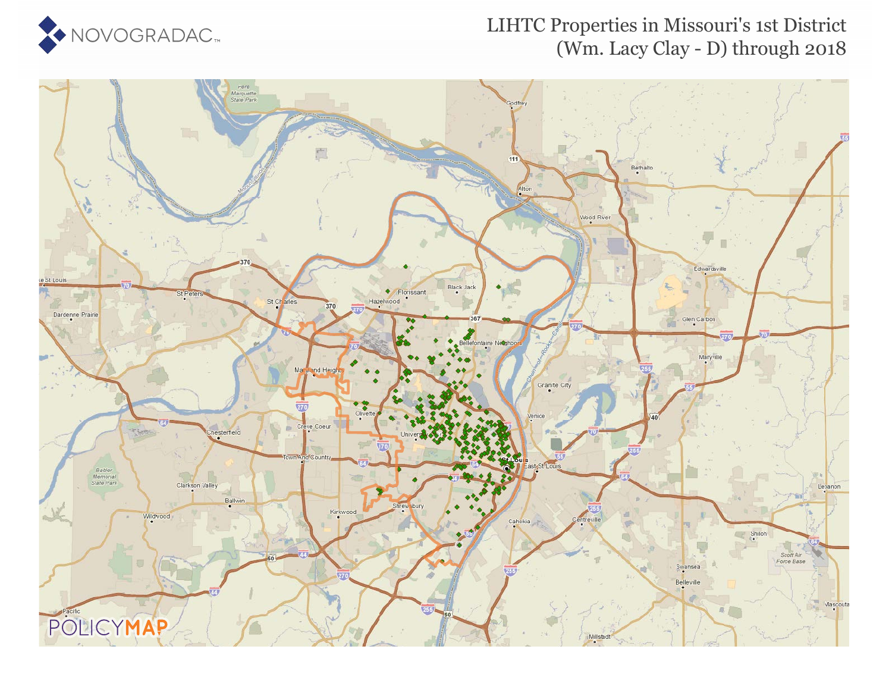

#### LIHTC Properties in Missouri's 1st District (Wm. Lacy Clay - D) through 2018

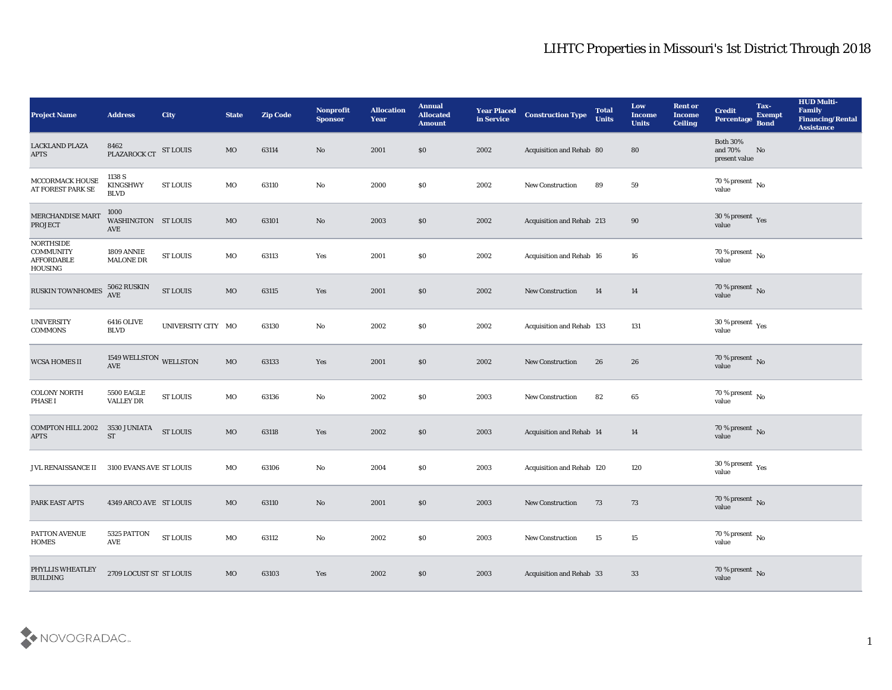| <b>Project Name</b>                                           | <b>Address</b>                           | <b>City</b>        | <b>State</b> | <b>Zip Code</b> | Nonprofit<br><b>Sponsor</b> | <b>Allocation</b><br><b>Year</b> | <b>Annual</b><br><b>Allocated</b><br><b>Amount</b> | <b>Year Placed</b><br>in Service | <b>Construction Type</b>        | <b>Total</b><br><b>Units</b> | Low<br><b>Income</b><br><b>Units</b> | <b>Rent or</b><br><b>Income</b><br><b>Ceiling</b> | <b>Credit</b><br>Percentage                 | Tax-<br><b>Exempt</b><br><b>Bond</b> | <b>HUD Multi-</b><br>Family<br><b>Financing/Rental</b><br><b>Assistance</b> |
|---------------------------------------------------------------|------------------------------------------|--------------------|--------------|-----------------|-----------------------------|----------------------------------|----------------------------------------------------|----------------------------------|---------------------------------|------------------------------|--------------------------------------|---------------------------------------------------|---------------------------------------------|--------------------------------------|-----------------------------------------------------------------------------|
| <b>LACKLAND PLAZA</b><br>$\rm APTS$                           | 8462<br>PLAZAROCK CT ST LOUIS            |                    | $_{\rm MO}$  | 63114           | No                          | 2001                             | $\$0$                                              | 2002                             | Acquisition and Rehab 80        |                              | 80                                   |                                                   | <b>Both 30%</b><br>and 70%<br>present value | No                                   |                                                                             |
| MCCORMACK HOUSE<br>AT FOREST PARK SE                          | 1138 S<br><b>KINGSHWY</b><br><b>BLVD</b> | <b>ST LOUIS</b>    | MO           | 63110           | No                          | 2000                             | \$0                                                | 2002                             | <b>New Construction</b>         | 89                           | 59                                   |                                                   | 70 % present $\,$ No $\,$<br>value          |                                      |                                                                             |
| MERCHANDISE MART<br><b>PROJECT</b>                            | 1000<br>WASHINGTON ST LOUIS<br>AVE       |                    | $_{\rm MO}$  | 63101           | $\rm\thinspace No$          | 2003                             | \$0                                                | 2002                             | Acquisition and Rehab 213       |                              | 90                                   |                                                   | $30\,\%$ present $\,$ Yes value             |                                      |                                                                             |
| NORTHSIDE<br><b>COMMUNITY</b><br><b>AFFORDABLE</b><br>HOUSING | 1809 ANNIE<br><b>MALONE DR</b>           | <b>ST LOUIS</b>    | MO           | 63113           | Yes                         | 2001                             | \$0                                                | 2002                             | Acquisition and Rehab 16        |                              | 16                                   |                                                   | $70\,\%$ present $\,$ No value              |                                      |                                                                             |
| RUSKIN TOWNHOMES                                              | 5062 RUSKIN<br>AVE                       | <b>ST LOUIS</b>    | $_{\rm MO}$  | 63115           | Yes                         | 2001                             | \$0                                                | 2002                             | <b>New Construction</b>         | 14                           | 14                                   |                                                   | $70\,\%$ present $\,$ No value              |                                      |                                                                             |
| <b>UNIVERSITY</b><br>$\mathop{\mathrm{COMMONS}}$              | 6416 OLIVE<br><b>BLVD</b>                | UNIVERSITY CITY MO |              | 63130           | No                          | 2002                             | \$0                                                | 2002                             | Acquisition and Rehab 133       |                              | 131                                  |                                                   | $30\,\%$ present $\,$ Yes value             |                                      |                                                                             |
| <b>WCSA HOMES II</b>                                          | 1549 WELLSTON WELLSTON<br>AVE            |                    | $_{\rm MO}$  | 63133           | Yes                         | 2001                             | \$0                                                | 2002                             | <b>New Construction</b>         | 26                           | 26                                   |                                                   | $70\,\%$ present $\,$ No value              |                                      |                                                                             |
| <b>COLONY NORTH</b><br><b>PHASE I</b>                         | <b>5500 EAGLE</b><br><b>VALLEY DR</b>    | <b>ST LOUIS</b>    | MO           | 63136           | No                          | 2002                             | \$0                                                | 2003                             | New Construction                | 82                           | 65                                   |                                                   | 70 % present $\,$ No $\,$<br>value          |                                      |                                                                             |
| COMPTON HILL 2002<br><b>APTS</b>                              | 3530 JUNIATA<br><b>ST</b>                | <b>ST LOUIS</b>    | $_{\rm MO}$  | 63118           | Yes                         | 2002                             | \$0                                                | 2003                             | <b>Acquisition and Rehab 14</b> |                              | 14                                   |                                                   | $70\,\%$ present $\,$ No value              |                                      |                                                                             |
| JVL RENAISSANCE II                                            | 3100 EVANS AVE ST LOUIS                  |                    | MO           | 63106           | No                          | 2004                             | \$0                                                | 2003                             | Acquisition and Rehab 120       |                              | 120                                  |                                                   | $30\,\%$ present $\,$ Yes value             |                                      |                                                                             |
| PARK EAST APTS                                                | 4349 ARCO AVE ST LOUIS                   |                    | MO           | 63110           | No                          | 2001                             | \$0                                                | 2003                             | <b>New Construction</b>         | 73                           | 73                                   |                                                   | 70 % present No<br>value                    |                                      |                                                                             |
| PATTON AVENUE<br><b>HOMES</b>                                 | 5325 PATTON<br>AVE                       | <b>ST LOUIS</b>    | $_{\rm MO}$  | 63112           | $\mathbf {No}$              | 2002                             | \$0                                                | 2003                             | New Construction                | 15                           | 15                                   |                                                   | 70 % present $\,$ No $\,$<br>value          |                                      |                                                                             |
| PHYLLIS WHEATLEY<br><b>BUILDING</b>                           | 2709 LOCUST ST ST LOUIS                  |                    | $_{\rm MO}$  | 63103           | $\mathbf{Yes}$              | 2002                             | $\$0$                                              | 2003                             | Acquisition and Rehab 33        |                              | 33                                   |                                                   | $70\,\%$ present $\,$ No value              |                                      |                                                                             |

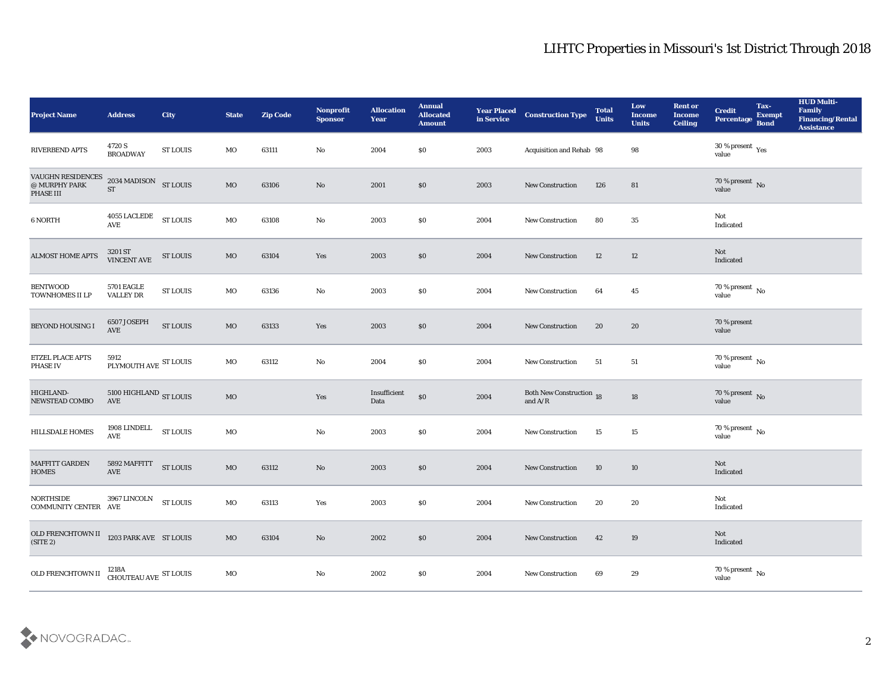| <b>Project Name</b>                                             | <b>Address</b>                                   | City            | <b>State</b> | <b>Zip Code</b> | Nonprofit<br><b>Sponsor</b> | <b>Allocation</b><br><b>Year</b> | <b>Annual</b><br><b>Allocated</b><br><b>Amount</b> | <b>Year Placed<br/>in Service</b> | <b>Construction Type</b>                                                          | <b>Total</b><br><b>Units</b> | Low<br><b>Income</b><br><b>Units</b> | <b>Rent or</b><br><b>Income</b><br><b>Ceiling</b> | <b>Credit</b><br>Percentage     | Tax-<br><b>Exempt</b><br><b>Bond</b> | <b>HUD Multi-</b><br>Family<br><b>Financing/Rental</b><br><b>Assistance</b> |
|-----------------------------------------------------------------|--------------------------------------------------|-----------------|--------------|-----------------|-----------------------------|----------------------------------|----------------------------------------------------|-----------------------------------|-----------------------------------------------------------------------------------|------------------------------|--------------------------------------|---------------------------------------------------|---------------------------------|--------------------------------------|-----------------------------------------------------------------------------|
| RIVERBEND APTS                                                  | 4720 S<br><b>BROADWAY</b>                        | <b>ST LOUIS</b> | MO           | 63111           | No                          | 2004                             | \$0                                                | 2003                              | Acquisition and Rehab 98                                                          |                              | 98                                   |                                                   | $30\,\%$ present $\,$ Yes value |                                      |                                                                             |
| VAUGHN RESIDENCES<br>$\textcircled{e}$ MURPHY PARK<br>PHASE III | 2034 MADISON ST LOUIS<br><b>ST</b>               |                 | MO           | 63106           | No                          | 2001                             | $\boldsymbol{\mathsf{S}}\boldsymbol{\mathsf{O}}$   | 2003                              | <b>New Construction</b>                                                           | 126                          | 81                                   |                                                   | $70\,\%$ present $\,$ No value  |                                      |                                                                             |
| 6 NORTH                                                         | 4055 LACLEDE<br>$\operatorname{\mathbf{AVE}}$    | <b>ST LOUIS</b> | MO           | 63108           | No                          | 2003                             | \$0                                                | 2004                              | New Construction                                                                  | 80                           | 35                                   |                                                   | Not<br>Indicated                |                                      |                                                                             |
| <b>ALMOST HOME APTS</b>                                         | 3201 ST<br>VINCENT AVE                           | <b>ST LOUIS</b> | MO           | 63104           | Yes                         | 2003                             | $\boldsymbol{\mathsf{S}}\boldsymbol{\mathsf{O}}$   | 2004                              | <b>New Construction</b>                                                           | 12                           | 12                                   |                                                   | Not<br>Indicated                |                                      |                                                                             |
| <b>BENTWOOD</b><br>TOWNHOMES II LP                              | <b>5701 EAGLE</b><br><b>VALLEY DR</b>            | <b>ST LOUIS</b> | MO           | 63136           | No                          | 2003                             | \$0                                                | 2004                              | New Construction                                                                  | 64                           | 45                                   |                                                   | $70\,\%$ present $\,$ No value  |                                      |                                                                             |
| BEYOND HOUSING I                                                | 6507 JOSEPH<br>AVE                               | <b>ST LOUIS</b> | MO           | 63133           | Yes                         | 2003                             | $\boldsymbol{\mathsf{S}}\boldsymbol{\mathsf{O}}$   | 2004                              | New Construction                                                                  | 20                           | 20                                   |                                                   | 70 % present<br>value           |                                      |                                                                             |
| ETZEL PLACE APTS<br><b>PHASE IV</b>                             | 5912<br>PLYMOUTH AVE ST LOUIS                    |                 | MO           | 63112           | No                          | 2004                             | \$0                                                | 2004                              | <b>New Construction</b>                                                           | 51                           | 51                                   |                                                   | $70\,\%$ present $\,$ No value  |                                      |                                                                             |
| HIGHLAND-<br>NEWSTEAD COMBO                                     | $5100$ HIGHLAND $_{\rm ST~LOUIS}$<br>AVE         |                 | $_{\rm MO}$  |                 | Yes                         | Insufficient<br>Data             | \$0                                                | 2004                              | Both New Construction 18<br>and $\ensuremath{\mathrm{A}}/\ensuremath{\mathrm{R}}$ |                              | 18                                   |                                                   | $70\,\%$ present $\,$ No value  |                                      |                                                                             |
| <b>HILLSDALE HOMES</b>                                          | 1908 LINDELL<br>AVE                              | <b>ST LOUIS</b> | MO           |                 | $\rm\thinspace No$          | 2003                             | \$0                                                | 2004                              | New Construction                                                                  | 15                           | 15                                   |                                                   | $70\,\%$ present $\,$ No value  |                                      |                                                                             |
| MAFFITT GARDEN<br><b>HOMES</b>                                  | 5892 MAFFITT<br>AVE                              | <b>ST LOUIS</b> | MO           | 63112           | No                          | 2003                             | \$0                                                | 2004                              | <b>New Construction</b>                                                           | 10                           | 10                                   |                                                   | Not<br>Indicated                |                                      |                                                                             |
| NORTHSIDE<br>COMMUNITY CENTER AVE                               | 3967 LINCOLN                                     | <b>ST LOUIS</b> | MO           | 63113           | Yes                         | 2003                             | \$0                                                | 2004                              | <b>New Construction</b>                                                           | 20                           | 20                                   |                                                   | Not<br>Indicated                |                                      |                                                                             |
| OLD FRENCHTOWN II<br>(STE 2)                                    | 1203 PARK AVE ST LOUIS                           |                 | $_{\rm MO}$  | 63104           | $\rm\, No$                  | 2002                             | $\$0$                                              | 2004                              | New Construction                                                                  | 42                           | 19                                   |                                                   | Not<br>Indicated                |                                      |                                                                             |
| OLD FRENCHTOWN II                                               | $1218\mathrm{A}$ CHOUTEAU AVE $\,$ ST LOUIS $\,$ |                 | $_{\rm MO}$  |                 | $\mathbf {No}$              | 2002                             | \$0                                                | 2004                              | New Construction                                                                  | 69                           | 29                                   |                                                   | $70\,\%$ present $\,$ No value  |                                      |                                                                             |

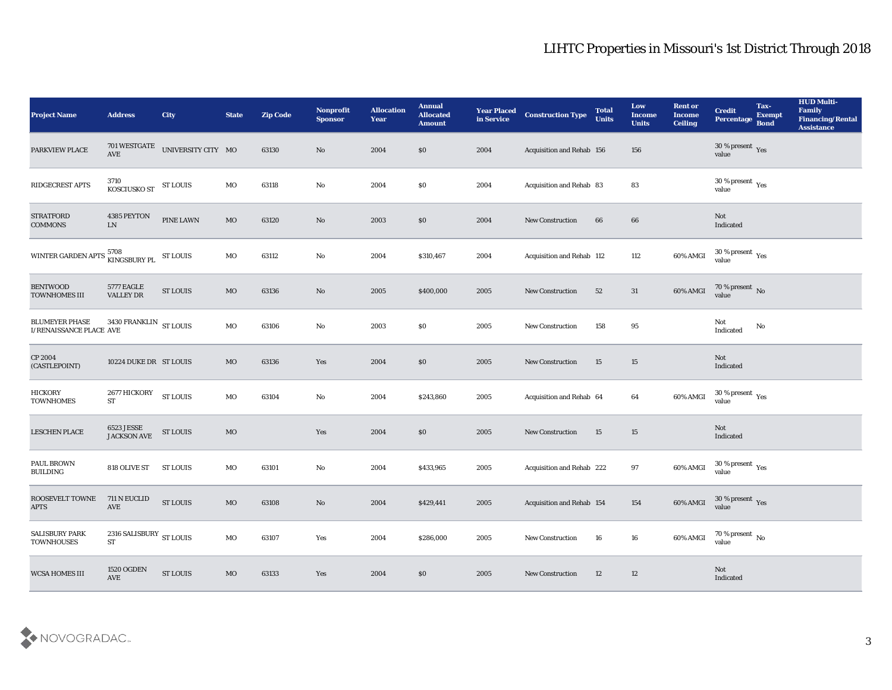| <b>Project Name</b>                                         | <b>Address</b>                                | <b>City</b>        | <b>State</b> | <b>Zip Code</b> | Nonprofit<br><b>Sponsor</b> | <b>Allocation</b><br>Year | <b>Annual</b><br><b>Allocated</b><br><b>Amount</b> | <b>Year Placed</b><br>in Service | <b>Construction Type</b>  | <b>Total</b><br><b>Units</b> | Low<br><b>Income</b><br><b>Units</b> | <b>Rent or</b><br><b>Income</b><br><b>Ceiling</b> | <b>Credit</b><br>Percentage                          | Tax-<br><b>Exempt</b><br><b>Bond</b> | <b>HUD Multi-</b><br>Family<br><b>Financing/Rental</b><br><b>Assistance</b> |
|-------------------------------------------------------------|-----------------------------------------------|--------------------|--------------|-----------------|-----------------------------|---------------------------|----------------------------------------------------|----------------------------------|---------------------------|------------------------------|--------------------------------------|---------------------------------------------------|------------------------------------------------------|--------------------------------------|-----------------------------------------------------------------------------|
| PARKVIEW PLACE                                              | 701 WESTGATE<br>AVE                           | UNIVERSITY CITY MO |              | 63130           | No                          | 2004                      | \$0                                                | 2004                             | Acquisition and Rehab 156 |                              | 156                                  |                                                   | 30 % present $\gamma_{\rm es}$<br>value              |                                      |                                                                             |
| RIDGECREST APTS                                             | 3710<br><b>KOSCIUSKO ST</b>                   | <b>ST LOUIS</b>    | MO           | 63118           | No                          | 2004                      | \$0                                                | 2004                             | Acquisition and Rehab 83  |                              | 83                                   |                                                   | 30 % present $\,\rm \gamma_{\rm es}$<br>value        |                                      |                                                                             |
| <b>STRATFORD</b><br><b>COMMONS</b>                          | 4385 PEYTON<br>LN                             | PINE LAWN          | $_{\rm MO}$  | 63120           | No                          | 2003                      | \$0                                                | 2004                             | New Construction          | 66                           | 66                                   |                                                   | Not<br>Indicated                                     |                                      |                                                                             |
| WINTER GARDEN APTS $_{\hbox{KINGSBURY PL}}^{5708}$ ST LOUIS |                                               |                    | MO           | 63112           | No                          | 2004                      | \$310,467                                          | 2004                             | Acquisition and Rehab 112 |                              | 112                                  | 60% AMGI                                          | $30\,\%$ present $\,$ Yes value                      |                                      |                                                                             |
| <b>BENTWOOD</b><br><b>TOWNHOMES III</b>                     | 5777 EAGLE<br>VALLEY DR                       | <b>ST LOUIS</b>    | MO           | 63136           | No                          | 2005                      | \$400,000                                          | 2005                             | <b>New Construction</b>   | 52                           | 31                                   | 60% AMGI                                          | $70\,\%$ present $\,$ No value                       |                                      |                                                                             |
| <b>BLUMEYER PHASE</b><br>I/RENAISSANCE PLACE AVE            | 3430 FRANKLIN $\,$ ST LOUIS                   |                    | $_{\rm MO}$  | 63106           | No                          | 2003                      | \$0                                                | 2005                             | <b>New Construction</b>   | 158                          | 95                                   |                                                   | Not<br>Indicated                                     | No                                   |                                                                             |
| CP 2004<br>(CASTLEPOINT)                                    | 10224 DUKE DR ST LOUIS                        |                    | MO           | 63136           | Yes                         | 2004                      | \$0                                                | 2005                             | New Construction          | 15                           | 15                                   |                                                   | Not<br>Indicated                                     |                                      |                                                                             |
| <b>HICKORY</b><br><b>TOWNHOMES</b>                          | 2677 HICKORY<br><b>ST</b>                     | <b>ST LOUIS</b>    | $_{\rm MO}$  | 63104           | No                          | 2004                      | \$243,860                                          | 2005                             | Acquisition and Rehab 64  |                              | 64                                   | 60% AMGI                                          | 30 % present $\rm\thinspace\gamma_{\rm es}$<br>value |                                      |                                                                             |
| <b>LESCHEN PLACE</b>                                        | 6523 JESSE<br>JACKSON AVE                     | <b>ST LOUIS</b>    | $_{\rm MO}$  |                 | Yes                         | 2004                      | \$0                                                | 2005                             | New Construction          | 15                           | 15                                   |                                                   | Not<br>Indicated                                     |                                      |                                                                             |
| PAUL BROWN<br><b>BUILDING</b>                               | 818 OLIVE ST                                  | <b>ST LOUIS</b>    | MO           | 63101           | No                          | 2004                      | \$433,965                                          | 2005                             | Acquisition and Rehab 222 |                              | 97                                   | 60% AMGI                                          | $30\,\%$ present $\,$ Yes value                      |                                      |                                                                             |
| ROOSEVELT TOWNE<br><b>APTS</b>                              | 711 N EUCLID<br>AVE                           | <b>ST LOUIS</b>    | <b>MO</b>    | 63108           | No                          | 2004                      | \$429,441                                          | 2005                             | Acquisition and Rehab 154 |                              | 154                                  | 60% AMGI                                          | 30 % present $\gamma_{\rm e s}$<br>value             |                                      |                                                                             |
| <b>SALISBURY PARK</b><br><b>TOWNHOUSES</b>                  | 2316 SALISBURY $_{\rm ST~LOUIS}$<br><b>ST</b> |                    | $_{\rm MO}$  | 63107           | Yes                         | 2004                      | \$286,000                                          | 2005                             | <b>New Construction</b>   | 16                           | 16                                   | 60% AMGI                                          | $70\,\%$ present $\,$ No value                       |                                      |                                                                             |
| <b>WCSA HOMES III</b>                                       | <b>1520 OGDEN</b><br>$\operatorname{AVE}$     | <b>ST LOUIS</b>    | $_{\rm MO}$  | 63133           | Yes                         | 2004                      | $\$0$                                              | 2005                             | <b>New Construction</b>   | 12                           | 12                                   |                                                   | $\operatorname{\bf Not}$<br>Indicated                |                                      |                                                                             |

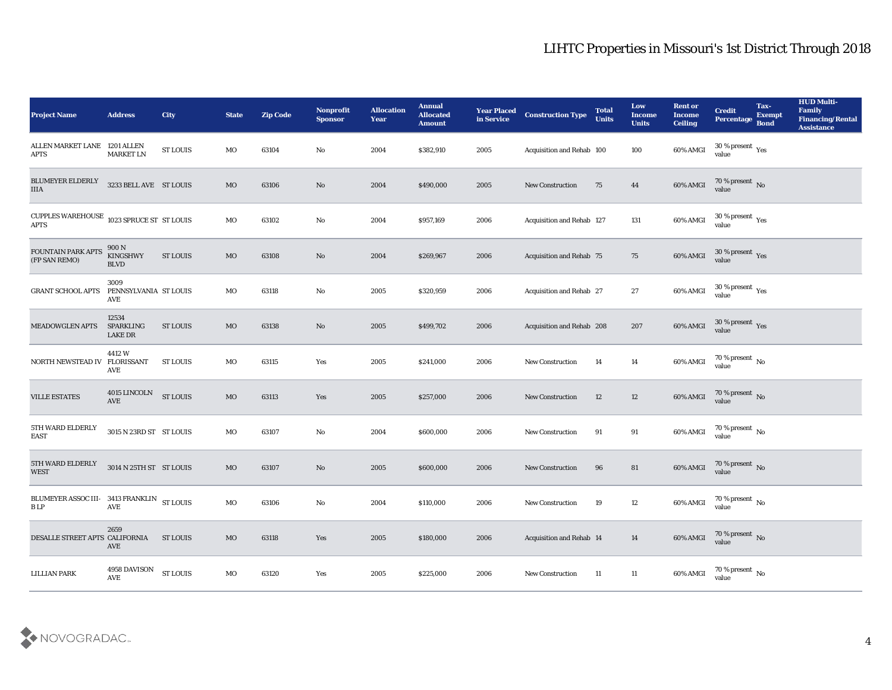| <b>Project Name</b>                                                | <b>Address</b>                              | City            | <b>State</b> | <b>Zip Code</b> | Nonprofit<br><b>Sponsor</b> | <b>Allocation</b><br><b>Year</b> | <b>Annual</b><br><b>Allocated</b><br><b>Amount</b> | <b>Year Placed</b><br>in Service | <b>Construction Type</b>        | <b>Total</b><br><b>Units</b> | Low<br><b>Income</b><br><b>Units</b> | <b>Rent or</b><br><b>Income</b><br><b>Ceiling</b> | <b>Credit</b><br><b>Percentage</b>            | Tax-<br><b>Exempt</b><br><b>Bond</b> | <b>HUD Multi-</b><br>Family<br><b>Financing/Rental</b><br><b>Assistance</b> |
|--------------------------------------------------------------------|---------------------------------------------|-----------------|--------------|-----------------|-----------------------------|----------------------------------|----------------------------------------------------|----------------------------------|---------------------------------|------------------------------|--------------------------------------|---------------------------------------------------|-----------------------------------------------|--------------------------------------|-----------------------------------------------------------------------------|
| ALLEN MARKET LANE<br>APTS                                          | 1201 ALLEN<br><b>MARKET LN</b>              | <b>ST LOUIS</b> | MO           | 63104           | No                          | 2004                             | \$382,910                                          | 2005                             | Acquisition and Rehab 100       |                              | 100                                  | 60% AMGI                                          | 30 % present $\,\rm \gamma_{\rm es}$<br>value |                                      |                                                                             |
| BLUMEYER ELDERLY<br>$\rm IIIA$                                     | 3233 BELL AVE ST LOUIS                      |                 | MO           | 63106           | No                          | 2004                             | \$490,000                                          | 2005                             | <b>New Construction</b>         | 75                           | 44                                   | 60% AMGI                                          | 70 % present No<br>value                      |                                      |                                                                             |
| CUPPLES WAREHOUSE $\,$ 1023 SPRUCE ST $\,$ ST LOUIS<br><b>APTS</b> |                                             |                 | MO           | 63102           | No                          | 2004                             | \$957,169                                          | 2006                             | Acquisition and Rehab 127       |                              | 131                                  | 60% AMGI                                          | $30\,\%$ present $\,$ Yes value               |                                      |                                                                             |
| <b>FOUNTAIN PARK APTS</b><br>(FP SAN REMO)                         | 900 N<br><b>KINGSHWY</b><br><b>BLVD</b>     | <b>ST LOUIS</b> | $_{\rm MO}$  | 63108           | No                          | 2004                             | \$269,967                                          | 2006                             | Acquisition and Rehab 75        |                              | 75                                   | 60% AMGI                                          | $30\,\%$ present $\,$ Yes value               |                                      |                                                                             |
| <b>GRANT SCHOOL APTS</b>                                           | 3009<br>PENNSYLVANIA ST LOUIS<br>AVE        |                 | MO           | 63118           | No                          | 2005                             | \$320,959                                          | 2006                             | <b>Acquisition and Rehab 27</b> |                              | 27                                   | 60% AMGI                                          | 30 % present $\,\rm \gamma_{\rm es}$<br>value |                                      |                                                                             |
| <b>MEADOWGLEN APTS</b>                                             | 12534<br><b>SPARKLING</b><br><b>LAKE DR</b> | <b>ST LOUIS</b> | MO           | 63138           | No                          | 2005                             | \$499,702                                          | 2006                             | Acquisition and Rehab 208       |                              | 207                                  | 60% AMGI                                          | $30\,\%$ present $\,$ Yes value               |                                      |                                                                             |
| NORTH NEWSTEAD IV FLORISSANT                                       | 4412W<br>AVE                                | <b>ST LOUIS</b> | MO           | 63115           | Yes                         | 2005                             | \$241,000                                          | 2006                             | <b>New Construction</b>         | 14                           | 14                                   | 60% AMGI                                          | $70\,\%$ present $\,$ No value                |                                      |                                                                             |
| <b>VILLE ESTATES</b>                                               | 4015 LINCOLN<br><b>AVE</b>                  | <b>ST LOUIS</b> | $_{\rm MO}$  | 63113           | Yes                         | 2005                             | \$257,000                                          | 2006                             | <b>New Construction</b>         | 12                           | 12                                   | 60% AMGI                                          | 70 % present No<br>value                      |                                      |                                                                             |
| 5TH WARD ELDERLY<br><b>EAST</b>                                    | 3015 N 23RD ST ST LOUIS                     |                 | MO           | 63107           | No                          | 2004                             | \$600,000                                          | 2006                             | <b>New Construction</b>         | 91                           | 91                                   | 60% AMGI                                          | 70 % present $\,$ No $\,$<br>value            |                                      |                                                                             |
| 5TH WARD ELDERLY<br><b>WEST</b>                                    | 3014 N 25TH ST ST LOUIS                     |                 | MO           | 63107           | No                          | 2005                             | \$600,000                                          | 2006                             | <b>New Construction</b>         | 96                           | 81                                   | 60% AMGI                                          | $70\,\%$ present $\,$ No value                |                                      |                                                                             |
| BLUMEYER ASSOC III- 3413 FRANKLIN ST LOUIS<br>$\mathbf B$ LP       | AVE                                         |                 | MO           | 63106           | No                          | 2004                             | \$110,000                                          | 2006                             | <b>New Construction</b>         | 19                           | 12                                   | 60% AMGI                                          | 70 % present $\,$ No $\,$<br>value            |                                      |                                                                             |
| DESALLE STREET APTS CALIFORNIA                                     | 2659<br>AVE                                 | <b>ST LOUIS</b> | $_{\rm MO}$  | 63118           | $\mathbf{Yes}$              | 2005                             | \$180,000                                          | 2006                             | Acquisition and Rehab 14        |                              | 14                                   | $60\%$ AMGI                                       | $70$ % present $\,$ No $\,$ value             |                                      |                                                                             |
| <b>LILLIAN PARK</b>                                                | 4958 DAVISON<br>AVE                         | <b>ST LOUIS</b> | $\rm MO$     | 63120           | $\mathbf{Yes}$              | 2005                             | \$225,000                                          | 2006                             | New Construction                | 11                           | $11\,$                               | 60% AMGI                                          | $70\,\%$ present $\,$ No value                |                                      |                                                                             |

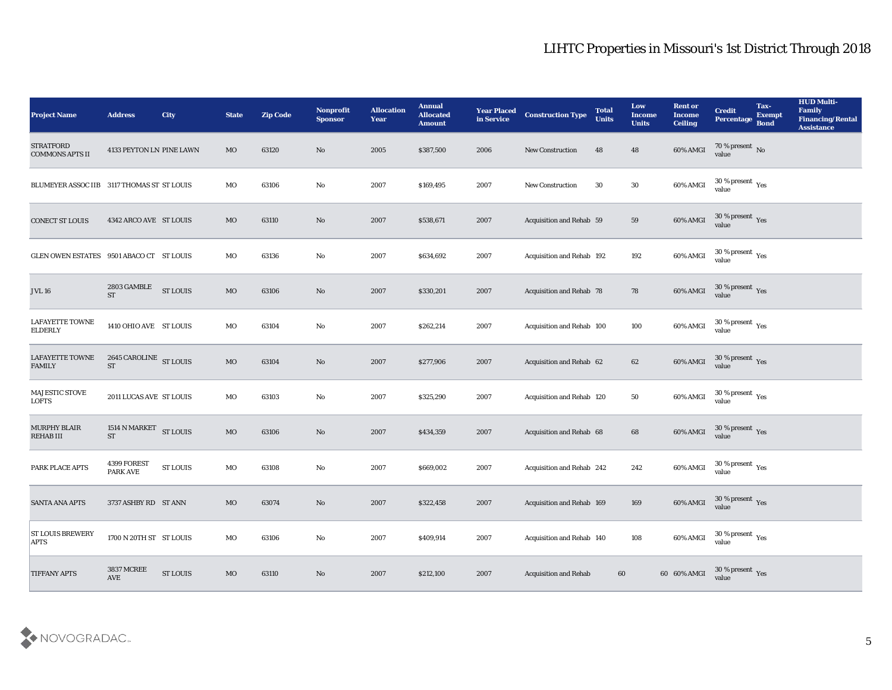| <b>Project Name</b>                        | <b>Address</b>                           | City            | <b>State</b> | <b>Zip Code</b> | Nonprofit<br><b>Sponsor</b> | <b>Allocation</b><br>Year | <b>Annual</b><br><b>Allocated</b><br><b>Amount</b> | <b>Year Placed</b><br>in Service | <b>Construction Type</b>        | <b>Total</b><br><b>Units</b> | Low<br><b>Income</b><br><b>Units</b> | <b>Rent or</b><br><b>Income</b><br><b>Ceiling</b> | <b>Credit</b><br><b>Percentage</b>                   | Tax-<br><b>Exempt</b><br><b>Bond</b> | <b>HUD Multi-</b><br>Family<br><b>Financing/Rental</b><br><b>Assistance</b> |
|--------------------------------------------|------------------------------------------|-----------------|--------------|-----------------|-----------------------------|---------------------------|----------------------------------------------------|----------------------------------|---------------------------------|------------------------------|--------------------------------------|---------------------------------------------------|------------------------------------------------------|--------------------------------------|-----------------------------------------------------------------------------|
| <b>STRATFORD</b><br><b>COMMONS APTS II</b> | 4133 PEYTON LN PINE LAWN                 |                 | MO           | 63120           | No                          | 2005                      | \$387,500                                          | 2006                             | New Construction                | 48                           | 48                                   | 60% AMGI                                          | $70\%$ present No<br>value                           |                                      |                                                                             |
| <b>BLUMEYER ASSOC IIB</b>                  | 3117 THOMAS ST ST LOUIS                  |                 | MO           | 63106           | No                          | 2007                      | \$169,495                                          | 2007                             | <b>New Construction</b>         | 30                           | 30                                   | 60% AMGI                                          | $30\,\%$ present $\,$ Yes value                      |                                      |                                                                             |
| <b>CONECT ST LOUIS</b>                     | 4342 ARCO AVE ST LOUIS                   |                 | MO           | 63110           | No                          | 2007                      | \$538,671                                          | 2007                             | Acquisition and Rehab 59        |                              | 59                                   | 60% AMGI                                          | $30\,\%$ present $\,$ Yes value                      |                                      |                                                                             |
| <b>GLEN OWEN ESTATES</b>                   | 9501 ABACO CT ST LOUIS                   |                 | MO           | 63136           | No                          | 2007                      | \$634,692                                          | 2007                             | Acquisition and Rehab 192       |                              | 192                                  | 60% AMGI                                          | $30\,\%$ present $\,$ Yes value                      |                                      |                                                                             |
| <b>JVL 16</b>                              | 2803 GAMBLE<br><b>ST</b>                 | <b>ST LOUIS</b> | $_{\rm MO}$  | 63106           | No                          | 2007                      | \$330,201                                          | 2007                             | <b>Acquisition and Rehab 78</b> |                              | 78                                   | 60% AMGI                                          | $30\,\%$ present $\,$ Yes value                      |                                      |                                                                             |
| LAFAYETTE TOWNE<br><b>ELDERLY</b>          | 1410 OHIO AVE ST LOUIS                   |                 | MO           | 63104           | No                          | 2007                      | \$262,214                                          | 2007                             | Acquisition and Rehab 100       |                              | 100                                  | 60% AMGI                                          | $30\,\%$ present $\,$ Yes value                      |                                      |                                                                             |
| <b>LAFAYETTE TOWNE</b><br><b>FAMILY</b>    | 2645 CAROLINE ST LOUIS<br><b>ST</b>      |                 | $_{\rm MO}$  | 63104           | No                          | 2007                      | \$277,906                                          | 2007                             | Acquisition and Rehab 62        |                              | 62                                   | 60% AMGI                                          | $30\,\%$ present $\,$ Yes value                      |                                      |                                                                             |
| MAJESTIC STOVE<br><b>LOFTS</b>             | 2011 LUCAS AVE ST LOUIS                  |                 | MO           | 63103           | No                          | 2007                      | \$325,290                                          | 2007                             | Acquisition and Rehab 120       |                              | 50                                   | 60% AMGI                                          | 30 % present $\rm\thinspace\gamma_{\rm es}$<br>value |                                      |                                                                             |
| <b>MURPHY BLAIR</b><br><b>REHABIII</b>     | 1514 N MARKET $\,$ ST LOUIS<br><b>ST</b> |                 | $_{\rm MO}$  | 63106           | No                          | 2007                      | \$434,359                                          | 2007                             | Acquisition and Rehab 68        |                              | 68                                   | 60% AMGI                                          | $30\,\%$ present $\,$ Yes value                      |                                      |                                                                             |
| PARK PLACE APTS                            | 4399 FOREST<br>PARK AVE                  | <b>ST LOUIS</b> | MO           | 63108           | No                          | 2007                      | \$669,002                                          | 2007                             | Acquisition and Rehab 242       |                              | 242                                  | 60% AMGI                                          | $30\,\%$ present $\,$ Yes value                      |                                      |                                                                             |
| <b>SANTA ANA APTS</b>                      | 3737 ASHBY RD ST ANN                     |                 | MO           | 63074           | No                          | 2007                      | \$322,458                                          | 2007                             | Acquisition and Rehab 169       |                              | 169                                  | 60% AMGI                                          | 30 % present Yes<br>value                            |                                      |                                                                             |
| <b>ST LOUIS BREWERY</b><br><b>APTS</b>     | 1700 N 20TH ST ST LOUIS                  |                 | $_{\rm MO}$  | 63106           | $\rm\, No$                  | 2007                      | \$409,914                                          | 2007                             | Acquisition and Rehab 140       |                              | 108                                  | 60% AMGI                                          | $30\,\%$ present $\,$ Yes value                      |                                      |                                                                             |
| <b>TIFFANY APTS</b>                        | <b>3837 MCREE</b><br>AVE                 | <b>ST LOUIS</b> | $_{\rm MO}$  | 63110           | $\rm \bf No$                | 2007                      | \$212,100                                          | 2007                             | <b>Acquisition and Rehab</b>    | 60                           |                                      | 60 60% AMGI                                       | $30$ % present $\,$ $\rm Yes$<br>value               |                                      |                                                                             |

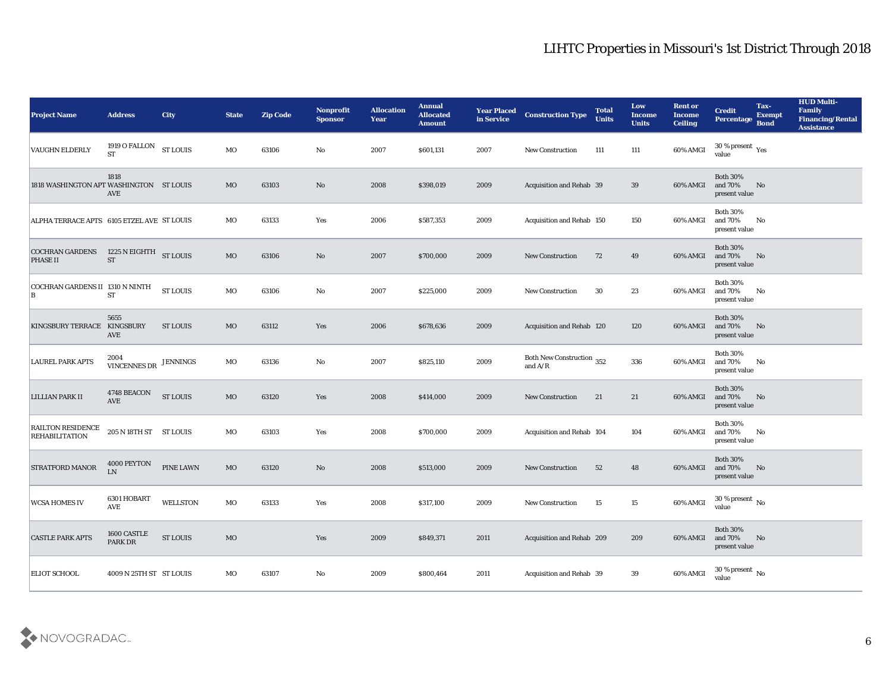| <b>Project Name</b>                               | <b>Address</b>              | <b>City</b>      | <b>State</b> | <b>Zip Code</b> | Nonprofit<br><b>Sponsor</b> | <b>Allocation</b><br><b>Year</b> | <b>Annual</b><br><b>Allocated</b><br><b>Amount</b> | <b>Year Placed</b><br>in Service | <b>Construction Type</b>               | <b>Total</b><br><b>Units</b> | Low<br><b>Income</b><br><b>Units</b> | <b>Rent or</b><br><b>Income</b><br><b>Ceiling</b> | <b>Credit</b><br>Percentage                 | Tax-<br><b>Exempt</b><br><b>Bond</b> | <b>HUD Multi-</b><br>Family<br><b>Financing/Rental</b><br><b>Assistance</b> |
|---------------------------------------------------|-----------------------------|------------------|--------------|-----------------|-----------------------------|----------------------------------|----------------------------------------------------|----------------------------------|----------------------------------------|------------------------------|--------------------------------------|---------------------------------------------------|---------------------------------------------|--------------------------------------|-----------------------------------------------------------------------------|
| <b>VAUGHN ELDERLY</b>                             | 1919 O FALLON<br><b>ST</b>  | <b>ST LOUIS</b>  | MO           | 63106           | No                          | 2007                             | \$601,131                                          | 2007                             | <b>New Construction</b>                | 111                          | 111                                  | 60% AMGI                                          | 30 % present $\rm\,Yes$<br>value            |                                      |                                                                             |
| 1818 WASHINGTON APT WASHINGTON ST LOUIS           | 1818<br><b>AVE</b>          |                  | MO           | 63103           | No                          | 2008                             | \$398,019                                          | 2009                             | Acquisition and Rehab 39               |                              | 39                                   | 60% AMGI                                          | <b>Both 30%</b><br>and 70%<br>present value | No                                   |                                                                             |
| ALPHA TERRACE APTS 6105 ETZEL AVE ST LOUIS        |                             |                  | MO           | 63133           | Yes                         | 2006                             | \$587,353                                          | 2009                             | Acquisition and Rehab 150              |                              | 150                                  | 60% AMGI                                          | <b>Both 30%</b><br>and 70%<br>present value | No                                   |                                                                             |
| <b>COCHRAN GARDENS</b><br><b>PHASE II</b>         | 1225 N EIGHTH<br><b>ST</b>  | <b>ST LOUIS</b>  | $_{\rm MO}$  | 63106           | No                          | 2007                             | \$700,000                                          | 2009                             | <b>New Construction</b>                | 72                           | 49                                   | 60% AMGI                                          | <b>Both 30%</b><br>and 70%<br>present value | No                                   |                                                                             |
| COCHRAN GARDENS II 1310 N NINTH<br>В              | <b>ST</b>                   | <b>ST LOUIS</b>  | MO           | 63106           | No                          | 2007                             | \$225,000                                          | 2009                             | <b>New Construction</b>                | 30                           | 23                                   | 60% AMGI                                          | <b>Both 30%</b><br>and 70%<br>present value | No                                   |                                                                             |
| KINGSBURY TERRACE KINGSBURY                       | 5655<br><b>AVE</b>          | ST LOUIS         | MO           | 63112           | Yes                         | 2006                             | \$678,636                                          | 2009                             | Acquisition and Rehab 120              |                              | 120                                  | 60% AMGI                                          | <b>Both 30%</b><br>and 70%<br>present value | No                                   |                                                                             |
| <b>LAUREL PARK APTS</b>                           | 2004<br><b>VINCENNES DR</b> | JENNINGS         | MO           | 63136           | No                          | 2007                             | \$825,110                                          | 2009                             | Both New Construction 352<br>and $A/R$ |                              | 336                                  | 60% AMGI                                          | <b>Both 30%</b><br>and 70%<br>present value | No                                   |                                                                             |
| <b>LILLIAN PARK II</b>                            | 4748 BEACON<br><b>AVE</b>   | <b>ST LOUIS</b>  | $_{\rm MO}$  | 63120           | Yes                         | 2008                             | \$414,000                                          | 2009                             | <b>New Construction</b>                | 21                           | 21                                   | 60% AMGI                                          | <b>Both 30%</b><br>and 70%<br>present value | No                                   |                                                                             |
| <b>RAILTON RESIDENCE</b><br><b>REHABILITATION</b> | 205 N 18TH ST ST LOUIS      |                  | MO           | 63103           | Yes                         | 2008                             | \$700,000                                          | 2009                             | Acquisition and Rehab 104              |                              | 104                                  | 60% AMGI                                          | <b>Both 30%</b><br>and 70%<br>present value | No                                   |                                                                             |
| <b>STRATFORD MANOR</b>                            | 4000 PEYTON<br>LN           | <b>PINE LAWN</b> | MO           | 63120           | No                          | 2008                             | \$513,000                                          | 2009                             | <b>New Construction</b>                | 52                           | 48                                   | 60% AMGI                                          | <b>Both 30%</b><br>and 70%<br>present value | No                                   |                                                                             |
| <b>WCSA HOMES IV</b>                              | 6301 HOBART<br><b>AVE</b>   | <b>WELLSTON</b>  | MO           | 63133           | Yes                         | 2008                             | \$317,100                                          | 2009                             | <b>New Construction</b>                | 15                           | 15                                   | 60% AMGI                                          | 30 % present $\,$ No $\,$<br>value          |                                      |                                                                             |
| <b>CASTLE PARK APTS</b>                           | 1600 CASTLE<br>PARK DR      | <b>ST LOUIS</b>  | MO           |                 | $\mathbf{Yes}$              | 2009                             | \$849,371                                          | 2011                             | Acquisition and Rehab 209              |                              | 209                                  | 60% AMGI                                          | Both $30\%$<br>and 70%<br>present value     | No                                   |                                                                             |
| <b>ELIOT SCHOOL</b>                               | 4009 N 25TH ST ST LOUIS     |                  | MO           | 63107           | $\mathbf {No}$              | 2009                             | \$800,464                                          | 2011                             | Acquisition and Rehab 39               |                              | $39\,$                               | 60% AMGI                                          | 30 % present $\,$ No $\,$<br>value          |                                      |                                                                             |

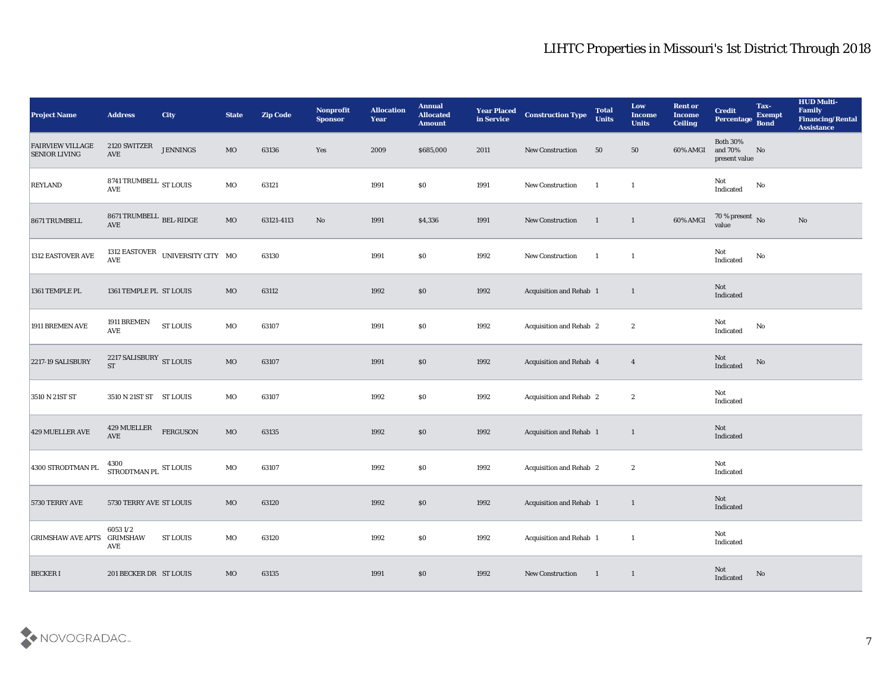| <b>Project Name</b>                             | <b>Address</b>                                          | <b>City</b>                          | <b>State</b> | <b>Zip Code</b> | Nonprofit<br><b>Sponsor</b> | <b>Allocation</b><br><b>Year</b> | <b>Annual</b><br>Allocated<br><b>Amount</b> | <b>Year Placed</b><br>in Service | <b>Construction Type</b>       | <b>Total</b><br><b>Units</b> | Low<br><b>Income</b><br><b>Units</b> | <b>Rent or</b><br><b>Income</b><br><b>Ceiling</b> | <b>Credit</b><br>Percentage Bond            | Tax-<br><b>Exempt</b> | <b>HUD Multi-</b><br>Family<br><b>Financing/Rental</b><br><b>Assistance</b> |
|-------------------------------------------------|---------------------------------------------------------|--------------------------------------|--------------|-----------------|-----------------------------|----------------------------------|---------------------------------------------|----------------------------------|--------------------------------|------------------------------|--------------------------------------|---------------------------------------------------|---------------------------------------------|-----------------------|-----------------------------------------------------------------------------|
| <b>FAIRVIEW VILLAGE</b><br><b>SENIOR LIVING</b> | 2120 SWITZER<br>AVE                                     | <b>JENNINGS</b>                      | MO           | 63136           | Yes                         | 2009                             | \$685,000                                   | 2011                             | New Construction               | 50                           | 50                                   | 60% AMGI                                          | <b>Both 30%</b><br>and 70%<br>present value | No                    |                                                                             |
| <b>REYLAND</b>                                  | 8741 TRUMBELL $_{\rm ST~LOUIS}$<br>$\operatorname{AVE}$ |                                      | MO           | 63121           |                             | 1991                             | $\$0$                                       | 1991                             | New Construction               | $\blacksquare$               | 1                                    |                                                   | Not<br>Indicated                            | No                    |                                                                             |
| 8671 TRUMBELL                                   | 8671 TRUMBELL $_{\rm BEL\text{-}RIDGE}$<br>AVE          |                                      | MO           | 63121-4113      | No                          | 1991                             | \$4,336                                     | 1991                             | New Construction               | $\blacksquare$               | $\mathbf{1}$                         | 60% AMGI                                          | $70\,\%$ present $\,$ No value              |                       | $\mathbf{N}\mathbf{o}$                                                      |
| 1312 EASTOVER AVE                               | <b>AVE</b>                                              | 1312 EASTOVER UNIVERSITY CITY MO     |              | 63130           |                             | 1991                             | \$0\$                                       | 1992                             | New Construction               | $\overline{1}$               | $\mathbf{1}$                         |                                                   | Not<br>$\operatorname{Indicated}$           | No                    |                                                                             |
| 1361 TEMPLE PL                                  | 1361 TEMPLE PL ST LOUIS                                 |                                      | MO           | 63112           |                             | 1992                             | \$0\$                                       | 1992                             | Acquisition and Rehab 1        |                              | $\mathbf{1}$                         |                                                   | Not<br>Indicated                            |                       |                                                                             |
| 1911 BREMEN AVE                                 | 1911 BREMEN<br>AVE                                      | ${\hbox{\footnotesize\rm ST}}$ LOUIS | MO           | 63107           |                             | 1991                             | \$0\$                                       | 1992                             | Acquisition and Rehab 2        |                              | $\boldsymbol{2}$                     |                                                   | Not<br>Indicated                            | No                    |                                                                             |
| 2217-19 SALISBURY                               | $2217$ SALISBURY $$\rm{ST}$ LOUIS $$$                   |                                      | MO           | 63107           |                             | 1991                             | \$0                                         | 1992                             | Acquisition and Rehab 4        |                              | $\overline{4}$                       |                                                   | Not<br>Indicated                            | No                    |                                                                             |
| 3510 N 21ST ST                                  | 3510 N 21ST ST ST LOUIS                                 |                                      | MO           | 63107           |                             | 1992                             | \$0                                         | 1992                             | <b>Acquisition and Rehab 2</b> |                              | $\boldsymbol{2}$                     |                                                   | Not<br>Indicated                            |                       |                                                                             |
| 429 MUELLER AVE                                 | 429 MUELLER<br>AVE                                      | <b>FERGUSON</b>                      | MO           | 63135           |                             | 1992                             | \$0                                         | 1992                             | Acquisition and Rehab 1        |                              | $\mathbf{1}$                         |                                                   | Not<br>Indicated                            |                       |                                                                             |
| 4300 STRODTMAN PL                               | 4300<br>STRODTMAN PL ST LOUIS                           |                                      | MO           | 63107           |                             | 1992                             | \$0\$                                       | 1992                             | <b>Acquisition and Rehab 2</b> |                              | $\boldsymbol{2}$                     |                                                   | Not<br>Indicated                            |                       |                                                                             |
| 5730 TERRY AVE                                  | 5730 TERRY AVE ST LOUIS                                 |                                      | MO           | 63120           |                             | 1992                             | \$0\$                                       | 1992                             | Acquisition and Rehab 1        |                              | 1                                    |                                                   | Not<br>Indicated                            |                       |                                                                             |
| <b>GRIMSHAW AVE APTS</b>                        | 60531/2<br><b>GRIMSHAW</b><br>AVE                       | <b>ST LOUIS</b>                      | MO           | 63120           |                             | 1992                             | $\$0$                                       | 1992                             | Acquisition and Rehab 1        |                              | <sup>1</sup>                         |                                                   | Not<br>Indicated                            |                       |                                                                             |
| <b>BECKERI</b>                                  | 201 BECKER DR ST LOUIS                                  |                                      | $_{\rm MO}$  | 63135           |                             | 1991                             | $\$0$                                       | 1992                             | New Construction               | $\blacksquare$               | $\mathbf{1}$                         |                                                   | Not<br>Indicated                            | No                    |                                                                             |

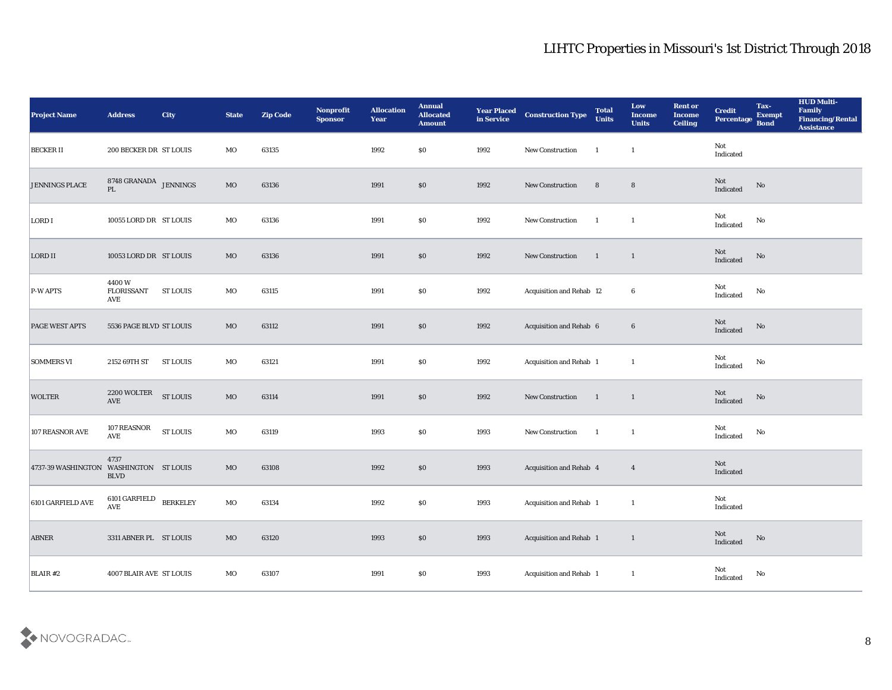| <b>Project Name</b>                    | <b>Address</b>                          | City            | <b>State</b> | <b>Zip Code</b> | Nonprofit<br>Sponsor | <b>Allocation</b><br><b>Year</b> | <b>Annual</b><br><b>Allocated</b><br><b>Amount</b> | <b>Year Placed</b><br>in Service | <b>Construction Type</b>        | <b>Total</b><br><b>Units</b> | Low<br><b>Income</b><br><b>Units</b> | <b>Rent or</b><br><b>Income</b><br><b>Ceiling</b> | <b>Credit</b><br>Percentage Bond | Tax-<br><b>Exempt</b> | <b>HUD Multi-</b><br>Family<br><b>Financing/Rental</b><br>Assistance |
|----------------------------------------|-----------------------------------------|-----------------|--------------|-----------------|----------------------|----------------------------------|----------------------------------------------------|----------------------------------|---------------------------------|------------------------------|--------------------------------------|---------------------------------------------------|----------------------------------|-----------------------|----------------------------------------------------------------------|
| <b>BECKER II</b>                       | 200 BECKER DR ST LOUIS                  |                 | MO           | 63135           |                      | 1992                             | $\$0$                                              | 1992                             | New Construction                | -1                           | <sup>1</sup>                         |                                                   | Not<br>Indicated                 |                       |                                                                      |
| <b>JENNINGS PLACE</b>                  | $8748$ GRANADA $\,$ JENNINGS $\,$<br>PL |                 | $_{\rm MO}$  | 63136           |                      | 1991                             | \$0                                                | 1992                             | New Construction                | 8                            | $8\phantom{1}$                       |                                                   | Not<br>Indicated                 | No                    |                                                                      |
| LORD I                                 | 10055 LORD DR ST LOUIS                  |                 | MO           | 63136           |                      | 1991                             | \$0                                                | 1992                             | New Construction                | $\blacksquare$               | $\mathbf{1}$                         |                                                   | Not<br>Indicated                 | No                    |                                                                      |
| LORD II                                | 10053 LORD DR ST LOUIS                  |                 | MO           | 63136           |                      | 1991                             | \$0                                                | 1992                             | <b>New Construction</b>         | $\blacksquare$               | $\mathbf{1}$                         |                                                   | Not<br>Indicated                 | No                    |                                                                      |
| $P-W$ APTS                             | 4400W<br><b>FLORISSANT</b><br>AVE       | <b>ST LOUIS</b> | MO           | 63115           |                      | 1991                             | \$0                                                | 1992                             | <b>Acquisition and Rehab 12</b> |                              | 6                                    |                                                   | Not<br>Indicated                 | No                    |                                                                      |
| PAGE WEST APTS                         | 5536 PAGE BLVD ST LOUIS                 |                 | MO           | 63112           |                      | 1991                             | \$0                                                | 1992                             | Acquisition and Rehab 6         |                              | $6\phantom{.}6$                      |                                                   | Not<br>Indicated                 | No                    |                                                                      |
| <b>SOMMERS VI</b>                      | 2152 69TH ST                            | <b>ST LOUIS</b> | MO           | 63121           |                      | 1991                             | $\$0$                                              | 1992                             | Acquisition and Rehab 1         |                              | $\mathbf{1}$                         |                                                   | Not<br>Indicated                 | No                    |                                                                      |
| <b>WOLTER</b>                          | 2200 WOLTER<br><b>AVE</b>               | <b>ST LOUIS</b> | $_{\rm MO}$  | 63114           |                      | 1991                             | \$0                                                | 1992                             | <b>New Construction</b>         | $\blacksquare$               | $\overline{1}$                       |                                                   | Not<br>Indicated                 | No                    |                                                                      |
| 107 REASNOR AVE                        | 107 REASNOR<br>AVE                      | <b>ST LOUIS</b> | MO           | 63119           |                      | 1993                             | \$0\$                                              | 1993                             | New Construction                | $\blacksquare$               | <sup>1</sup>                         |                                                   | Not<br>Indicated                 | No                    |                                                                      |
| 4737-39 WASHINGTON WASHINGTON ST LOUIS | 4737<br><b>BLVD</b>                     |                 | MO           | 63108           |                      | 1992                             | \$0                                                | 1993                             | Acquisition and Rehab 4         |                              | $\overline{4}$                       |                                                   | <b>Not</b><br>Indicated          |                       |                                                                      |
| 6101 GARFIELD AVE                      | 6101 GARFIELD<br>$\operatorname{AVE}$   | <b>BERKELEY</b> | MO           | 63134           |                      | 1992                             | \$0\$                                              | 1993                             | Acquisition and Rehab 1         |                              | -1                                   |                                                   | Not<br>Indicated                 |                       |                                                                      |
| <b>ABNER</b>                           | 3311 ABNER PL ST LOUIS                  |                 | $_{\rm MO}$  | 63120           |                      | 1993                             | $\$0$                                              | 1993                             | Acquisition and Rehab 1         |                              | $\mathbf{1}$                         |                                                   | Not<br>Indicated                 | ${\bf No}$            |                                                                      |
| BLAIR #2                               | 4007 BLAIR AVE ST LOUIS                 |                 | $_{\rm MO}$  | 63107           |                      | 1991                             | $\$0$                                              | 1993                             | Acquisition and Rehab 1         |                              | $\mathbf{1}$                         |                                                   | Not<br>Indicated                 | ${\bf No}$            |                                                                      |

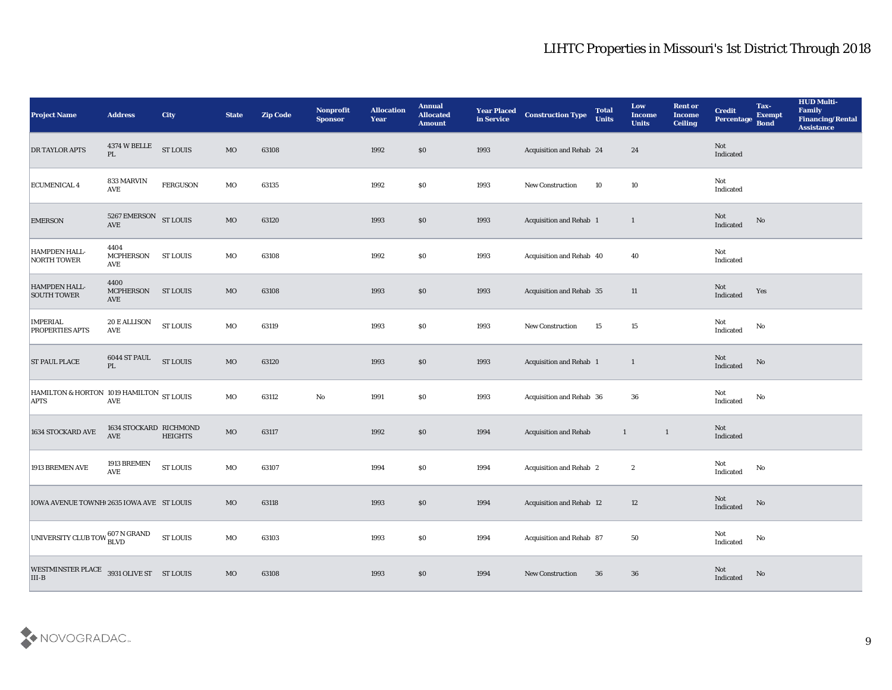| <b>Project Name</b>                                                                                                    | <b>Address</b>                       | <b>City</b>                          | <b>State</b> | <b>Zip Code</b> | Nonprofit<br><b>Sponsor</b> | <b>Allocation</b><br><b>Year</b> | <b>Annual</b><br><b>Allocated</b><br><b>Amount</b> | <b>Year Placed</b><br>in Service | <b>Construction Type</b>       | <b>Total</b><br><b>Units</b> | Low<br><b>Income</b><br><b>Units</b> | <b>Rent or</b><br><b>Income</b><br><b>Ceiling</b> | <b>Credit</b><br>Percentage Bond  | Tax-<br><b>Exempt</b> | <b>HUD Multi-</b><br>Family<br><b>Financing/Rental</b><br><b>Assistance</b> |
|------------------------------------------------------------------------------------------------------------------------|--------------------------------------|--------------------------------------|--------------|-----------------|-----------------------------|----------------------------------|----------------------------------------------------|----------------------------------|--------------------------------|------------------------------|--------------------------------------|---------------------------------------------------|-----------------------------------|-----------------------|-----------------------------------------------------------------------------|
| DR TAYLOR APTS                                                                                                         | 4374 W BELLE<br>$\mathbf{PL}$        | <b>ST LOUIS</b>                      | $_{\rm MO}$  | 63108           |                             | 1992                             | $\$0$                                              | 1993                             | Acquisition and Rehab 24       |                              | 24                                   |                                                   | Not<br>Indicated                  |                       |                                                                             |
| ECUMENICAL 4                                                                                                           | 833 MARVIN<br>AVE                    | <b>FERGUSON</b>                      | MO           | 63135           |                             | 1992                             | \$0                                                | 1993                             | <b>New Construction</b>        | 10                           | 10                                   |                                                   | Not<br>Indicated                  |                       |                                                                             |
| <b>EMERSON</b>                                                                                                         | 5267 EMERSON<br>$\operatorname{AVE}$ | <b>ST LOUIS</b>                      | $_{\rm MO}$  | 63120           |                             | 1993                             | $\$0$                                              | 1993                             | Acquisition and Rehab 1        |                              | $\mathbf{1}$                         |                                                   | Not<br>Indicated                  | No                    |                                                                             |
| HAMPDEN HALL-<br>NORTH TOWER                                                                                           | 4404<br><b>MCPHERSON</b><br>AVE      | <b>ST LOUIS</b>                      | MO           | 63108           |                             | 1992                             | $\boldsymbol{\mathsf{S}}\boldsymbol{\mathsf{0}}$   | 1993                             | Acquisition and Rehab 40       |                              | 40                                   |                                                   | Not<br>Indicated                  |                       |                                                                             |
| HAMPDEN HALL-<br><b>SOUTH TOWER</b>                                                                                    | 4400<br><b>MCPHERSON</b><br>AVE      | ST LOUIS                             | MO           | 63108           |                             | 1993                             | $\$0$                                              | 1993                             | Acquisition and Rehab 35       |                              | 11                                   |                                                   | Not<br>Indicated                  | Yes                   |                                                                             |
| <b>IMPERIAL</b><br><b>PROPERTIES APTS</b>                                                                              | 20 E ALLISON<br>AVE                  | <b>ST LOUIS</b>                      | MO           | 63119           |                             | 1993                             | $\boldsymbol{\mathsf{S}}\boldsymbol{\mathsf{0}}$   | 1993                             | <b>New Construction</b>        | 15                           | 15                                   |                                                   | Not<br>Indicated                  | No                    |                                                                             |
| <b>ST PAUL PLACE</b>                                                                                                   | 6044 ST PAUL<br>PL                   | <b>ST LOUIS</b>                      | $_{\rm MO}$  | 63120           |                             | 1993                             | $\$0$                                              | 1993                             | Acquisition and Rehab 1        |                              | $\mathbf{1}$                         |                                                   | Not<br>Indicated                  | No                    |                                                                             |
| HAMILTON & HORTON 1019 HAMILTON ST LOUIS<br><b>APTS</b>                                                                | AVE                                  |                                      | MO           | 63112           | $\mathbf {No}$              | 1991                             | \$0                                                | 1993                             | Acquisition and Rehab 36       |                              | 36                                   |                                                   | Not<br>Indicated                  | No                    |                                                                             |
| 1634 STOCKARD AVE                                                                                                      | 1634 STOCKARD RICHMOND<br>AVE        | <b>HEIGHTS</b>                       | $_{\rm MO}$  | 63117           |                             | 1992                             | \$0                                                | 1994                             | <b>Acquisition and Rehab</b>   | $\mathbf{1}$                 | $\overline{1}$                       |                                                   | Not<br>Indicated                  |                       |                                                                             |
| 1913 BREMEN AVE                                                                                                        | 1913 BREMEN<br>$\operatorname{AVE}$  | ${\hbox{\footnotesize\rm ST}}$ LOUIS | MO           | 63107           |                             | 1994                             | $\$0$                                              | 1994                             | <b>Acquisition and Rehab 2</b> |                              | $\boldsymbol{2}$                     |                                                   | Not<br>Indicated                  | No                    |                                                                             |
| IOWA AVENUE TOWNH 2635 IOWA AVE ST LOUIS                                                                               |                                      |                                      | MO           | 63118           |                             | 1993                             | \$0                                                | 1994                             | Acquisition and Rehab 12       |                              | 12                                   |                                                   | Not<br>Indicated                  | No                    |                                                                             |
| UNIVERSITY CLUB TOW 607 N GRAND                                                                                        |                                      | <b>ST LOUIS</b>                      | $_{\rm MO}$  | 63103           |                             | 1993                             | $\$0$                                              | 1994                             | Acquisition and Rehab 87       |                              | ${\bf 50}$                           |                                                   | Not<br>$\operatorname{Indicated}$ | No                    |                                                                             |
| $\begin{tabular}{ll} \bf{WESTMINSTER \; PLACE} & 3931 \; OLIVE \; ST & \; ST \; LOUIS \\ \hline III-B & \end{tabular}$ |                                      |                                      | $\rm MO$     | 63108           |                             | 1993                             | $\$0$                                              | 1994                             | New Construction               | 36                           | 36                                   |                                                   | Not<br>Indicated                  | $\rm No$              |                                                                             |

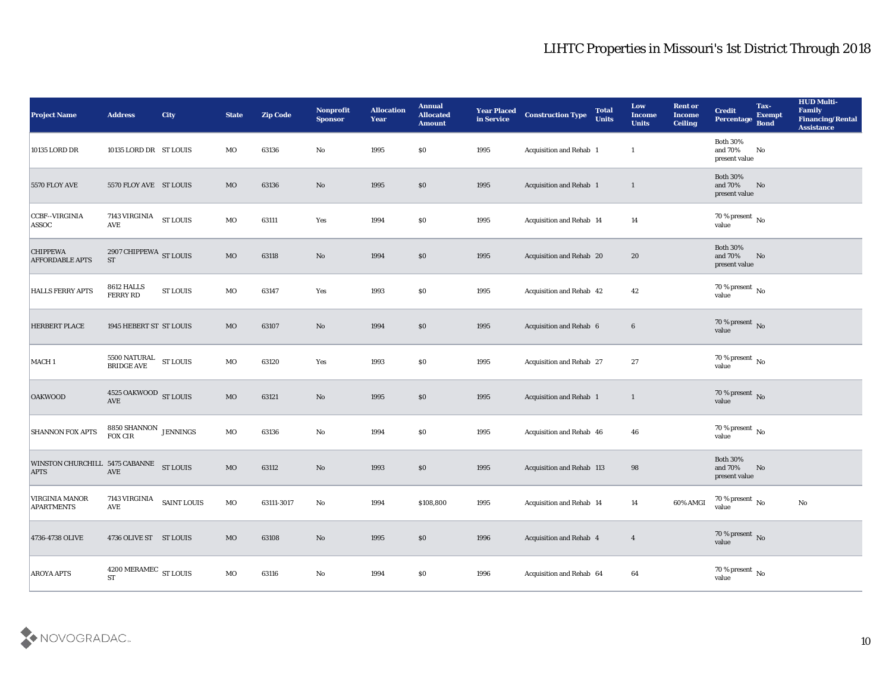| <b>Project Name</b>                           | <b>Address</b>                                                                       | City            | <b>State</b> | <b>Zip Code</b> | Nonprofit<br><b>Sponsor</b> | <b>Allocation</b><br><b>Year</b> | <b>Annual</b><br><b>Allocated</b><br><b>Amount</b> | <b>Year Placed</b><br>in Service | <b>Construction Type</b>         | <b>Total</b><br><b>Units</b> | Low<br><b>Income</b><br><b>Units</b> | <b>Rent or</b><br><b>Income</b><br><b>Ceiling</b> | <b>Credit</b><br>Percentage                 | Tax-<br><b>Exempt</b><br><b>Bond</b> | <b>HUD Multi-</b><br>Family<br><b>Financing/Rental</b><br><b>Assistance</b> |
|-----------------------------------------------|--------------------------------------------------------------------------------------|-----------------|--------------|-----------------|-----------------------------|----------------------------------|----------------------------------------------------|----------------------------------|----------------------------------|------------------------------|--------------------------------------|---------------------------------------------------|---------------------------------------------|--------------------------------------|-----------------------------------------------------------------------------|
| 10135 LORD DR                                 | 10135 LORD DR ST LOUIS                                                               |                 | MO           | 63136           | No                          | 1995                             | $\$0$                                              | 1995                             | Acquisition and Rehab 1          |                              | $\mathbf{1}$                         |                                                   | <b>Both 30%</b><br>and 70%<br>present value | $\mathbf{N}\mathbf{o}$               |                                                                             |
| <b>5570 FLOY AVE</b>                          | 5570 FLOY AVE ST LOUIS                                                               |                 | MO           | 63136           | No                          | 1995                             | $\$0$                                              | 1995                             | Acquisition and Rehab 1          |                              | $\mathbf{1}$                         |                                                   | <b>Both 30%</b><br>and 70%<br>present value | No                                   |                                                                             |
| CCBF--VIRGINIA<br>ASSOC                       | 7143 VIRGINIA<br><b>AVE</b>                                                          | <b>ST LOUIS</b> | MO           | 63111           | Yes                         | 1994                             | \$0\$                                              | 1995                             | <b>Acquisition and Rehab 14</b>  |                              | 14                                   |                                                   | 70 % present $\,$ No $\,$<br>value          |                                      |                                                                             |
| <b>CHIPPEWA</b><br><b>AFFORDABLE APTS</b>     | 2907 CHIPPEWA ST LOUIS<br><b>ST</b>                                                  |                 | MO           | 63118           | No                          | 1994                             | \$0\$                                              | 1995                             | Acquisition and Rehab 20         |                              | 20                                   |                                                   | <b>Both 30%</b><br>and 70%<br>present value | No                                   |                                                                             |
| <b>HALLS FERRY APTS</b>                       | 8612 HALLS<br><b>FERRY RD</b>                                                        | <b>ST LOUIS</b> | MO           | 63147           | Yes                         | 1993                             | $\$0$                                              | 1995                             | Acquisition and Rehab 42         |                              | 42                                   |                                                   | 70 % present $\,$ No $\,$<br>value          |                                      |                                                                             |
| <b>HERBERT PLACE</b>                          | 1945 HEBERT ST ST LOUIS                                                              |                 | MO           | 63107           | No                          | 1994                             | \$0                                                | 1995                             | Acquisition and Rehab 6          |                              | $6\phantom{.}6$                      |                                                   | $70\,\%$ present $\,$ No value              |                                      |                                                                             |
| MACH <sub>1</sub>                             | ${\begin{tabular}{ll} 5500\;NATURAL & \; ST LOUIS \\ BRIDGE \; AVE & \end{tabular}}$ |                 | MO           | 63120           | Yes                         | 1993                             | $\$0$                                              | 1995                             | Acquisition and Rehab 27         |                              | 27                                   |                                                   | 70 % present $\,$ No $\,$<br>value          |                                      |                                                                             |
| <b>OAKWOOD</b>                                | 4525 OAKWOOD ST LOUIS<br><b>AVE</b>                                                  |                 | MO           | 63121           | No                          | 1995                             | $\$0$                                              | 1995                             | <b>Acquisition and Rehab 1</b>   |                              | $\mathbf{1}$                         |                                                   | 70 % present $\,$ No $\,$<br>value          |                                      |                                                                             |
| <b>SHANNON FOX APTS</b>                       | 8850 SHANNON $$\rm JENNINGS$$<br>FOX CIR                                             |                 | MO           | 63136           | No                          | 1994                             | \$0\$                                              | 1995                             | Acquisition and Rehab 46         |                              | 46                                   |                                                   | 70 % present $\overline{N_0}$<br>value      |                                      |                                                                             |
| WINSTON CHURCHILL 5475 CABANNE<br><b>APTS</b> | AVE                                                                                  | <b>ST LOUIS</b> | MO           | 63112           | $\mathbf{N}\mathbf{o}$      | 1993                             | $\$0$                                              | 1995                             | <b>Acquisition and Rehab 113</b> |                              | 98                                   |                                                   | <b>Both 30%</b><br>and 70%<br>present value | No                                   |                                                                             |
| VIRGINIA MANOR<br><b>APARTMENTS</b>           | 7143 VIRGINIA<br><b>AVE</b>                                                          | SAINT LOUIS     | MO           | 63111-3017      | No                          | 1994                             | \$108,800                                          | 1995                             | Acquisition and Rehab 14         |                              | 14                                   | 60% AMGI                                          | 70 % present $\,$ No $\,$<br>value          |                                      | $\mathbf{N}\mathbf{o}$                                                      |
| 4736-4738 OLIVE                               | 4736 OLIVE ST ST LOUIS                                                               |                 | $\rm MO$     | 63108           | $\mathbf {No}$              | 1995                             | $\$0$                                              | 1996                             | Acquisition and Rehab 4          |                              | $\overline{4}$                       |                                                   | $70\,\%$ present $\,$ No value              |                                      |                                                                             |
| AROYA APTS                                    | $4200\,\mathrm{MERAMEC}\ \mathrm{ST}\ \mathrm{LOUIS}$                                |                 | $_{\rm MO}$  | 63116           | $\mathbf {No}$              | 1994                             | $\$0$                                              | 1996                             | Acquisition and Rehab 64         |                              | 64                                   |                                                   | $70\,\%$ present $\,$ No value              |                                      |                                                                             |

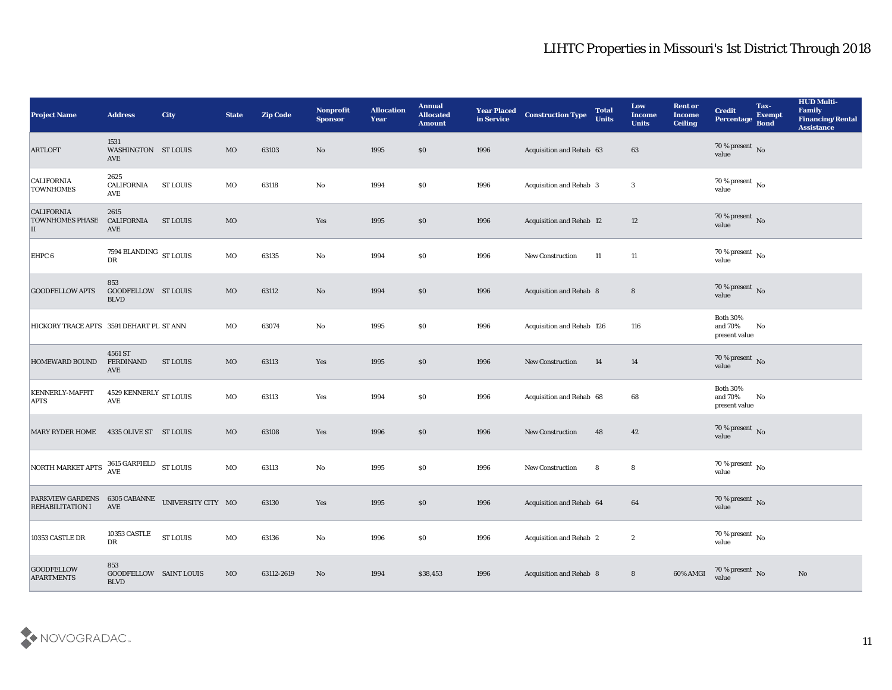| <b>Project Name</b>                                                                                                                                                     | <b>Address</b>                                         | City                                 | <b>State</b> | <b>Zip Code</b> | Nonprofit<br><b>Sponsor</b> | <b>Allocation</b><br><b>Year</b> | <b>Annual</b><br><b>Allocated</b><br><b>Amount</b> | <b>Year Placed</b><br>in Service | <b>Construction Type</b>       | <b>Total</b><br><b>Units</b> | Low<br><b>Income</b><br><b>Units</b> | <b>Rent or</b><br><b>Income</b><br><b>Ceiling</b> | <b>Credit</b><br><b>Percentage</b>             | Tax-<br><b>Exempt</b><br><b>Bond</b> | <b>HUD Multi-</b><br>Family<br><b>Financing/Rental</b><br><b>Assistance</b> |
|-------------------------------------------------------------------------------------------------------------------------------------------------------------------------|--------------------------------------------------------|--------------------------------------|--------------|-----------------|-----------------------------|----------------------------------|----------------------------------------------------|----------------------------------|--------------------------------|------------------------------|--------------------------------------|---------------------------------------------------|------------------------------------------------|--------------------------------------|-----------------------------------------------------------------------------|
| <b>ARTLOFT</b>                                                                                                                                                          | 1531<br>WASHINGTON ST LOUIS<br><b>AVE</b>              |                                      | MO           | 63103           | No                          | 1995                             | \$0                                                | 1996                             | Acquisition and Rehab 63       |                              | 63                                   |                                                   | $70\,\%$ present $\,$ No value                 |                                      |                                                                             |
| <b>CALIFORNIA</b><br><b>TOWNHOMES</b>                                                                                                                                   | 2625<br><b>CALIFORNIA</b><br>AVE                       | ST LOUIS                             | MO           | 63118           | No                          | 1994                             | $\$0$                                              | 1996                             | <b>Acquisition and Rehab 3</b> |                              | 3                                    |                                                   | $70\,\%$ present $\,$ No value                 |                                      |                                                                             |
| <b>CALIFORNIA</b><br><b>TOWNHOMES PHASE</b><br>П                                                                                                                        | 2615<br><b>CALIFORNIA</b><br>AVE                       | <b>ST LOUIS</b>                      | MO           |                 | Yes                         | 1995                             | $\$0$                                              | 1996                             | Acquisition and Rehab 12       |                              | 12                                   |                                                   | $70\,\%$ present $\,$ No value                 |                                      |                                                                             |
| EHPC 6                                                                                                                                                                  | 7594 BLANDING $\,$ ST LOUIS<br>DR                      |                                      | MO           | 63135           | $\mathbf {No}$              | 1994                             | $\$0$                                              | 1996                             | New Construction               | 11                           | 11                                   |                                                   | $70\,\%$ present $\,$ No value                 |                                      |                                                                             |
| <b>GOODFELLOW APTS</b>                                                                                                                                                  | 853<br><b>GOODFELLOW ST LOUIS</b><br><b>BLVD</b>       |                                      | MO           | 63112           | $\mathbf{N}\mathbf{o}$      | 1994                             | \$0                                                | 1996                             | <b>Acquisition and Rehab 8</b> |                              | $8\phantom{1}$                       |                                                   | $70\,\%$ present $\,$ No value                 |                                      |                                                                             |
| HICKORY TRACE APTS 3591 DEHART PL ST ANN                                                                                                                                |                                                        |                                      | MO           | 63074           | No                          | 1995                             | $\$0$                                              | 1996                             | Acquisition and Rehab 126      |                              | 116                                  |                                                   | <b>Both 30%</b><br>and $70\%$<br>present value | No                                   |                                                                             |
| <b>HOMEWARD BOUND</b>                                                                                                                                                   | 4561 ST<br><b>FERDINAND</b><br>AVE                     | <b>ST LOUIS</b>                      | MO           | 63113           | Yes                         | 1995                             | \$0                                                | 1996                             | <b>New Construction</b>        | 14                           | 14                                   |                                                   | $70\,\%$ present $\,$ No value                 |                                      |                                                                             |
| <b>KENNERLY-MAFFIT</b><br><b>APTS</b>                                                                                                                                   | $4529$ KENNERLY $_{\rm ST~LOUIS}$<br><b>AVE</b>        |                                      | MO           | 63113           | Yes                         | 1994                             | \$0                                                | 1996                             | Acquisition and Rehab 68       |                              | 68                                   |                                                   | <b>Both 30%</b><br>and $70\%$<br>present value | No                                   |                                                                             |
| <b>MARY RYDER HOME</b>                                                                                                                                                  | 4335 OLIVE ST ST LOUIS                                 |                                      | MO           | 63108           | Yes                         | 1996                             | \$0                                                | 1996                             | <b>New Construction</b>        | 48                           | 42                                   |                                                   | $70\,\%$ present $\,$ No value                 |                                      |                                                                             |
| $\begin{array}{ l } \hline \textbf{NOTE} \textbf{ MARKET}\textbf{ APTS} & \begin{array}{l} 3615\textbf{ GARFIELD} \end{array} & \textbf{ST}\textbf{ LOUIS} \end{array}$ |                                                        |                                      | MO           | 63113           | No                          | 1995                             | $\$0$                                              | 1996                             | New Construction               | 8                            | ${\bf 8}$                            |                                                   | $70\,\%$ present $\,$ No value                 |                                      |                                                                             |
| PARKVIEW GARDENS 6305 CABANNE<br><b>REHABILITATION I</b>                                                                                                                | AVE                                                    | UNIVERSITY CITY MO                   |              | 63130           | Yes                         | 1995                             | \$0\$                                              | 1996                             | Acquisition and Rehab 64       |                              | 64                                   |                                                   | 70 % present No<br>value                       |                                      |                                                                             |
| 10353 CASTLE DR                                                                                                                                                         | 10353 CASTLE<br>DR                                     | ${\hbox{\footnotesize\rm ST}}$ LOUIS | $_{\rm MO}$  | 63136           | $\mathbf {No}$              | 1996                             | $\$0$                                              | 1996                             | Acquisition and Rehab 2        |                              | $\boldsymbol{2}$                     |                                                   | 70 % present $\,$ No $\,$<br>value             |                                      |                                                                             |
| <b>GOODFELLOW</b><br><b>APARTMENTS</b>                                                                                                                                  | 853<br>GOODFELLOW SAINT LOUIS<br>$\operatorname{BLVD}$ |                                      | $_{\rm MO}$  | 63112-2619      | $\mathbf {No}$              | 1994                             | \$38,453                                           | 1996                             | Acquisition and Rehab 8        |                              | $\bf 8$                              | 60% AMGI                                          | $70$ % present $\,$ No value                   |                                      | $\rm No$                                                                    |

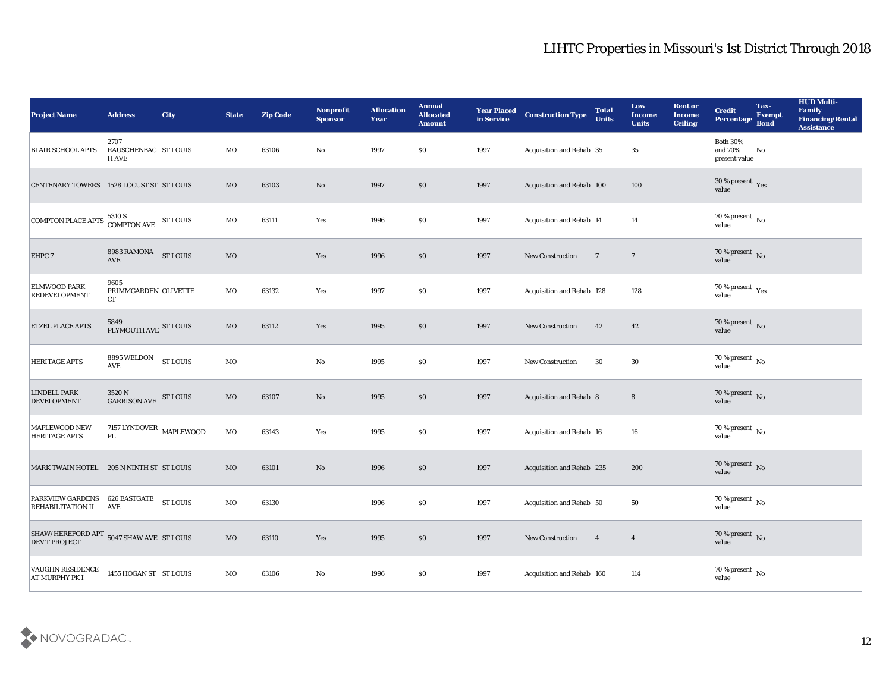| <b>Project Name</b>                                                          | <b>Address</b>                           | <b>City</b>     | <b>State</b> | <b>Zip Code</b> | Nonprofit<br><b>Sponsor</b> | <b>Allocation</b><br><b>Year</b> | <b>Annual</b><br><b>Allocated</b><br><b>Amount</b> | <b>Year Placed</b><br>in Service | <b>Construction Type</b>  | <b>Total</b><br><b>Units</b> | Low<br><b>Income</b><br><b>Units</b> | <b>Rent or</b><br><b>Income</b><br><b>Ceiling</b> | <b>Credit</b><br>Percentage                 | Tax-<br><b>Exempt</b><br><b>Bond</b> | <b>HUD Multi-</b><br>Family<br><b>Financing/Rental</b><br><b>Assistance</b> |
|------------------------------------------------------------------------------|------------------------------------------|-----------------|--------------|-----------------|-----------------------------|----------------------------------|----------------------------------------------------|----------------------------------|---------------------------|------------------------------|--------------------------------------|---------------------------------------------------|---------------------------------------------|--------------------------------------|-----------------------------------------------------------------------------|
| <b>BLAIR SCHOOL APTS</b>                                                     | 2707<br>RAUSCHENBAC ST LOUIS<br>H AVE    |                 | MO           | 63106           | No                          | 1997                             | $\$0$                                              | 1997                             | Acquisition and Rehab 35  |                              | 35                                   |                                                   | <b>Both 30%</b><br>and 70%<br>present value | No                                   |                                                                             |
| CENTENARY TOWERS 1528 LOCUST ST ST LOUIS                                     |                                          |                 | MO           | 63103           | No                          | 1997                             | $\$0$                                              | 1997                             | Acquisition and Rehab 100 |                              | 100                                  |                                                   | $30\,\%$ present $\,$ Yes value             |                                      |                                                                             |
| COMPTON PLACE APTS $\frac{5310 \text{ S}}{\text{COMPTON AVE}}$ ST LOUIS      |                                          |                 | MO           | 63111           | Yes                         | 1996                             | \$0                                                | 1997                             | Acquisition and Rehab 14  |                              | 14                                   |                                                   | $70\,\%$ present $\,$ No value              |                                      |                                                                             |
| EHPC 7                                                                       | 8983 RAMONA<br>AVE                       | <b>ST LOUIS</b> | MO           |                 | Yes                         | 1996                             | \$0                                                | 1997                             | New Construction          | $\overline{7}$               | $\overline{7}$                       |                                                   | $70\,\%$ present $\,$ No value              |                                      |                                                                             |
| <b>ELMWOOD PARK</b><br><b>REDEVELOPMENT</b>                                  | 9605<br>PRIMMGARDEN OLIVETTE<br>CT       |                 | MO           | 63132           | Yes                         | 1997                             | \$0                                                | 1997                             | Acquisition and Rehab 128 |                              | 128                                  |                                                   | $70\,\%$ present $\,$ Yes value             |                                      |                                                                             |
| <b>ETZEL PLACE APTS</b>                                                      | 5849<br>PLYMOUTH AVE ST LOUIS            |                 | MO           | 63112           | Yes                         | 1995                             | $\$0$                                              | 1997                             | <b>New Construction</b>   | 42                           | 42                                   |                                                   | $70\,\%$ present $\,$ No value              |                                      |                                                                             |
| <b>HERITAGE APTS</b>                                                         | 8895 WELDON<br><b>AVE</b>                | <b>ST LOUIS</b> | MO           |                 | No                          | 1995                             | $\$0$                                              | 1997                             | <b>New Construction</b>   | 30                           | 30                                   |                                                   | $70\,\%$ present $\,$ No value              |                                      |                                                                             |
| <b>LINDELL PARK</b><br><b>DEVELOPMENT</b>                                    | 3520 N<br><b>GARRISON AVE</b>            | ST LOUIS        | $_{\rm MO}$  | 63107           | No                          | 1995                             | \$0                                                | 1997                             | Acquisition and Rehab 8   |                              | $8\phantom{1}$                       |                                                   | $70\,\%$ present $\,$ No value              |                                      |                                                                             |
| <b>MAPLEWOOD NEW</b><br><b>HERITAGE APTS</b>                                 | 7157 LYNDOVER MAPLEWOOD<br>$\mathbf{PL}$ |                 | $_{\rm MO}$  | 63143           | Yes                         | 1995                             | \$0                                                | 1997                             | Acquisition and Rehab 16  |                              | 16                                   |                                                   | $70\,\%$ present $\,$ No value              |                                      |                                                                             |
| MARK TWAIN HOTEL 205 N NINTH ST ST LOUIS                                     |                                          |                 | MO           | 63101           | No                          | 1996                             | \$0                                                | 1997                             | Acquisition and Rehab 235 |                              | 200                                  |                                                   | $70\,\%$ present $\,$ No value              |                                      |                                                                             |
| PARKVIEW GARDENS 626 EASTGATE<br><b>REHABILITATION II AVE</b>                |                                          | ST LOUIS        | MO           | 63130           |                             | 1996                             | \$0                                                | 1997                             | Acquisition and Rehab 50  |                              | 50                                   |                                                   | 70 % present $\,$ No $\,$<br>value          |                                      |                                                                             |
| SHAW/HEREFORD APT $_{\,5047}$ SHAW AVE $\,$ ST LOUIS<br><b>DEV'T PROJECT</b> |                                          |                 | $_{\rm MO}$  | 63110           | $\mathbf{Yes}$              | 1995                             | $\$0$                                              | 1997                             | New Construction          | $\overline{\mathbf{4}}$      | $\overline{\mathbf{4}}$              |                                                   | $70\,\%$ present $\,$ No value              |                                      |                                                                             |
| <b>VAUGHN RESIDENCE</b><br><b>AT MURPHY PK I</b>                             | 1455 HOGAN ST ST LOUIS                   |                 | $_{\rm MO}$  | 63106           | ${\bf No}$                  | 1996                             | \$0                                                | 1997                             | Acquisition and Rehab 160 |                              | $114\,$                              |                                                   | 70 % present $\,$ No $\,$<br>value          |                                      |                                                                             |

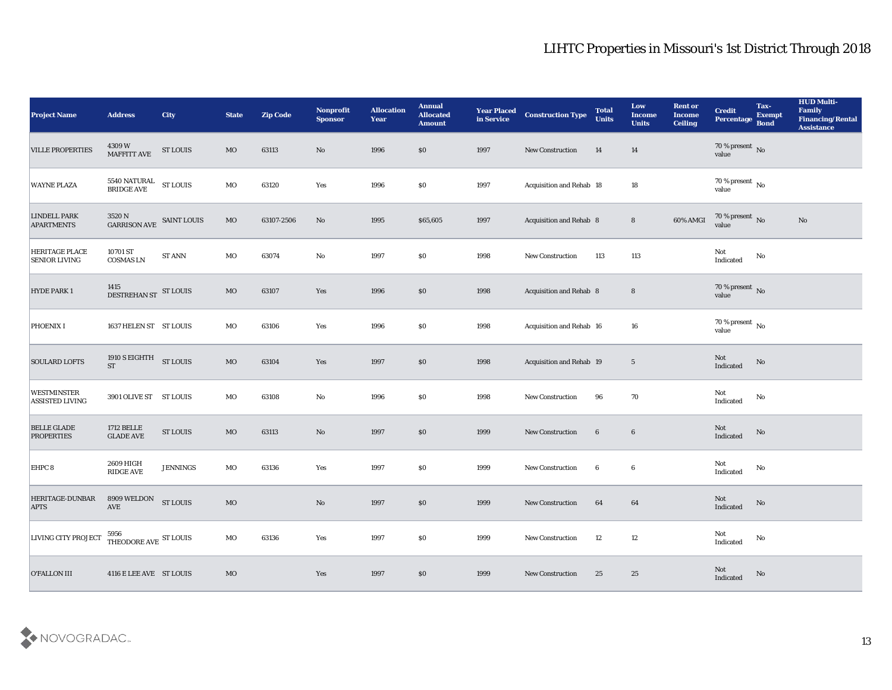| <b>Project Name</b>                          | <b>Address</b>                                                                       | <b>City</b>     | <b>State</b> | <b>Zip Code</b> | Nonprofit<br><b>Sponsor</b> | <b>Allocation</b><br><b>Year</b> | <b>Annual</b><br><b>Allocated</b><br><b>Amount</b> | <b>Year Placed</b><br>in Service | <b>Construction Type</b>       | <b>Total</b><br><b>Units</b> | Low<br><b>Income</b><br><b>Units</b> | <b>Rent or</b><br><b>Income</b><br><b>Ceiling</b> | <b>Credit</b><br>Percentage Bond  | Tax-<br><b>Exempt</b> | <b>HUD Multi-</b><br>Family<br><b>Financing/Rental</b><br><b>Assistance</b> |
|----------------------------------------------|--------------------------------------------------------------------------------------|-----------------|--------------|-----------------|-----------------------------|----------------------------------|----------------------------------------------------|----------------------------------|--------------------------------|------------------------------|--------------------------------------|---------------------------------------------------|-----------------------------------|-----------------------|-----------------------------------------------------------------------------|
| <b>VILLE PROPERTIES</b>                      | 4309 W<br>MAFFITT AVE                                                                | <b>ST LOUIS</b> | MO           | 63113           | $\mathbf{N}\mathbf{o}$      | 1996                             | \$0                                                | 1997                             | <b>New Construction</b>        | 14                           | <b>14</b>                            |                                                   | $70\,\%$ present $\,$ No value    |                       |                                                                             |
| <b>WAYNE PLAZA</b>                           | ${\begin{tabular}{ll} 5540\;NATURAL & \; ST LOUIS \\ BRIDGE \; AVE & \end{tabular}}$ |                 | MO           | 63120           | Yes                         | 1996                             | $\$0$                                              | 1997                             | Acquisition and Rehab 18       |                              | 18                                   |                                                   | $70\,\%$ present $\,$ No value    |                       |                                                                             |
| <b>LINDELL PARK</b><br><b>APARTMENTS</b>     | 3520 N<br>GARRISON AVE SAINT LOUIS                                                   |                 | $_{\rm MO}$  | 63107-2506      | No                          | 1995                             | \$65,605                                           | 1997                             | Acquisition and Rehab 8        |                              | $8\phantom{.}$                       | 60% AMGI                                          | $70\,\%$ present $\,$ No value    |                       | $\rm\thinspace No$                                                          |
| HERITAGE PLACE<br><b>SENIOR LIVING</b>       | 10701 ST<br><b>COSMAS LN</b>                                                         | <b>ST ANN</b>   | MO           | 63074           | $\mathbf {No}$              | 1997                             | $\$0$                                              | 1998                             | New Construction               | 113                          | 113                                  |                                                   | Not<br>Indicated                  | No                    |                                                                             |
| <b>HYDE PARK 1</b>                           | 1415<br>DESTREHAN ST ST LOUIS                                                        |                 | $_{\rm MO}$  | 63107           | Yes                         | 1996                             | \$0                                                | 1998                             | <b>Acquisition and Rehab 8</b> |                              | $8\phantom{1}$                       |                                                   | $70\,\%$ present $\,$ No value    |                       |                                                                             |
| PHOENIX I                                    | 1637 HELEN ST ST LOUIS                                                               |                 | MO           | 63106           | Yes                         | 1996                             | \$0                                                | 1998                             | Acquisition and Rehab 16       |                              | 16                                   |                                                   | $70\,\%$ present $\,$ No value    |                       |                                                                             |
| <b>SOULARD LOFTS</b>                         | 1910 S EIGHTH ST LOUIS<br><b>ST</b>                                                  |                 | $_{\rm MO}$  | 63104           | Yes                         | 1997                             | $\$0$                                              | 1998                             | Acquisition and Rehab 19       |                              | $\overline{5}$                       |                                                   | Not<br>Indicated                  | No                    |                                                                             |
| <b>WESTMINSTER</b><br><b>ASSISTED LIVING</b> | 3901 OLIVE ST ST LOUIS                                                               |                 | MO           | 63108           | $\mathbf{No}$               | 1996                             | \$0                                                | 1998                             | New Construction               | 96                           | 70                                   |                                                   | Not<br>Indicated                  | No                    |                                                                             |
| <b>BELLE GLADE</b><br><b>PROPERTIES</b>      | <b>1712 BELLE</b><br>$\operatorname{GLADE}$ AVE                                      | <b>ST LOUIS</b> | MO           | 63113           | $\mathbf{N}\mathbf{o}$      | 1997                             | $\$0$                                              | 1999                             | New Construction               | $6\phantom{.}6$              | $6\phantom{.}6$                      |                                                   | Not<br>Indicated                  | No                    |                                                                             |
| EHPC 8                                       | 2609 HIGH<br><b>RIDGE AVE</b>                                                        | <b>JENNINGS</b> | MO           | 63136           | Yes                         | 1997                             | $\$0$                                              | 1999                             | <b>New Construction</b>        | 6                            | 6                                    |                                                   | Not<br>Indicated                  | No                    |                                                                             |
| <b>HERITAGE-DUNBAR</b><br><b>APTS</b>        | 8909 WELDON<br>AVE                                                                   | <b>ST LOUIS</b> | MO           |                 | $\mathbf{N}\mathbf{o}$      | 1997                             | \$0                                                | 1999                             | <b>New Construction</b>        | 64                           | 64                                   |                                                   | Not<br>Indicated                  | No                    |                                                                             |
| LIVING CITY PROJECT                          | $5956$ THEODORE AVE $\,$ ST LOUIS $\,$                                               |                 | $_{\rm MO}$  | 63136           | $\mathbf{Yes}$              | 1997                             | $\$0$                                              | 1999                             | New Construction               | 12                           | 12                                   |                                                   | Not<br>$\operatorname{Indicated}$ | $\mathbf {No}$        |                                                                             |
| <b>O'FALLON III</b>                          | 4116 E LEE AVE ST LOUIS                                                              |                 | MO           |                 | Yes                         | 1997                             | $\$0$                                              | 1999                             | <b>New Construction</b>        | 25                           | 25                                   |                                                   | Not<br>Indicated                  | No                    |                                                                             |

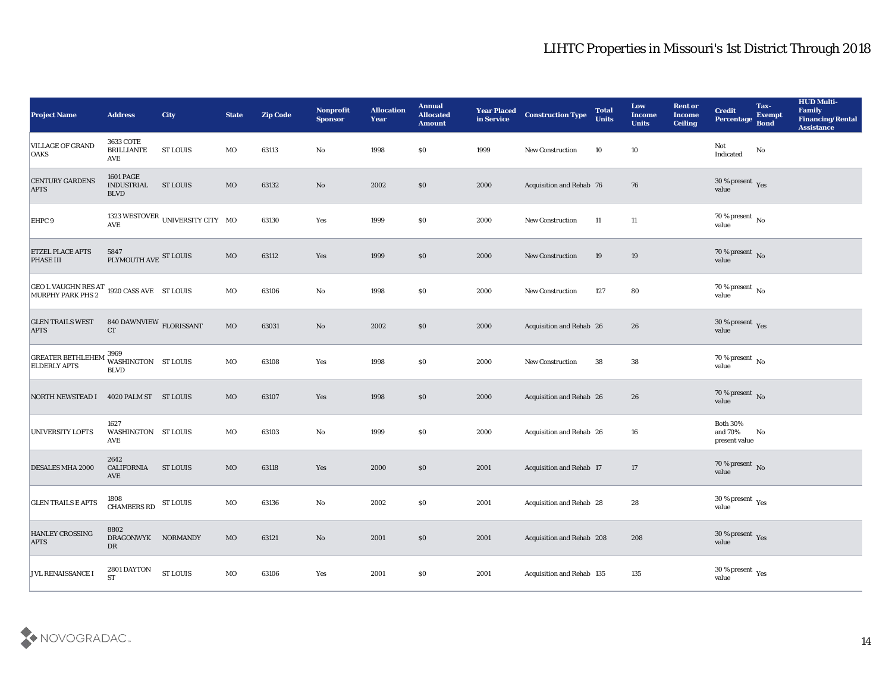| <b>Project Name</b>                                          | <b>Address</b>                                       | City                             | <b>State</b> | <b>Zip Code</b> | Nonprofit<br><b>Sponsor</b> | <b>Allocation</b><br><b>Year</b> | <b>Annual</b><br><b>Allocated</b><br><b>Amount</b> | <b>Year Placed</b><br>in Service | <b>Construction Type</b>        | <b>Total</b><br><b>Units</b> | Low<br><b>Income</b><br><b>Units</b> | <b>Rent or</b><br><b>Income</b><br><b>Ceiling</b> | <b>Credit</b><br>Percentage                 | Tax-<br><b>Exempt</b><br><b>Bond</b> | <b>HUD Multi-</b><br>Family<br><b>Financing/Rental</b><br><b>Assistance</b> |
|--------------------------------------------------------------|------------------------------------------------------|----------------------------------|--------------|-----------------|-----------------------------|----------------------------------|----------------------------------------------------|----------------------------------|---------------------------------|------------------------------|--------------------------------------|---------------------------------------------------|---------------------------------------------|--------------------------------------|-----------------------------------------------------------------------------|
| <b>VILLAGE OF GRAND</b><br><b>OAKS</b>                       | <b>3633 COTE</b><br><b>BRILLIANTE</b><br>AVE         | <b>ST LOUIS</b>                  | MO           | 63113           | No                          | 1998                             | $\$0$                                              | 1999                             | <b>New Construction</b>         | 10                           | 10                                   |                                                   | Not<br>Indicated                            | No                                   |                                                                             |
| <b>CENTURY GARDENS</b><br><b>APTS</b>                        | <b>1601 PAGE</b><br><b>INDUSTRIAL</b><br><b>BLVD</b> | <b>ST LOUIS</b>                  | MO           | 63132           | No                          | 2002                             | \$0                                                | 2000                             | Acquisition and Rehab 76        |                              | 76                                   |                                                   | 30 % present $_{\rm Yes}$<br>value          |                                      |                                                                             |
| EHPC <sub>9</sub>                                            | <b>AVE</b>                                           | 1323 WESTOVER UNIVERSITY CITY MO |              | 63130           | Yes                         | 1999                             | \$0\$                                              | 2000                             | <b>New Construction</b>         | 11                           | 11                                   |                                                   | 70 % present $\,$ No $\,$<br>value          |                                      |                                                                             |
| <b>ETZEL PLACE APTS</b><br><b>PHASE III</b>                  | 5847<br>PLYMOUTH AVE ST LOUIS                        |                                  | MO           | 63112           | Yes                         | 1999                             | \$0\$                                              | 2000                             | <b>New Construction</b>         | 19                           | 19                                   |                                                   | $70\,\%$ present $\,$ No value              |                                      |                                                                             |
| GEO L VAUGHN RES AT 1920 CASS AVE ST LOUIS MURPHY PARK PHS 2 |                                                      |                                  | MO           | 63106           | No                          | 1998                             | $\$0$                                              | 2000                             | <b>New Construction</b>         | 127                          | 80                                   |                                                   | 70 % present $\overline{N_0}$<br>value      |                                      |                                                                             |
| <b>GLEN TRAILS WEST</b><br><b>APTS</b>                       | 840 DAWNVIEW $_{\rm FLORISSANT}$<br><b>CT</b>        |                                  | MO           | 63031           | No                          | 2002                             | \$0                                                | 2000                             | Acquisition and Rehab 26        |                              | 26                                   |                                                   | $30\,\%$ present $\,$ Yes value             |                                      |                                                                             |
| <b>GREATER BETHLEHEM</b><br><b>ELDERLY APTS</b>              | 3969<br>WASHINGTON ST LOUIS<br><b>BLVD</b>           |                                  | MO           | 63108           | Yes                         | 1998                             | $\$0$                                              | 2000                             | <b>New Construction</b>         | 38                           | 38                                   |                                                   | $70\,\%$ present $\,$ No value              |                                      |                                                                             |
| NORTH NEWSTEAD I                                             | 4020 PALM ST ST LOUIS                                |                                  | MO           | 63107           | Yes                         | 1998                             | \$0                                                | 2000                             | Acquisition and Rehab 26        |                              | 26                                   |                                                   | 70 % present $\sqrt{\ }$ No<br>value        |                                      |                                                                             |
| <b>UNIVERSITY LOFTS</b>                                      | 1627<br>WASHINGTON ST LOUIS<br>AVE                   |                                  | MO           | 63103           | No                          | 1999                             | \$0\$                                              | 2000                             | Acquisition and Rehab 26        |                              | 16                                   |                                                   | <b>Both 30%</b><br>and 70%<br>present value | No                                   |                                                                             |
| <b>DESALES MHA 2000</b>                                      | 2642<br><b>CALIFORNIA</b><br>AVE                     | <b>ST LOUIS</b>                  | MO           | 63118           | Yes                         | 2000                             | \$0                                                | 2001                             | <b>Acquisition and Rehab 17</b> |                              | 17                                   |                                                   | $70\,\%$ present $\,$ No value              |                                      |                                                                             |
| <b>GLEN TRAILS E APTS</b>                                    | 1808<br><b>CHAMBERS RD</b>                           | ST LOUIS                         | MO           | 63136           | No                          | 2002                             | \$0                                                | 2001                             | Acquisition and Rehab 28        |                              | 28                                   |                                                   | 30 % present $_{\rm Yes}$<br>value          |                                      |                                                                             |
| <b>HANLEY CROSSING</b><br><b>APTS</b>                        | 8802<br>DRAGONWYK NORMANDY<br>${\rm D}{\rm R}$       |                                  | $\rm MO$     | 63121           | $\mathbf {No}$              | 2001                             | $\$0$                                              | 2001                             | Acquisition and Rehab 208       |                              | 208                                  |                                                   | $30\,\%$ present $\,$ Yes value             |                                      |                                                                             |
| <b>JVL RENAISSANCE I</b>                                     | 2801 DAYTON<br><b>ST</b>                             | <b>ST LOUIS</b>                  | $_{\rm MO}$  | 63106           | $\mathbf{Yes}$              | 2001                             | $\$0$                                              | 2001                             | Acquisition and Rehab 135       |                              | $135\,$                              |                                                   | $30\,\%$ present $\,$ Yes value             |                                      |                                                                             |

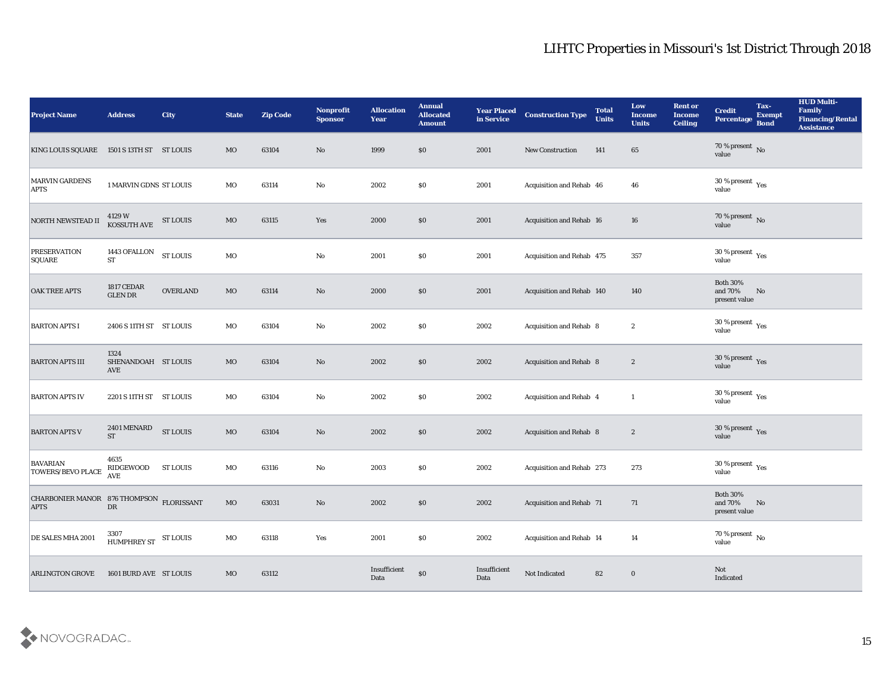| <b>Project Name</b>                                     | <b>Address</b>                      | <b>City</b>     | <b>State</b> | <b>Zip Code</b> | Nonprofit<br><b>Sponsor</b> | <b>Allocation</b><br><b>Year</b>                     | <b>Annual</b><br><b>Allocated</b><br><b>Amount</b> | <b>Year Placed</b><br>in Service | <b>Construction Type</b>        | <b>Total</b><br><b>Units</b> | Low<br><b>Income</b><br><b>Units</b> | <b>Rent or</b><br><b>Income</b><br><b>Ceiling</b> | <b>Credit</b><br>Percentage                   | Tax-<br><b>Exempt</b><br><b>Bond</b> | <b>HUD Multi-</b><br>Family<br><b>Financing/Rental</b><br><b>Assistance</b> |
|---------------------------------------------------------|-------------------------------------|-----------------|--------------|-----------------|-----------------------------|------------------------------------------------------|----------------------------------------------------|----------------------------------|---------------------------------|------------------------------|--------------------------------------|---------------------------------------------------|-----------------------------------------------|--------------------------------------|-----------------------------------------------------------------------------|
| KING LOUIS SQUARE 1501 S 13TH ST ST LOUIS               |                                     |                 | MO           | 63104           | No                          | 1999                                                 | \$0                                                | 2001                             | <b>New Construction</b>         | 141                          | 65                                   |                                                   | $70\,\%$ present $\,$ No value                |                                      |                                                                             |
| <b>MARVIN GARDENS</b><br><b>APTS</b>                    | 1 MARVIN GDNS ST LOUIS              |                 | MO           | 63114           | No                          | 2002                                                 | \$0                                                | 2001                             | Acquisition and Rehab 46        |                              | 46                                   |                                                   | 30 % present $\,\rm \gamma_{\rm es}$<br>value |                                      |                                                                             |
| NORTH NEWSTEAD II                                       | 4129 W<br>KOSSUTH AVE ST LOUIS      |                 | MO           | 63115           | Yes                         | 2000                                                 | \$0                                                | 2001                             | Acquisition and Rehab 16        |                              | 16                                   |                                                   | 70 % present $\sqrt{\ }$ No<br>value          |                                      |                                                                             |
| <b>PRESERVATION</b><br>SQUARE                           | 1443 OFALLON<br><b>ST</b>           | <b>ST LOUIS</b> | $_{\rm MO}$  |                 | $\rm\thinspace No$          | 2001                                                 | \$0                                                | 2001                             | Acquisition and Rehab 475       |                              | 357                                  |                                                   | $30\,\%$ present $\,$ Yes value               |                                      |                                                                             |
| <b>OAK TREE APTS</b>                                    | <b>1817 CEDAR</b><br><b>GLEN DR</b> | <b>OVERLAND</b> | MO           | 63114           | No                          | 2000                                                 | \$0                                                | 2001                             | Acquisition and Rehab 140       |                              | 140                                  |                                                   | <b>Both 30%</b><br>and 70%<br>present value   | No                                   |                                                                             |
| <b>BARTON APTS I</b>                                    | 2406 S 11TH ST ST LOUIS             |                 | MO           | 63104           | $\mathbf{No}$               | 2002                                                 | \$0                                                | 2002                             | Acquisition and Rehab 8         |                              | $\boldsymbol{2}$                     |                                                   | $30\,\%$ present $\,$ Yes value               |                                      |                                                                             |
| <b>BARTON APTS III</b>                                  | 1324<br>SHENANDOAH ST LOUIS<br>AVE  |                 | MO           | 63104           | No                          | 2002                                                 | \$0                                                | 2002                             | Acquisition and Rehab 8         |                              | $\boldsymbol{2}$                     |                                                   | $30\,\%$ present $\,$ Yes value               |                                      |                                                                             |
| <b>BARTON APTS IV</b>                                   | 2201 S 11TH ST ST LOUIS             |                 | MO           | 63104           | No                          | 2002                                                 | \$0                                                | 2002                             | Acquisition and Rehab 4         |                              | $\mathbf{1}$                         |                                                   | 30 % present $_{\rm Yes}$<br>value            |                                      |                                                                             |
| <b>BARTON APTS V</b>                                    | 2401 MENARD<br><b>ST</b>            | <b>ST LOUIS</b> | $_{\rm MO}$  | 63104           | No                          | 2002                                                 | \$0                                                | 2002                             | Acquisition and Rehab 8         |                              | $\mathbf{2}$                         |                                                   | $30\,\%$ present $\,$ Yes value               |                                      |                                                                             |
| <b>BAVARIAN</b><br><b>TOWERS/BEVO PLACE</b>             | 4635<br>RIDGEWOOD<br><b>AVE</b>     | <b>ST LOUIS</b> | MO           | 63116           | $\mathbf{No}$               | 2003                                                 | \$0                                                | 2002                             | Acquisition and Rehab 273       |                              | 273                                  |                                                   | $30\,\%$ present $\,$ Yes value               |                                      |                                                                             |
| CHARBONIER MANOR 876 THOMPSON FLORISSANT<br><b>APTS</b> | ${\rm DR}$                          |                 | MO           | 63031           | No                          | 2002                                                 | \$0\$                                              | 2002                             | <b>Acquisition and Rehab 71</b> |                              | 71                                   |                                                   | <b>Both 30%</b><br>and 70%<br>present value   | No                                   |                                                                             |
| DE SALES MHA 2001                                       | 3307<br>HUMPHREY ST ST LOUIS        |                 | $_{\rm MO}$  | 63118           | Yes                         | 2001                                                 | $\boldsymbol{\mathsf{S}}\boldsymbol{\mathsf{O}}$   | 2002                             | Acquisition and Rehab 14        |                              | 14                                   |                                                   | 70 % present $\,$ No $\,$<br>value            |                                      |                                                                             |
| <b>ARLINGTON GROVE</b>                                  | 1601 BURD AVE ST LOUIS              |                 | $_{\rm MO}$  | 63112           |                             | $\label{lem:inert} In sufficient$<br>$\mathbf{Data}$ | $\boldsymbol{\mathsf{S}}\boldsymbol{\mathsf{O}}$   | Insufficient<br>Data             | Not Indicated                   | 82                           | $\bf{0}$                             |                                                   | Not<br>Indicated                              |                                      |                                                                             |

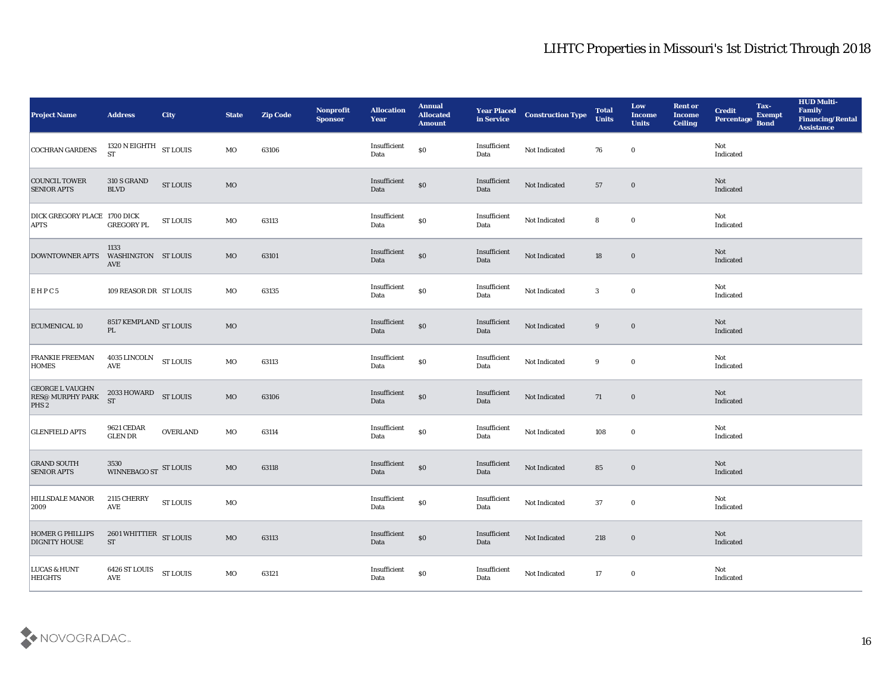| <b>Project Name</b>                                                   | <b>Address</b>                            | <b>City</b>                          | <b>State</b> | <b>Zip Code</b> | Nonprofit<br><b>Sponsor</b> | <b>Allocation</b><br><b>Year</b> | <b>Annual</b><br>Allocated<br><b>Amount</b> | <b>Year Placed<br/>in Service</b> | <b>Construction Type</b>                | <b>Total</b><br><b>Units</b> | Low<br><b>Income</b><br><b>Units</b> | <b>Rent or</b><br><b>Income</b><br><b>Ceiling</b> | <b>Credit</b><br>Percentage Bond | Tax-<br><b>Exempt</b> | <b>HUD Multi-</b><br>Family<br><b>Financing/Rental</b><br><b>Assistance</b> |
|-----------------------------------------------------------------------|-------------------------------------------|--------------------------------------|--------------|-----------------|-----------------------------|----------------------------------|---------------------------------------------|-----------------------------------|-----------------------------------------|------------------------------|--------------------------------------|---------------------------------------------------|----------------------------------|-----------------------|-----------------------------------------------------------------------------|
| <b>COCHRAN GARDENS</b>                                                | 1320 N EIGHTH $$\rm{ST}$ LOUIS $$\rm{ST}$ |                                      | MO           | 63106           |                             | Insufficient<br>Data             | $\$0$                                       | Insufficient<br>Data              | Not Indicated                           | 76                           | $\bf{0}$                             |                                                   | Not<br>Indicated                 |                       |                                                                             |
| <b>COUNCIL TOWER</b><br><b>SENIOR APTS</b>                            | 310 S GRAND<br><b>BLVD</b>                | ${\hbox{\footnotesize\rm ST}}$ LOUIS | MO           |                 |                             | Insufficient<br>Data             | $\$0$                                       | Insufficient<br>Data              | Not Indicated                           | 57                           | $\bf{0}$                             |                                                   | Not<br>Indicated                 |                       |                                                                             |
| DICK GREGORY PLACE 1700 DICK<br><b>APTS</b>                           | <b>GREGORY PL</b>                         | <b>ST LOUIS</b>                      | MO           | 63113           |                             | Insufficient<br>Data             | $\$0$                                       | Insufficient<br>Data              | Not Indicated                           | 8                            | $\bf{0}$                             |                                                   | Not<br>Indicated                 |                       |                                                                             |
| <b>DOWNTOWNER APTS</b>                                                | 1133<br>WASHINGTON ST LOUIS<br>AVE        |                                      | MO           | 63101           |                             | Insufficient<br>Data             | $\$0$                                       | Insufficient<br>Data              | Not Indicated                           | 18                           | $\bf{0}$                             |                                                   | Not<br>Indicated                 |                       |                                                                             |
| EHPC5                                                                 | 109 REASOR DR ST LOUIS                    |                                      | MO           | 63135           |                             | Insufficient<br>Data             | $\$0$                                       | Insufficient<br>Data              | Not Indicated                           | 3                            | $\bf{0}$                             |                                                   | Not<br>Indicated                 |                       |                                                                             |
| <b>ECUMENICAL 10</b>                                                  | 8517 KEMPLAND $_{\rm ST~LOUIS}$ PL        |                                      | $_{\rm MO}$  |                 |                             | Insufficient<br>Data             | $\$0$                                       | Insufficient<br>Data              | Not Indicated                           | 9                            | $\bf{0}$                             |                                                   | <b>Not</b><br>Indicated          |                       |                                                                             |
| <b>FRANKIE FREEMAN</b><br>HOMES                                       | 4035 LINCOLN ST LOUIS<br><b>AVE</b>       |                                      | MO           | 63113           |                             | Insufficient<br>Data             | $\$0$                                       | Insufficient<br>Data              | $\operatorname{\mathsf{Not}}$ Indicated | 9                            | $\bf{0}$                             |                                                   | Not<br>Indicated                 |                       |                                                                             |
| <b>GEORGE L VAUGHN</b><br><b>RES@ MURPHY PARK</b><br>PHS <sub>2</sub> | 2033 HOWARD ST LOUIS<br><b>ST</b>         |                                      | $_{\rm MO}$  | 63106           |                             | Insufficient<br>Data             | $\$0$                                       | Insufficient<br>Data              | Not Indicated                           | 71                           | $\bf{0}$                             |                                                   | Not<br>Indicated                 |                       |                                                                             |
| <b>GLENFIELD APTS</b>                                                 | <b>9621 CEDAR</b><br><b>GLEN DR</b>       | <b>OVERLAND</b>                      | MO           | 63114           |                             | Insufficient<br>Data             | $\$0$                                       | Insufficient<br>Data              | Not Indicated                           | 108                          | $\bf{0}$                             |                                                   | Not<br>Indicated                 |                       |                                                                             |
| <b>GRAND SOUTH</b><br><b>SENIOR APTS</b>                              | 3530<br>WINNEBAGO ST ST LOUIS             |                                      | MO           | 63118           |                             | Insufficient<br>Data             | $\$0$                                       | Insufficient<br>Data              | Not Indicated                           | 85                           | $\bf{0}$                             |                                                   | Not<br>Indicated                 |                       |                                                                             |
| <b>HILLSDALE MANOR</b><br>2009                                        | 2115 CHERRY<br>AVE                        | <b>ST LOUIS</b>                      | MO           |                 |                             | Insufficient<br>Data             | $\$0$                                       | Insufficient<br>Data              | Not Indicated                           | 37                           | $\bf{0}$                             |                                                   | Not<br>Indicated                 |                       |                                                                             |
| <b>HOMER G PHILLIPS</b><br><b>DIGNITY HOUSE</b>                       | 2601 WHITTIER ST LOUIS<br><b>ST</b>       |                                      | $\rm MO$     | 63113           |                             | Insufficient<br>Data             | $\$0$                                       | Insufficient<br>Data              | Not Indicated                           | 218                          | $\bf{0}$                             |                                                   | Not<br>Indicated                 |                       |                                                                             |
| <b>LUCAS &amp; HUNT</b><br><b>HEIGHTS</b>                             | 6426 ST LOUIS<br>$\operatorname{AVE}$     | <b>ST LOUIS</b>                      | MO           | 63121           |                             | Insufficient<br>Data             | $\$0$                                       | Insufficient<br>Data              | Not Indicated                           | 17                           | $\bf{0}$                             |                                                   | Not<br>Indicated                 |                       |                                                                             |

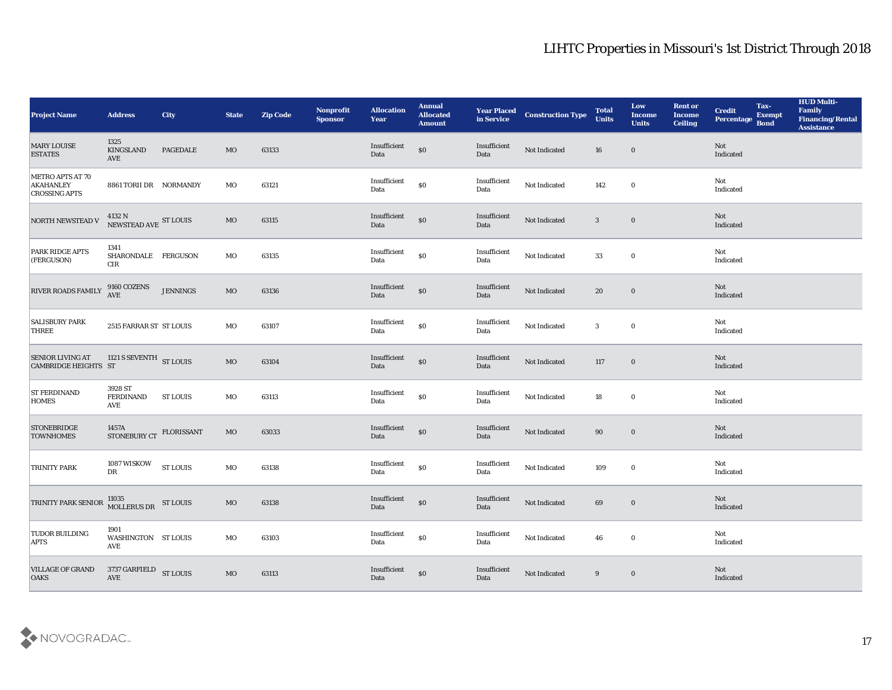| <b>Project Name</b>                                          | <b>Address</b>                           | <b>City</b>       | <b>State</b> | <b>Zip Code</b> | Nonprofit<br><b>Sponsor</b> | <b>Allocation</b><br><b>Year</b>          | <b>Annual</b><br><b>Allocated</b><br><b>Amount</b> | <b>Year Placed<br/>in Service</b> | <b>Construction Type</b> | <b>Total</b><br><b>Units</b> | Low<br><b>Income</b><br><b>Units</b> | <b>Rent or</b><br><b>Income</b><br><b>Ceiling</b> | <b>Credit</b><br>Percentage | Tax-<br><b>Exempt</b><br><b>Bond</b> | <b>HUD Multi-</b><br>Family<br><b>Financing/Rental</b><br><b>Assistance</b> |
|--------------------------------------------------------------|------------------------------------------|-------------------|--------------|-----------------|-----------------------------|-------------------------------------------|----------------------------------------------------|-----------------------------------|--------------------------|------------------------------|--------------------------------------|---------------------------------------------------|-----------------------------|--------------------------------------|-----------------------------------------------------------------------------|
| <b>MARY LOUISE</b><br><b>ESTATES</b>                         | 1325<br>KINGSLAND<br><b>AVE</b>          | <b>PAGEDALE</b>   | MO           | 63133           |                             | Insufficient<br>Data                      | $\$0$                                              | Insufficient<br>Data              | Not Indicated            | 16                           | $\bf{0}$                             |                                                   | Not<br>Indicated            |                                      |                                                                             |
| METRO APTS AT 70<br><b>AKAHANLEY</b><br><b>CROSSING APTS</b> | 8861 TORII DR NORMANDY                   |                   | MO           | 63121           |                             | Insufficient<br>Data                      | $\$0$                                              | Insufficient<br>Data              | Not Indicated            | 142                          | $\bf{0}$                             |                                                   | Not<br>Indicated            |                                      |                                                                             |
| <b>NORTH NEWSTEAD V</b>                                      | $4132$ N $$\rm NEWSTEAD\;AVE$$ ST LOUIS  |                   | MO           | 63115           |                             | Insufficient<br>Data                      | $\boldsymbol{\mathsf{S}}\boldsymbol{\mathsf{O}}$   | Insufficient<br>Data              | Not Indicated            | $\mathbf{3}$                 | $\bf{0}$                             |                                                   | Not<br>Indicated            |                                      |                                                                             |
| PARK RIDGE APTS<br>(FERGUSON)                                | 1341<br>SHARONDALE FERGUSON<br>$\rm CIR$ |                   | MO           | 63135           |                             | $\label{lem:inert} In sufficient$<br>Data | $\$0$                                              | Insufficient<br>Data              | Not Indicated            | 33                           | $\bf{0}$                             |                                                   | Not<br>Indicated            |                                      |                                                                             |
| <b>RIVER ROADS FAMILY</b>                                    | 9160 COZENS<br><b>AVE</b>                | <b>JENNINGS</b>   | MO           | 63136           |                             | Insufficient<br>Data                      | $\$0$                                              | Insufficient<br>Data              | Not Indicated            | 20                           | $\bf{0}$                             |                                                   | Not<br>Indicated            |                                      |                                                                             |
| <b>SALISBURY PARK</b><br><b>THREE</b>                        | 2515 FARRAR ST ST LOUIS                  |                   | MO           | 63107           |                             | Insufficient<br>Data                      | $\$0$                                              | Insufficient<br>Data              | Not Indicated            | $\mathbf{3}$                 | $\bf{0}$                             |                                                   | Not<br>Indicated            |                                      |                                                                             |
| <b>SENIOR LIVING AT</b><br><b>CAMBRIDGE HEIGHTS ST</b>       | 1121 S SEVENTH ST LOUIS                  |                   | $_{\rm MO}$  | 63104           |                             | Insufficient<br>Data                      | $\boldsymbol{\mathsf{S}}\boldsymbol{\mathsf{O}}$   | Insufficient<br>Data              | Not Indicated            | 117                          | $\bf{0}$                             |                                                   | Not<br>Indicated            |                                      |                                                                             |
| <b>ST FERDINAND</b><br><b>HOMES</b>                          | 3928 ST<br><b>FERDINAND</b><br>AVE       | ST LOUIS          | MO           | 63113           |                             | Insufficient<br>Data                      | $\$0$                                              | Insufficient<br>Data              | Not Indicated            | 18                           | $\bf{0}$                             |                                                   | Not<br>Indicated            |                                      |                                                                             |
| <b>STONEBRIDGE</b><br><b>TOWNHOMES</b>                       | 1457A<br>STONEBURY CT                    | <b>FLORISSANT</b> | MO           | 63033           |                             | Insufficient<br>Data                      | $\$0$                                              | Insufficient<br>Data              | Not Indicated            | 90                           | $\bf{0}$                             |                                                   | Not<br>Indicated            |                                      |                                                                             |
| TRINITY PARK                                                 | 1087 WISKOW<br>DR                        | <b>ST LOUIS</b>   | MO           | 63138           |                             | Insufficient<br>Data                      | $\$0$                                              | Insufficient<br>Data              | Not Indicated            | 109                          | $\bf{0}$                             |                                                   | Not<br>Indicated            |                                      |                                                                             |
| TRINITY PARK SENIOR 11035<br>MOLLERUS DR ST LOUIS            |                                          |                   | MO           | 63138           |                             | Insufficient<br>Data                      | $\$0$                                              | Insufficient<br>Data              | Not Indicated            | 69                           | $\bf{0}$                             |                                                   | Not<br>Indicated            |                                      |                                                                             |
| <b>TUDOR BUILDING</b><br><b>APTS</b>                         | 1901<br>WASHINGTON ST LOUIS<br>AVE       |                   | MO           | 63103           |                             | Insufficient<br>Data                      | $\$0$                                              | Insufficient<br>Data              | Not Indicated            | 46                           | $\bf{0}$                             |                                                   | Not<br>Indicated            |                                      |                                                                             |
| <b>VILLAGE OF GRAND</b><br><b>OAKS</b>                       | 3737 GARFIELD<br>$\operatorname{AVE}$    | <b>ST LOUIS</b>   | $_{\rm MO}$  | 63113           |                             | Insufficient<br>Data                      | $\$0$                                              | Insufficient<br>Data              | Not Indicated            | 9                            | $\bf{0}$                             |                                                   | Not<br>Indicated            |                                      |                                                                             |

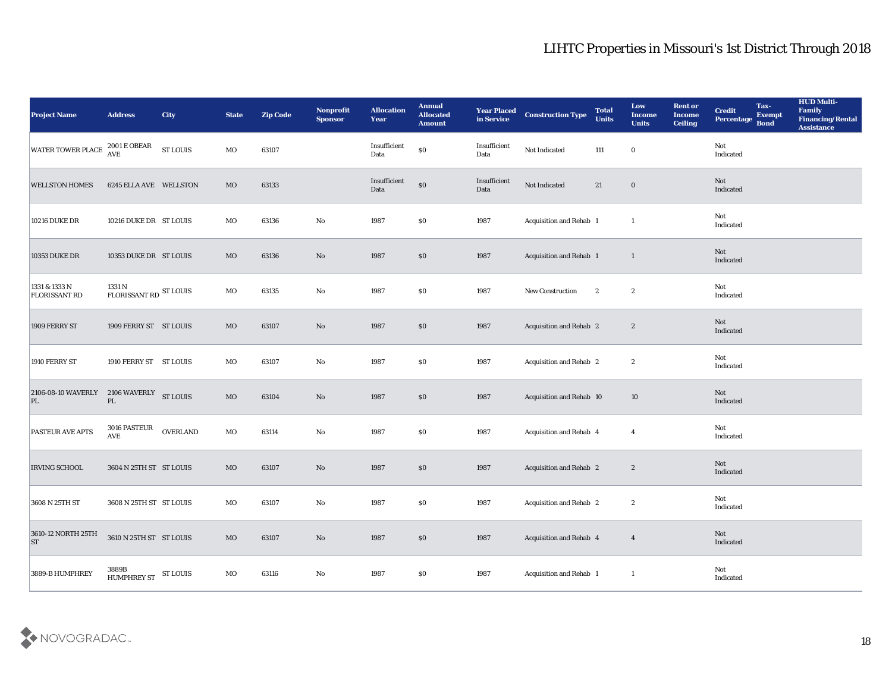| <b>Project Name</b>                            | <b>Address</b>                         | <b>City</b>     | <b>State</b> | <b>Zip Code</b> | Nonprofit<br><b>Sponsor</b> | <b>Allocation</b><br><b>Year</b> | <b>Annual</b><br><b>Allocated</b><br><b>Amount</b> | <b>Year Placed</b><br>in Service | <b>Construction Type</b> | <b>Total</b><br><b>Units</b> | Low<br><b>Income</b><br><b>Units</b> | <b>Rent or</b><br><b>Income</b><br><b>Ceiling</b> | <b>Credit</b><br>Percentage Bond | Tax-<br><b>Exempt</b> | <b>HUD Multi-</b><br>Family<br><b>Financing/Rental</b><br><b>Assistance</b> |
|------------------------------------------------|----------------------------------------|-----------------|--------------|-----------------|-----------------------------|----------------------------------|----------------------------------------------------|----------------------------------|--------------------------|------------------------------|--------------------------------------|---------------------------------------------------|----------------------------------|-----------------------|-----------------------------------------------------------------------------|
| <b>WATER TOWER PLACE</b>                       | $2001\,\mathrm{E}\,\mathrm{OBEAR}$ AVE | <b>ST LOUIS</b> | MO           | 63107           |                             | Insufficient<br>Data             | $\$0$                                              | Insufficient<br>Data             | Not Indicated            | 111                          | $\bf{0}$                             |                                                   | Not<br>Indicated                 |                       |                                                                             |
| <b>WELLSTON HOMES</b>                          | 6245 ELLA AVE WELLSTON                 |                 | MO           | 63133           |                             | Insufficient<br>Data             | $\$0$                                              | Insufficient<br>Data             | Not Indicated            | 21                           | $\bf{0}$                             |                                                   | Not<br>Indicated                 |                       |                                                                             |
| <b>10216 DUKE DR</b>                           | 10216 DUKE DR ST LOUIS                 |                 | MO           | 63136           | $\mathbf{No}$               | 1987                             | \$0\$                                              | 1987                             | Acquisition and Rehab 1  |                              | $\mathbf{1}$                         |                                                   | Not<br>Indicated                 |                       |                                                                             |
| <b>10353 DUKE DR</b>                           | 10353 DUKE DR ST LOUIS                 |                 | MO           | 63136           | No                          | 1987                             | $\$0$                                              | 1987                             | Acquisition and Rehab 1  |                              | $\mathbf{1}$                         |                                                   | Not<br>Indicated                 |                       |                                                                             |
| 1331 & 1333 N<br><b>FLORISSANT RD</b>          | 1331 N<br>FLORISSANT RD ST LOUIS       |                 | MO           | 63135           | No                          | 1987                             | \$0\$                                              | 1987                             | New Construction         | $\boldsymbol{2}$             | $\boldsymbol{2}$                     |                                                   | Not<br>Indicated                 |                       |                                                                             |
| 1909 FERRY ST                                  | 1909 FERRY ST ST LOUIS                 |                 | MO           | 63107           | No                          | 1987                             | \$0                                                | 1987                             | Acquisition and Rehab 2  |                              | $\boldsymbol{2}$                     |                                                   | <b>Not</b><br>Indicated          |                       |                                                                             |
| 1910 FERRY ST                                  | 1910 FERRY ST ST LOUIS                 |                 | MO           | 63107           | No                          | 1987                             | $\$0$                                              | 1987                             | Acquisition and Rehab 2  |                              | $\boldsymbol{2}$                     |                                                   | Not<br>Indicated                 |                       |                                                                             |
| 2106-08-10 WAVERLY 2106 WAVERLY ST LOUIS<br>PL | $\mathbf{P}\mathbf{L}$                 |                 | $_{\rm MO}$  | 63104           | No                          | 1987                             | \$0                                                | 1987                             | Acquisition and Rehab 10 |                              | 10                                   |                                                   | Not<br>Indicated                 |                       |                                                                             |
| <b>PASTEUR AVE APTS</b>                        | 3016 PASTEUR<br>$\operatorname{AVE}$   | <b>OVERLAND</b> | MO           | 63114           | $\mathbf {No}$              | 1987                             | $\$0$                                              | 1987                             | Acquisition and Rehab 4  |                              | $\overline{4}$                       |                                                   | Not<br>Indicated                 |                       |                                                                             |
| <b>IRVING SCHOOL</b>                           | 3604 N 25TH ST ST LOUIS                |                 | MO           | 63107           | $\mathbf{N}\mathbf{o}$      | 1987                             | $\$0$                                              | 1987                             | Acquisition and Rehab 2  |                              | $\boldsymbol{2}$                     |                                                   | Not<br>Indicated                 |                       |                                                                             |
| 3608 N 25TH ST                                 | 3608 N 25TH ST ST LOUIS                |                 | MO           | 63107           | No                          | 1987                             | \$0\$                                              | 1987                             | Acquisition and Rehab 2  |                              | $\boldsymbol{2}$                     |                                                   | Not<br>Indicated                 |                       |                                                                             |
| 3610-12 NORTH 25TH<br><b>ST</b>                | 3610 N 25TH ST ST LOUIS                |                 | $\rm MO$     | 63107           | $\rm\thinspace No$          | 1987                             | $\$0$                                              | 1987                             | Acquisition and Rehab 4  |                              | $\overline{4}$                       |                                                   | Not<br>Indicated                 |                       |                                                                             |
| 3889-B HUMPHREY                                | 3889B<br>HUMPHREY ST ST LOUIS          |                 | MO           | 63116           | $\mathbf {No}$              | 1987                             | $\$0$                                              | 1987                             | Acquisition and Rehab 1  |                              | -1                                   |                                                   | Not<br>Indicated                 |                       |                                                                             |

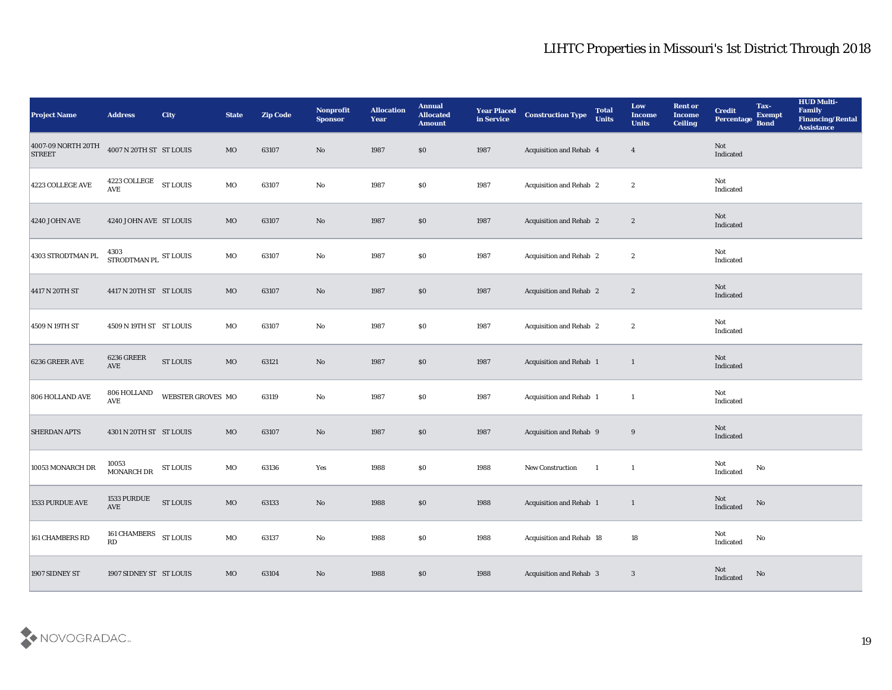| <b>Project Name</b>                 | <b>Address</b>                      | <b>City</b>       | <b>State</b> | <b>Zip Code</b> | Nonprofit<br><b>Sponsor</b> | <b>Allocation</b><br><b>Year</b> | <b>Annual</b><br><b>Allocated</b><br><b>Amount</b> | Year Placed<br>in Service | <b>Construction Type</b>       | <b>Total</b><br><b>Units</b> | Low<br><b>Income</b><br><b>Units</b> | <b>Rent or</b><br><b>Income</b><br><b>Ceiling</b> | <b>Credit</b><br>Percentage Bond | Tax-<br><b>Exempt</b>  | <b>HUD Multi-</b><br>Family<br><b>Financing/Rental</b><br><b>Assistance</b> |
|-------------------------------------|-------------------------------------|-------------------|--------------|-----------------|-----------------------------|----------------------------------|----------------------------------------------------|---------------------------|--------------------------------|------------------------------|--------------------------------------|---------------------------------------------------|----------------------------------|------------------------|-----------------------------------------------------------------------------|
| 4007-09 NORTH 20TH<br><b>STREET</b> | 4007 N 20TH ST ST LOUIS             |                   | MO           | 63107           | No                          | 1987                             | $\$0$                                              | 1987                      | Acquisition and Rehab 4        |                              | $\overline{4}$                       |                                                   | Not<br>Indicated                 |                        |                                                                             |
| 4223 COLLEGE AVE                    | 4223 COLLEGE ST LOUIS<br><b>AVE</b> |                   | MO           | 63107           | No                          | 1987                             | $\$0$                                              | 1987                      | <b>Acquisition and Rehab 2</b> |                              | $\boldsymbol{2}$                     |                                                   | Not<br>Indicated                 |                        |                                                                             |
| <b>4240 JOHN AVE</b>                | 4240 JOHN AVE ST LOUIS              |                   | MO           | 63107           | $\rm No$                    | 1987                             | $\$0$                                              | 1987                      | <b>Acquisition and Rehab 2</b> |                              | $\boldsymbol{2}$                     |                                                   | Not<br>Indicated                 |                        |                                                                             |
| 4303 STRODTMAN PL                   | 4303<br>STRODTMAN PL $\,$ ST LOUIS  |                   | MO           | 63107           | No                          | 1987                             | \$0                                                | 1987                      | <b>Acquisition and Rehab 2</b> |                              | $\boldsymbol{2}$                     |                                                   | Not<br>Indicated                 |                        |                                                                             |
| 4417 N 20TH ST                      | 4417 N 20TH ST ST LOUIS             |                   | MO           | 63107           | No                          | 1987                             | \$0\$                                              | 1987                      | <b>Acquisition and Rehab 2</b> |                              | $\boldsymbol{2}$                     |                                                   | Not<br>Indicated                 |                        |                                                                             |
| 4509 N 19TH ST                      | 4509 N 19TH ST ST LOUIS             |                   | MO           | 63107           | No                          | 1987                             | $\$0$                                              | 1987                      | Acquisition and Rehab 2        |                              | $\boldsymbol{2}$                     |                                                   | Not<br>Indicated                 |                        |                                                                             |
| 6236 GREER AVE                      | <b>6236 GREER</b><br>AVE            | <b>ST LOUIS</b>   | MO           | 63121           | No                          | 1987                             | $\$0$                                              | 1987                      | Acquisition and Rehab 1        |                              | $\mathbf{1}$                         |                                                   | Not<br>Indicated                 |                        |                                                                             |
| 806 HOLLAND AVE                     | 806 HOLLAND<br><b>AVE</b>           | WEBSTER GROVES MO |              | 63119           | No                          | 1987                             | \$0                                                | 1987                      | Acquisition and Rehab 1        |                              | $\mathbf{1}$                         |                                                   | Not<br>Indicated                 |                        |                                                                             |
| <b>SHERDAN APTS</b>                 | 4301 N 20TH ST ST LOUIS             |                   | MO           | 63107           | No                          | 1987                             | $\$0$                                              | 1987                      | Acquisition and Rehab 9        |                              | 9                                    |                                                   | Not<br>Indicated                 |                        |                                                                             |
| 10053 MONARCH DR                    | 10053<br>MONARCH DR                 | ST LOUIS          | MO           | 63136           | Yes                         | 1988                             | $\$0$                                              | 1988                      | <b>New Construction</b>        | $\blacksquare$               | $\mathbf{1}$                         |                                                   | Not<br>Indicated                 | No                     |                                                                             |
| 1533 PURDUE AVE                     | 1533 PURDUE<br>AVE                  | <b>ST LOUIS</b>   | MO           | 63133           | No                          | 1988                             | $\$0$                                              | 1988                      | Acquisition and Rehab 1        |                              | 1                                    |                                                   | Not<br>Indicated                 | No                     |                                                                             |
| 161 CHAMBERS RD                     | 161 CHAMBERS ST LOUIS<br>RD         |                   | $_{\rm MO}$  | 63137           | $\mathbf {No}$              | 1988                             | $\$0$                                              | 1988                      | Acquisition and Rehab 18       |                              | ${\bf 18}$                           |                                                   | Not<br>Indicated                 | $\mathbf {No}$         |                                                                             |
| 1907 SIDNEY ST                      | 1907 SIDNEY ST ST LOUIS             |                   | $_{\rm MO}$  | 63104           | $\mathbf {No}$              | 1988                             | \$0                                                | 1988                      | Acquisition and Rehab 3        |                              | $\sqrt{3}$                           |                                                   | Not<br>Indicated                 | $\mathbf{N}\mathbf{o}$ |                                                                             |

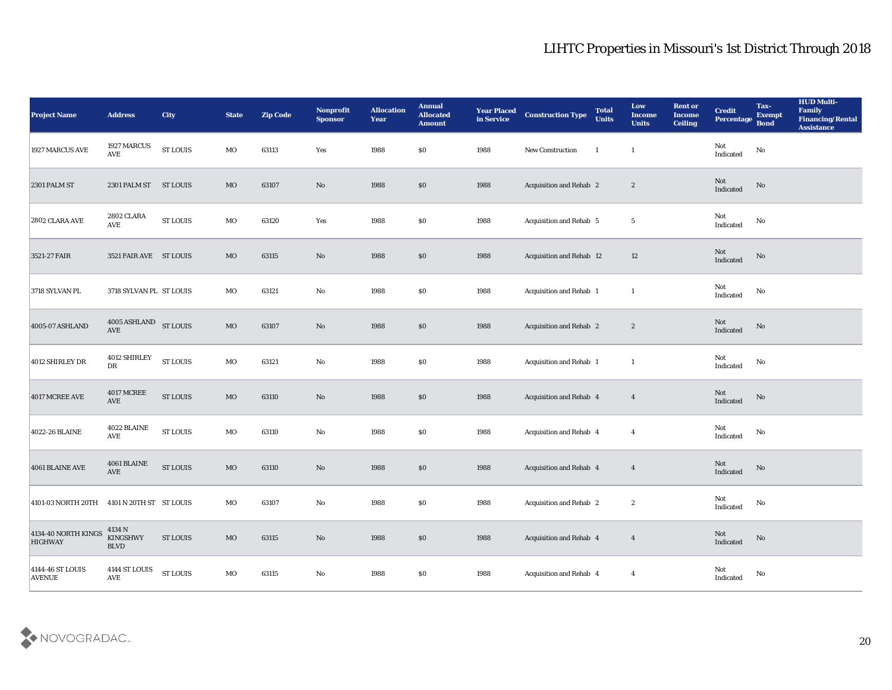| <b>Project Name</b>                        | <b>Address</b>                                     | City                                 | <b>State</b> | <b>Zip Code</b> | Nonprofit<br>Sponsor | <b>Allocation</b><br><b>Year</b> | <b>Annual</b><br><b>Allocated</b><br><b>Amount</b> | <b>Year Placed</b><br>in Service | <b>Construction Type</b> | <b>Total</b><br><b>Units</b> | Low<br><b>Income</b><br><b>Units</b> | <b>Rent or</b><br><b>Income</b><br><b>Ceiling</b> | <b>Credit</b><br>Percentage                | Tax-<br><b>Exempt</b><br><b>Bond</b> | <b>HUD Multi-</b><br>Family<br><b>Financing/Rental</b><br><b>Assistance</b> |
|--------------------------------------------|----------------------------------------------------|--------------------------------------|--------------|-----------------|----------------------|----------------------------------|----------------------------------------------------|----------------------------------|--------------------------|------------------------------|--------------------------------------|---------------------------------------------------|--------------------------------------------|--------------------------------------|-----------------------------------------------------------------------------|
| 1927 MARCUS AVE                            | 1927 MARCUS<br><b>AVE</b>                          | ${\hbox{\footnotesize\rm ST}}$ LOUIS | MO           | 63113           | Yes                  | 1988                             | \$0                                                | 1988                             | New Construction         | -1                           | $\mathbf{1}$                         |                                                   | Not<br>Indicated                           | $\rm\thinspace No$                   |                                                                             |
| <b>2301 PALM ST</b>                        | 2301 PALM ST ST LOUIS                              |                                      | MO           | 63107           | No                   | 1988                             | $\$0$                                              | 1988                             | Acquisition and Rehab 2  |                              | $\mathbf{2}$                         |                                                   | Not<br>Indicated                           | No                                   |                                                                             |
| 2802 CLARA AVE                             | <b>2802 CLARA</b><br><b>AVE</b>                    | <b>ST LOUIS</b>                      | MO           | 63120           | Yes                  | 1988                             | \$0                                                | 1988                             | Acquisition and Rehab 5  |                              | $5\phantom{.0}$                      |                                                   | Not<br>Indicated                           | $\mathbf{N}\mathbf{o}$               |                                                                             |
| 3521-27 FAIR                               | 3521 FAIR AVE ST LOUIS                             |                                      | $_{\rm MO}$  | 63115           | No                   | 1988                             | \$0                                                | 1988                             | Acquisition and Rehab 12 |                              | 12                                   |                                                   | Not<br>Indicated                           | $\rm\thinspace No$                   |                                                                             |
| 3718 SYLVAN PL                             | 3718 SYLVAN PL ST LOUIS                            |                                      | MO           | 63121           | $\rm\thinspace No$   | 1988                             | \$0                                                | 1988                             | Acquisition and Rehab 1  |                              | -1                                   |                                                   | Not<br>Indicated                           | No                                   |                                                                             |
| 4005-07 ASHLAND                            | 4005 ASHLAND<br>AVE                                | <b>ST LOUIS</b>                      | $_{\rm MO}$  | 63107           | No                   | 1988                             | $\$0$                                              | 1988                             | Acquisition and Rehab 2  |                              | $\mathbf{2}$                         |                                                   | Not<br>Indicated                           | No                                   |                                                                             |
| 4012 SHIRLEY DR                            | 4012 SHIRLEY<br>DR                                 | <b>ST LOUIS</b>                      | MO           | 63121           | No                   | 1988                             | \$0                                                | 1988                             | Acquisition and Rehab 1  |                              | -1                                   |                                                   | Not<br>Indicated                           | No                                   |                                                                             |
| 4017 MCREE AVE                             | <b>4017 MCREE</b><br><b>AVE</b>                    | <b>ST LOUIS</b>                      | $\rm MO$     | 63110           | No                   | 1988                             | \$0                                                | 1988                             | Acquisition and Rehab 4  |                              | $\overline{4}$                       |                                                   | Not<br>Indicated                           | No                                   |                                                                             |
| 4022-26 BLAINE                             | 4022 BLAINE<br><b>AVE</b>                          | <b>ST LOUIS</b>                      | MO           | 63110           | No                   | 1988                             | \$0                                                | 1988                             | Acquisition and Rehab 4  |                              | $\overline{4}$                       |                                                   | Not<br>Indicated                           | ${\bf No}$                           |                                                                             |
| 4061 BLAINE AVE                            | 4061 BLAINE<br>AVE                                 | <b>ST LOUIS</b>                      | $_{\rm MO}$  | 63110           | No                   | 1988                             | $\$0$                                              | 1988                             | Acquisition and Rehab 4  |                              | $\overline{4}$                       |                                                   | Not<br>Indicated                           | No                                   |                                                                             |
| 4101-03 NORTH 20TH 4101 N 20TH ST ST LOUIS |                                                    |                                      | MO           | 63107           | No                   | 1988                             | \$0                                                | 1988                             | Acquisition and Rehab 2  |                              | $\boldsymbol{2}$                     |                                                   | Not<br>Indicated                           | No                                   |                                                                             |
| 4134-40 NORTH KINGS<br><b>HIGHWAY</b>      | 4134 N<br><b>KINGSHWY</b><br>$\operatorname{BLVD}$ | <b>ST LOUIS</b>                      | $\rm MO$     | 63115           | $\mathbf {No}$       | 1988                             | \$0                                                | 1988                             | Acquisition and Rehab 4  |                              | $\overline{4}$                       |                                                   | $\operatorname{\mathsf{Not}}$<br>Indicated | $\mathbf {No}$                       |                                                                             |
| 4144-46 ST LOUIS<br><b>AVENUE</b>          | 4144 ST LOUIS<br>$\operatorname{AVE}$              | <b>ST LOUIS</b>                      | $_{\rm MO}$  | 63115           | $\mathbf {No}$       | 1988                             | $\$0$                                              | 1988                             | Acquisition and Rehab 4  |                              | $\boldsymbol{4}$                     |                                                   | Not<br>Indicated                           | ${\bf No}$                           |                                                                             |

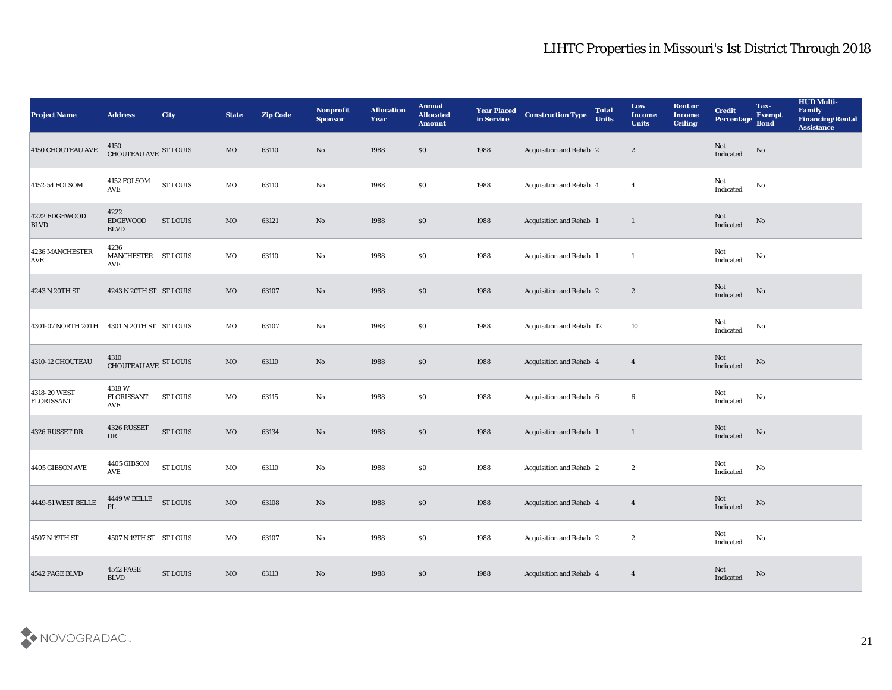| <b>Project Name</b>               | <b>Address</b>                            | <b>City</b>                          | <b>State</b> | <b>Zip Code</b> | Nonprofit<br><b>Sponsor</b> | <b>Allocation</b><br><b>Year</b> | <b>Annual</b><br><b>Allocated</b><br><b>Amount</b> | <b>Year Placed</b><br>in Service | <b>Construction Type</b>       | <b>Total</b><br><b>Units</b> | Low<br><b>Income</b><br><b>Units</b> | <b>Rent or</b><br><b>Income</b><br><b>Ceiling</b> | <b>Credit</b><br>Percentage Bond      | Tax-<br><b>Exempt</b>  | <b>HUD Multi-</b><br>Family<br><b>Financing/Rental</b><br><b>Assistance</b> |
|-----------------------------------|-------------------------------------------|--------------------------------------|--------------|-----------------|-----------------------------|----------------------------------|----------------------------------------------------|----------------------------------|--------------------------------|------------------------------|--------------------------------------|---------------------------------------------------|---------------------------------------|------------------------|-----------------------------------------------------------------------------|
| 4150 CHOUTEAU AVE                 | 4150<br>CHOUTEAU AVE ST LOUIS             |                                      | MO           | 63110           | No                          | 1988                             | $\$0$                                              | 1988                             | <b>Acquisition and Rehab 2</b> |                              | $\boldsymbol{2}$                     |                                                   | Not<br>Indicated                      | $\rm \bf No$           |                                                                             |
| 4152-54 FOLSOM                    | 4152 FOLSOM<br><b>AVE</b>                 | ${\hbox{\footnotesize\rm ST}}$ LOUIS | MO           | 63110           | No                          | 1988                             | $\$0$                                              | 1988                             | Acquisition and Rehab 4        |                              | $\boldsymbol{4}$                     |                                                   | Not<br>Indicated                      | No                     |                                                                             |
| 4222 EDGEWOOD<br><b>BLVD</b>      | 4222<br><b>EDGEWOOD</b><br><b>BLVD</b>    | <b>ST LOUIS</b>                      | MO           | 63121           | $\mathbf {No}$              | 1988                             | $\$0$                                              | 1988                             | Acquisition and Rehab 1        |                              | $\mathbf{1}$                         |                                                   | Not<br>Indicated                      | No                     |                                                                             |
| 4236 MANCHESTER<br><b>AVE</b>     | 4236<br>MANCHESTER ST LOUIS<br>AVE        |                                      | MO           | 63110           | $\rm\thinspace No$          | 1988                             | \$0                                                | 1988                             | Acquisition and Rehab 1        |                              | <sup>1</sup>                         |                                                   | Not<br>$\operatorname{Indicated}$     | No                     |                                                                             |
| 4243 N 20TH ST                    | 4243 N 20TH ST ST LOUIS                   |                                      | MO           | 63107           | No                          | 1988                             | \$0\$                                              | 1988                             | <b>Acquisition and Rehab 2</b> |                              | $\boldsymbol{2}$                     |                                                   | Not<br>Indicated                      | No                     |                                                                             |
| 4301-07 NORTH 20TH                | 4301 N 20TH ST ST LOUIS                   |                                      | MO           | 63107           | No                          | 1988                             | \$0                                                | 1988                             | Acquisition and Rehab 12       |                              | 10                                   |                                                   | Not<br>Indicated                      | No                     |                                                                             |
| 4310-12 CHOUTEAU                  | $4310$ CHOUTEAU AVE $\,$ ST LOUIS $\,$    |                                      | MO           | 63110           | $\rm No$                    | 1988                             | $\$0$                                              | 1988                             | Acquisition and Rehab 4        |                              | $\overline{4}$                       |                                                   | $\operatorname{\bf Not}$<br>Indicated | No                     |                                                                             |
| 4318-20 WEST<br><b>FLORISSANT</b> | 4318W<br><b>FLORISSANT</b><br>AVE         | <b>ST LOUIS</b>                      | MO           | 63115           | $\mathbf{N}\mathbf{o}$      | 1988                             | \$0                                                | 1988                             | Acquisition and Rehab 6        |                              | 6                                    |                                                   | Not<br>Indicated                      | No                     |                                                                             |
| 4326 RUSSET DR                    | 4326 RUSSET<br>${\rm DR}$                 | <b>ST LOUIS</b>                      | MO           | 63134           | $\rm\thinspace No$          | 1988                             | $\$0$                                              | 1988                             | <b>Acquisition and Rehab 1</b> |                              | $\mathbf{1}$                         |                                                   | Not<br>Indicated                      | $\mathbf{N}\mathbf{o}$ |                                                                             |
| $4405$ GIBSON AVE                 | 4405 GIBSON<br>AVE                        | ${\hbox{\footnotesize\rm ST}}$ LOUIS | MO           | 63110           | $\mathbf{N}\mathbf{o}$      | 1988                             | \$0\$                                              | 1988                             | <b>Acquisition and Rehab 2</b> |                              | $\boldsymbol{2}$                     |                                                   | Not<br>Indicated                      | No                     |                                                                             |
| 4449-51 WEST BELLE                | <b>4449 W BELLE</b><br>PL                 | <b>ST LOUIS</b>                      | $_{\rm MO}$  | 63108           | No                          | 1988                             | \$0\$                                              | 1988                             | Acquisition and Rehab 4        |                              | $\overline{4}$                       |                                                   | Not<br>Indicated                      | No                     |                                                                             |
| 4507 N 19TH ST                    | 4507 N 19TH ST ST LOUIS                   |                                      | $_{\rm MO}$  | 63107           | ${\bf No}$                  | 1988                             | $\$0$                                              | 1988                             | Acquisition and Rehab 2        |                              | $\boldsymbol{2}$                     |                                                   | Not<br>$\operatorname{Indicated}$     | $\mathbf{N}\mathbf{o}$ |                                                                             |
| 4542 PAGE BLVD                    | <b>4542 PAGE</b><br>$\operatorname{BLVD}$ | <b>ST LOUIS</b>                      | $_{\rm MO}$  | 63113           | $\mathbf {No}$              | 1988                             | $\$0$                                              | 1988                             | Acquisition and Rehab 4        |                              | $\overline{\mathbf{4}}$              |                                                   | Not<br>Indicated                      | No                     |                                                                             |

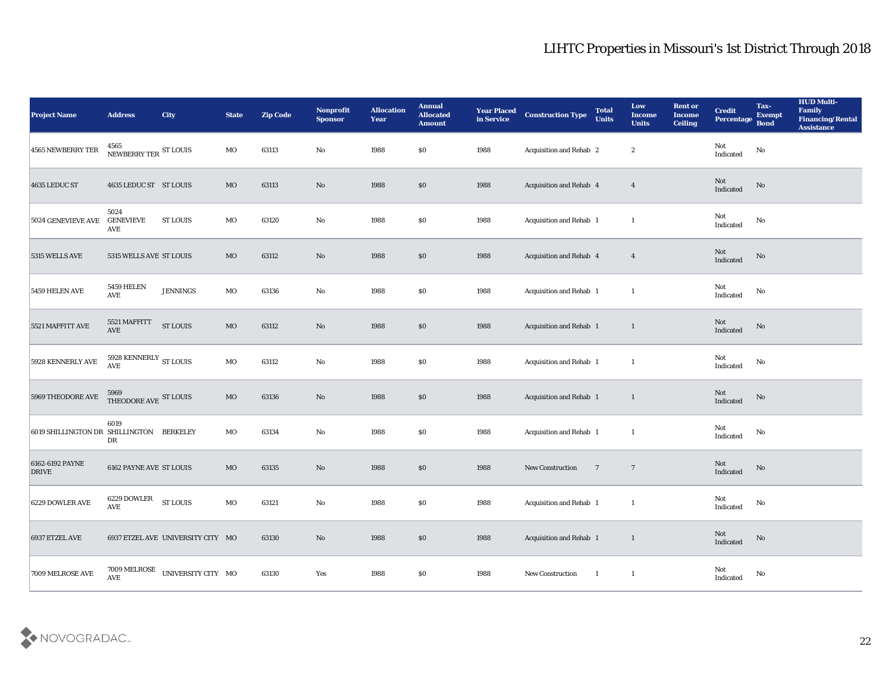| <b>Project Name</b>                      | <b>Address</b>                                | <b>City</b>                                            | <b>State</b> | <b>Zip Code</b> | Nonprofit<br><b>Sponsor</b> | <b>Allocation</b><br><b>Year</b> | <b>Annual</b><br><b>Allocated</b><br><b>Amount</b> | <b>Year Placed</b><br>in Service | <b>Construction Type</b>                     | <b>Total</b><br><b>Units</b> | Low<br><b>Income</b><br><b>Units</b> | <b>Rent or</b><br><b>Income</b><br><b>Ceiling</b> | <b>Credit</b><br>Percentage Bond  | Tax-<br><b>Exempt</b> | <b>HUD Multi-</b><br>Family<br><b>Financing/Rental</b><br><b>Assistance</b> |
|------------------------------------------|-----------------------------------------------|--------------------------------------------------------|--------------|-----------------|-----------------------------|----------------------------------|----------------------------------------------------|----------------------------------|----------------------------------------------|------------------------------|--------------------------------------|---------------------------------------------------|-----------------------------------|-----------------------|-----------------------------------------------------------------------------|
| 4565 NEWBERRY TER                        | $4565$ NEWBERRY TER $^{\rm ST}$ LOUIS         |                                                        | MO           | 63113           | No                          | 1988                             | $\$0$                                              | 1988                             | Acquisition and Rehab 2                      |                              | $\boldsymbol{2}$                     |                                                   | Not<br>Indicated                  | No                    |                                                                             |
| 4635 LEDUC ST                            | 4635 LEDUC ST ST LOUIS                        |                                                        | MO           | 63113           | No                          | 1988                             | \$0                                                | 1988                             | Acquisition and Rehab 4                      |                              | $\boldsymbol{4}$                     |                                                   | Not<br>Indicated                  | No                    |                                                                             |
| <b>5024 GENEVIEVE AVE</b>                | 5024<br><b>GENEVIEVE</b><br>AVE               | <b>ST LOUIS</b>                                        | MO           | 63120           | No                          | 1988                             | \$0                                                | 1988                             | Acquisition and Rehab 1                      |                              | $\mathbf{1}$                         |                                                   | Not<br>Indicated                  | No                    |                                                                             |
| 5315 WELLS AVE                           | 5315 WELLS AVE ST LOUIS                       |                                                        | MO           | 63112           | No                          | 1988                             | \$0                                                | 1988                             | Acquisition and Rehab 4                      |                              | $\overline{4}$                       |                                                   | Not<br>Indicated                  | No                    |                                                                             |
| 5459 HELEN AVE                           | <b>5459 HELEN</b><br>$\operatorname{AVE}$     | <b>JENNINGS</b>                                        | MO           | 63136           | No                          | 1988                             | \$0\$                                              | 1988                             | <b>Acquisition and Rehab 1</b>               |                              | $\mathbf{1}$                         |                                                   | Not<br>Indicated                  | No                    |                                                                             |
| 5521 MAFFITT AVE                         | 5521 MAFFITT<br>$\operatorname{AVE}$          | <b>ST LOUIS</b>                                        | $_{\rm MO}$  | 63112           | No                          | 1988                             | \$0                                                | 1988                             | <b>Acquisition and Rehab 1</b>               |                              | $\mathbf{1}$                         |                                                   | Not<br>Indicated                  | No                    |                                                                             |
| 5928 KENNERLY AVE                        | 5928 KENNERLY $_{\rm ST~LOUIS}$<br><b>AVE</b> |                                                        | MO           | 63112           | $\mathbf{No}$               | 1988                             | $\$0$                                              | 1988                             | Acquisition and Rehab 1                      |                              | -1                                   |                                                   | Not<br>Indicated                  | No                    |                                                                             |
| 5969 THEODORE AVE                        | 5969<br>THEODORE AVE ST LOUIS                 |                                                        | $_{\rm MO}$  | 63136           | No                          | 1988                             | \$0                                                | 1988                             | Acquisition and Rehab 1                      |                              | $\mathbf{1}$                         |                                                   | Not<br>Indicated                  | No                    |                                                                             |
| 6019 SHILLINGTON DR SHILLINGTON BERKELEY | 6019<br>DR                                    |                                                        | MO           | 63134           | No                          | 1988                             | $\$0$                                              | 1988                             | Acquisition and Rehab 1                      |                              | $\mathbf{1}$                         |                                                   | Not<br>$\operatorname{Indicated}$ | No                    |                                                                             |
| 6162-6192 PAYNE<br><b>DRIVE</b>          | <b>6162 PAYNE AVE ST LOUIS</b>                |                                                        | MO           | 63135           | No                          | 1988                             | $\$0$                                              | 1988                             | <b>New Construction</b>                      | $\overline{7}$               | $\overline{7}$                       |                                                   | <b>Not</b><br>Indicated           | No                    |                                                                             |
| 6229 DOWLER AVE                          | 6229 DOWLER<br>$\operatorname{AVE}$           | <b>ST LOUIS</b>                                        | MO           | 63121           | No                          | 1988                             | $\$0$                                              | 1988                             | Acquisition and Rehab 1                      |                              | 1                                    |                                                   | Not<br>Indicated                  | No                    |                                                                             |
| 6937 ETZEL AVE                           |                                               | 6937 ETZEL AVE UNIVERSITY CITY MO                      |              | 63130           | $\mathbf {No}$              | 1988                             | $\$0$                                              | 1988                             | Acquisition and Rehab 1                      |                              | $\mathbf{1}$                         |                                                   | Not<br>Indicated                  | $\rm\thinspace No$    |                                                                             |
| 7009 MELROSE AVE                         |                                               | $7009 \, \rm MELROSE$ UNIVERSITY CITY $\,$ MO $\,$ AVE |              | 63130           | Yes                         | 1988                             | $\$0$                                              | 1988                             | New Construction<br>$\overline{\phantom{a}}$ |                              | $\mathbf{1}$                         |                                                   | $\rm Not$ Indicated               | $\mathbf {No}$        |                                                                             |

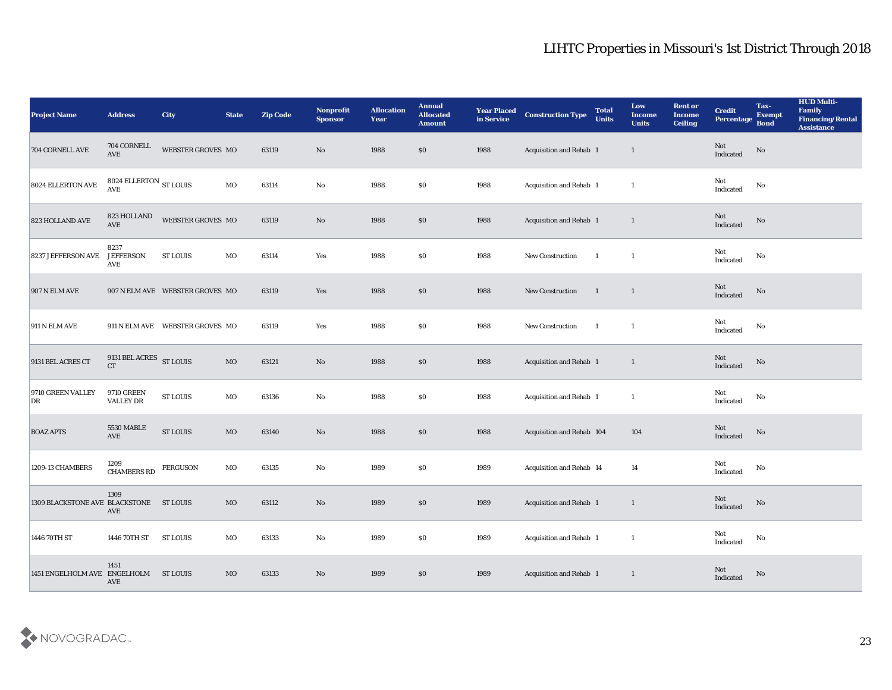| <b>Project Name</b>                     | <b>Address</b>                             | <b>City</b>                          | <b>State</b> | <b>Zip Code</b> | Nonprofit<br><b>Sponsor</b> | <b>Allocation</b><br><b>Year</b> | <b>Annual</b><br><b>Allocated</b><br><b>Amount</b> | <b>Year Placed</b><br>in Service | <b>Construction Type</b>       | <b>Total</b><br><b>Units</b> | Low<br><b>Income</b><br><b>Units</b> | <b>Rent or</b><br><b>Income</b><br><b>Ceiling</b> | <b>Credit</b><br>Percentage | Tax-<br><b>Exempt</b><br><b>Bond</b> | <b>HUD Multi-</b><br>Family<br><b>Financing/Rental</b><br><b>Assistance</b> |
|-----------------------------------------|--------------------------------------------|--------------------------------------|--------------|-----------------|-----------------------------|----------------------------------|----------------------------------------------------|----------------------------------|--------------------------------|------------------------------|--------------------------------------|---------------------------------------------------|-----------------------------|--------------------------------------|-----------------------------------------------------------------------------|
| 704 CORNELL AVE                         | $704$ CORNELL<br>$\operatorname{AVE}$      | WEBSTER GROVES MO                    |              | 63119           | No                          | 1988                             | \$0                                                | 1988                             | Acquisition and Rehab 1        |                              | $\mathbf{1}$                         |                                                   | Not<br>Indicated            | No                                   |                                                                             |
| 8024 ELLERTON AVE                       | 8024 ELLERTON $_{\rm ST~LOUIS}$<br>AVE     |                                      | $_{\rm MO}$  | 63114           | No                          | 1988                             | \$0                                                | 1988                             | Acquisition and Rehab 1        |                              | $\mathbf{1}$                         |                                                   | Not<br>Indicated            | No                                   |                                                                             |
| 823 HOLLAND AVE                         | 823 HOLLAND<br>AVE                         | WEBSTER GROVES MO                    |              | 63119           | $\rm\thinspace No$          | 1988                             | \$0                                                | 1988                             | <b>Acquisition and Rehab 1</b> |                              | $\overline{1}$                       |                                                   | Not<br>Indicated            | No                                   |                                                                             |
| 8237 JEFFERSON AVE                      | 8237<br><b>JEFFERSON</b><br>AVE            | <b>ST LOUIS</b>                      | MO           | 63114           | Yes                         | 1988                             | \$0\$                                              | 1988                             | New Construction               | - 1                          | $\mathbf{1}$                         |                                                   | Not<br>Indicated            | No                                   |                                                                             |
| <b>907 N ELM AVE</b>                    |                                            | 907 N ELM AVE WEBSTER GROVES MO      |              | 63119           | Yes                         | 1988                             | \$0                                                | 1988                             | New Construction               | $\overline{1}$               | $\mathbf{1}$                         |                                                   | Not<br>Indicated            | No                                   |                                                                             |
| <b>911 N ELM AVE</b>                    |                                            | 911 N ELM AVE  WEBSTER GROVES MO     |              | 63119           | Yes                         | 1988                             | \$0                                                | 1988                             | New Construction               | $\overline{\mathbf{1}}$      | $\overline{1}$                       |                                                   | Not<br>Indicated            | No                                   |                                                                             |
| 9131 BEL ACRES CT                       | 9131 BEL ACRES $$\rm{ST}$ LOUIS $$\rm{CT}$ |                                      | $_{\rm MO}$  | 63121           | No                          | 1988                             | \$0                                                | 1988                             | <b>Acquisition and Rehab 1</b> |                              | $\mathbf{1}$                         |                                                   | Not<br>Indicated            | No                                   |                                                                             |
| 9710 GREEN VALLEY<br>DR                 | <b>9710 GREEN</b><br><b>VALLEY DR</b>      | ${\hbox{\footnotesize\rm ST}}$ LOUIS | $_{\rm MO}$  | 63136           | $\rm\thinspace No$          | 1988                             | \$0                                                | 1988                             | Acquisition and Rehab 1        |                              | $\mathbf{1}$                         |                                                   | Not<br>Indicated            | No                                   |                                                                             |
| <b>BOAZ APTS</b>                        | 5530 MABLE<br>$\operatorname{AVE}$         | <b>ST LOUIS</b>                      | $\rm MO$     | 63140           | No                          | 1988                             | $\$0$                                              | 1988                             | Acquisition and Rehab 104      |                              | 104                                  |                                                   | Not<br>Indicated            | No                                   |                                                                             |
| 1209-13 CHAMBERS                        | 1209<br>CHAMBERS RD                        | <b>FERGUSON</b>                      | MO           | 63135           | $\mathbf{N}\mathbf{o}$      | 1989                             | \$0                                                | 1989                             | Acquisition and Rehab 14       |                              | 14                                   |                                                   | Not<br>Indicated            | No                                   |                                                                             |
| 1309 BLACKSTONE AVE BLACKSTONE ST LOUIS | 1309<br>AVE                                |                                      | MO           | 63112           | No                          | 1989                             | \$0                                                | 1989                             | Acquisition and Rehab 1        |                              | 1                                    |                                                   | Not<br>Indicated            | No                                   |                                                                             |
| 1446 70TH ST                            | 1446 70TH ST                               | <b>ST LOUIS</b>                      | $\rm MO$     | 63133           | $\mathbf {No}$              | 1989                             | $\$0$                                              | 1989                             | Acquisition and Rehab 1        |                              | $\mathbf{1}$                         |                                                   | Not<br>Indicated            | $\mathbf {No}$                       |                                                                             |
| 1451 ENGELHOLM AVE ENGELHOLM            | 1451<br>AVE                                | ST LOUIS                             | $\rm MO$     | 63133           | $\rm\thinspace No$          | 1989                             | \$0                                                | 1989                             | Acquisition and Rehab 1        |                              | $\mathbf{1}$                         |                                                   | Not<br>Indicated            | $\rm No$                             |                                                                             |

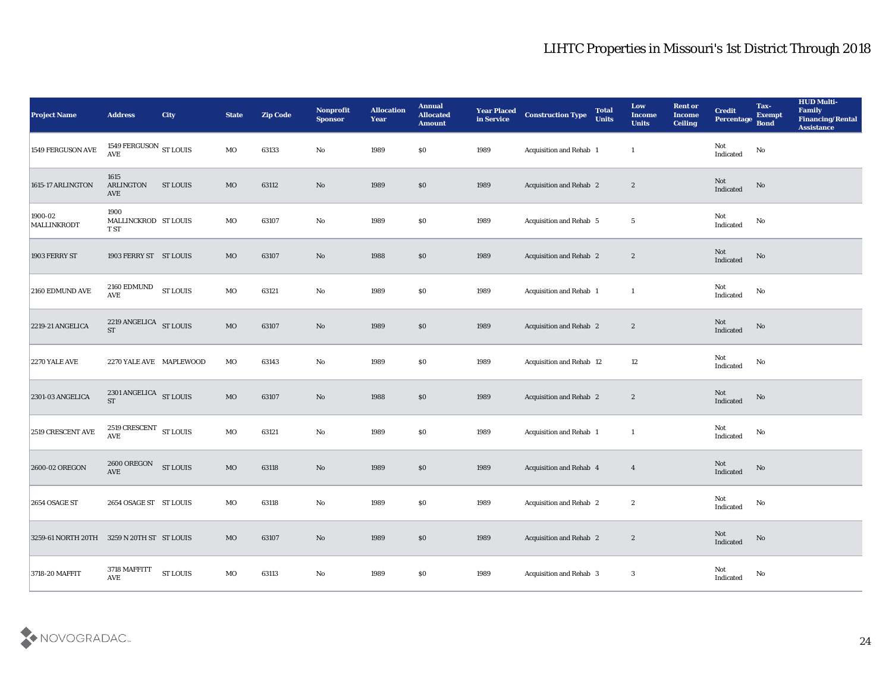| <b>Project Name</b>                        | <b>Address</b>                                 | <b>City</b>                          | <b>State</b> | <b>Zip Code</b> | Nonprofit<br><b>Sponsor</b> | <b>Allocation</b><br><b>Year</b> | <b>Annual</b><br><b>Allocated</b><br><b>Amount</b> | <b>Year Placed</b><br>in Service | <b>Construction Type</b> | <b>Total</b><br><b>Units</b> | Low<br><b>Income</b><br><b>Units</b> | <b>Rent or</b><br><b>Income</b><br><b>Ceiling</b> | <b>Credit</b><br>Percentage           | Tax-<br><b>Exempt</b><br><b>Bond</b> | <b>HUD Multi-</b><br>Family<br><b>Financing/Rental</b><br>Assistance |
|--------------------------------------------|------------------------------------------------|--------------------------------------|--------------|-----------------|-----------------------------|----------------------------------|----------------------------------------------------|----------------------------------|--------------------------|------------------------------|--------------------------------------|---------------------------------------------------|---------------------------------------|--------------------------------------|----------------------------------------------------------------------|
| 1549 FERGUSON AVE                          | 1549 FERGUSON ST LOUIS<br>$\operatorname{AVE}$ |                                      | MO           | 63133           | No                          | 1989                             | $\$0$                                              | 1989                             | Acquisition and Rehab 1  |                              | 1                                    |                                                   | Not<br>Indicated                      | ${\bf No}$                           |                                                                      |
| 1615-17 ARLINGTON                          | 1615<br><b>ARLINGTON</b><br>AVE                | ST LOUIS                             | MO           | 63112           | No                          | 1989                             | $\$0$                                              | 1989                             | Acquisition and Rehab 2  |                              | $\boldsymbol{2}$                     |                                                   | Not<br>Indicated                      | No                                   |                                                                      |
| 1900-02<br>MALLINKRODT                     | 1900<br>MALLINCKROD ST LOUIS<br>T ST           |                                      | MO           | 63107           | $\mathbf {No}$              | 1989                             | \$0\$                                              | 1989                             | Acquisition and Rehab 5  |                              | $5\phantom{.0}$                      |                                                   | Not<br>Indicated                      | No                                   |                                                                      |
| 1903 FERRY ST                              | 1903 FERRY ST ST LOUIS                         |                                      | MO           | 63107           | No                          | 1988                             | $\$0$                                              | 1989                             | Acquisition and Rehab 2  |                              | $\boldsymbol{2}$                     |                                                   | Not<br>Indicated                      | $\rm\thinspace No$                   |                                                                      |
| 2160 EDMUND AVE                            | $2160\ \mathrm{EDMUND}$<br><b>AVE</b>          | <b>ST LOUIS</b>                      | MO           | 63121           | $\mathbf{No}$               | 1989                             | \$0\$                                              | 1989                             | Acquisition and Rehab 1  |                              | -1                                   |                                                   | Not<br>Indicated                      | No                                   |                                                                      |
| 2219-21 ANGELICA                           | 2219 ANGELICA ST LOUIS<br>${\cal S}{\cal T}$   |                                      | MO           | 63107           | No                          | 1989                             | $\$0$                                              | 1989                             | Acquisition and Rehab 2  |                              | $\mathbf{2}$                         |                                                   | Not<br>Indicated                      | No                                   |                                                                      |
| <b>2270 YALE AVE</b>                       | 2270 YALE AVE MAPLEWOOD                        |                                      | MO           | 63143           | No                          | 1989                             | $\$0$                                              | 1989                             | Acquisition and Rehab 12 |                              | 12                                   |                                                   | Not<br>Indicated                      | No                                   |                                                                      |
| 2301-03 ANGELICA                           | 2301 ANGELICA ST LOUIS<br><b>ST</b>            |                                      | $_{\rm MO}$  | 63107           | $\rm No$                    | 1988                             | $\$0$                                              | 1989                             | Acquisition and Rehab 2  |                              | $\mathbf{2}$                         |                                                   | Not<br>Indicated                      | No                                   |                                                                      |
| 2519 CRESCENT AVE                          | 2519 CRESCENT ST LOUIS<br><b>AVE</b>           |                                      | MO           | 63121           | No                          | 1989                             | \$0\$                                              | 1989                             | Acquisition and Rehab 1  |                              | $\mathbf{1}$                         |                                                   | Not<br>Indicated                      | $\mathbf {No}$                       |                                                                      |
| <b>2600-02 OREGON</b>                      | $2600$ OREGON $\,$<br>AVE                      | ${\hbox{\footnotesize\rm ST}}$ LOUIS | MO           | 63118           | No                          | 1989                             | $\$0$                                              | 1989                             | Acquisition and Rehab 4  |                              | $\overline{4}$                       |                                                   | Not<br>Indicated                      | No                                   |                                                                      |
| <b>2654 OSAGE ST</b>                       | 2654 OSAGE ST ST LOUIS                         |                                      | MO           | 63118           | No                          | 1989                             | \$0\$                                              | 1989                             | Acquisition and Rehab 2  |                              | $\boldsymbol{2}$                     |                                                   | Not<br>Indicated                      | No                                   |                                                                      |
| 3259-61 NORTH 20TH 3259 N 20TH ST ST LOUIS |                                                |                                      | $_{\rm MO}$  | 63107           | $\mathbf {No}$              | 1989                             | $\$0$                                              | 1989                             | Acquisition and Rehab 2  |                              | $\mathbf{2}$                         |                                                   | $\operatorname{\bf Not}$<br>Indicated | $\rm \bf No$                         |                                                                      |
| 3718-20 MAFFIT                             | 3718 MAFFITT<br>$\operatorname{AVE}$           | <b>ST LOUIS</b>                      | MO           | 63113           | $\mathbf {No}$              | 1989                             | $\$0$                                              | 1989                             | Acquisition and Rehab 3  |                              | $\sqrt{3}$                           |                                                   | ${\rm Not}$ Indicated                 | $\mathbf {No}$                       |                                                                      |

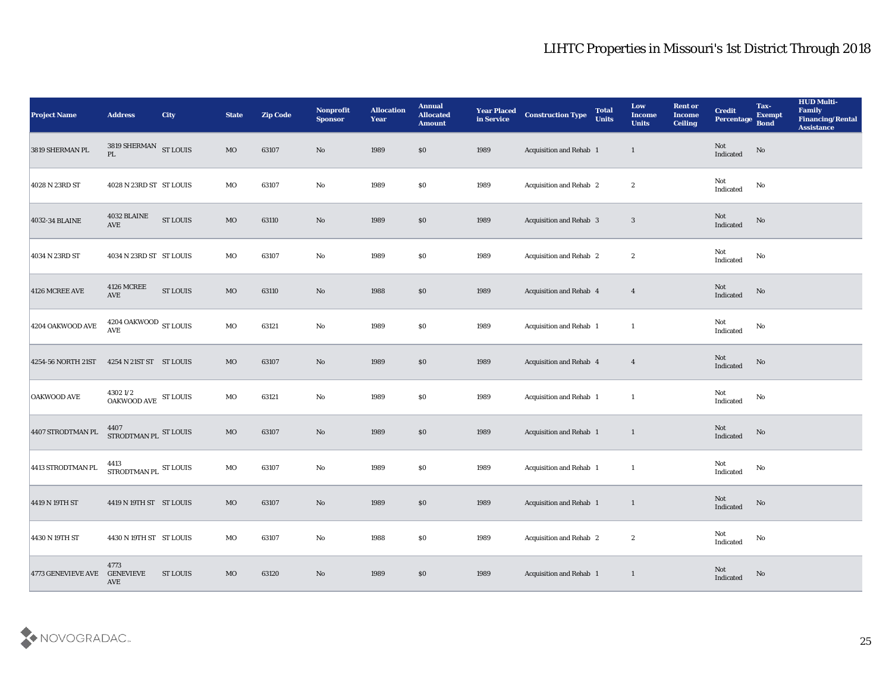| <b>Project Name</b>       | <b>Address</b>                                                                                                       | <b>City</b>     | <b>State</b> | <b>Zip Code</b> | Nonprofit<br><b>Sponsor</b> | <b>Allocation</b><br><b>Year</b> | <b>Annual</b><br><b>Allocated</b><br><b>Amount</b> | <b>Year Placed</b><br>in Service | <b>Construction Type</b>       | <b>Total</b><br><b>Units</b> | Low<br><b>Income</b><br><b>Units</b> | <b>Rent or</b><br><b>Income</b><br><b>Ceiling</b> | <b>Credit</b><br>Percentage       | Tax-<br><b>Exempt</b><br><b>Bond</b> | <b>HUD Multi-</b><br>Family<br><b>Financing/Rental</b><br><b>Assistance</b> |
|---------------------------|----------------------------------------------------------------------------------------------------------------------|-----------------|--------------|-----------------|-----------------------------|----------------------------------|----------------------------------------------------|----------------------------------|--------------------------------|------------------------------|--------------------------------------|---------------------------------------------------|-----------------------------------|--------------------------------------|-----------------------------------------------------------------------------|
| 3819 SHERMAN PL           | $\begin{tabular}{ll} 3819 {\small\bf SHERMAN} & {\small\bf ST LOUIS} \\ {\small\bf PL} & {} & {} & \\ \end{tabular}$ |                 | MO           | 63107           | No                          | 1989                             | \$0                                                | 1989                             | Acquisition and Rehab 1        |                              | $\mathbf{1}$                         |                                                   | Not<br>Indicated                  | No                                   |                                                                             |
| 4028 N 23RD ST            | 4028 N 23RD ST ST LOUIS                                                                                              |                 | MO           | 63107           | No                          | 1989                             | $\$0$                                              | 1989                             | <b>Acquisition and Rehab 2</b> |                              | $\boldsymbol{2}$                     |                                                   | Not<br>Indicated                  | No                                   |                                                                             |
| 4032-34 BLAINE            | 4032 BLAINE<br><b>AVE</b>                                                                                            | <b>ST LOUIS</b> | $_{\rm MO}$  | 63110           | $\rm No$                    | 1989                             | \$0                                                | 1989                             | <b>Acquisition and Rehab 3</b> |                              | $\mathbf{3}$                         |                                                   | Not<br>Indicated                  | No                                   |                                                                             |
| 4034 N 23RD ST            | 4034 N 23RD ST ST LOUIS                                                                                              |                 | MO           | 63107           | $\mathbf {No}$              | 1989                             | \$0                                                | 1989                             | Acquisition and Rehab 2        |                              | $\boldsymbol{2}$                     |                                                   | Not<br>Indicated                  | No                                   |                                                                             |
| 4126 MCREE AVE            | <b>4126 MCREE</b><br>AVE                                                                                             | ST LOUIS        | $_{\rm MO}$  | 63110           | No                          | 1988                             | \$0\$                                              | 1989                             | Acquisition and Rehab 4        |                              | $\overline{\mathbf{4}}$              |                                                   | Not<br>Indicated                  | No                                   |                                                                             |
| 4204 OAKWOOD AVE          | 4204 OAKWOOD $\,$ ST LOUIS<br><b>AVE</b>                                                                             |                 | MO           | 63121           | No                          | 1989                             | \$0\$                                              | 1989                             | Acquisition and Rehab 1        |                              | <sup>1</sup>                         |                                                   | Not<br>Indicated                  | No                                   |                                                                             |
| 4254-56 NORTH 21ST        | 4254 N 21ST ST ST LOUIS                                                                                              |                 | MO           | 63107           | $\rm No$                    | 1989                             | \$0                                                | 1989                             | Acquisition and Rehab 4        |                              | $\overline{4}$                       |                                                   | Not<br>Indicated                  | No                                   |                                                                             |
| <b>OAKWOOD AVE</b>        | $4302\,1/2$ $$\rm{5}T$$ LOUIS OAKWOOD AVE                                                                            |                 | $_{\rm MO}$  | 63121           | $\mathbf {No}$              | 1989                             | \$0                                                | 1989                             | Acquisition and Rehab 1        |                              | <sup>1</sup>                         |                                                   | Not<br>Indicated                  | No                                   |                                                                             |
| 4407 STRODTMAN PL         | $$\,4407$ $$\rm ST~LOUIS$$ $$\rm ST~LOUIS$$                                                                          |                 | MO           | 63107           | No                          | 1989                             | $\$0$                                              | 1989                             | Acquisition and Rehab 1        |                              | $\mathbf{1}$                         |                                                   | Not<br>Indicated                  | No                                   |                                                                             |
| 4413 STRODTMAN PL         | 4413<br>STRODTMAN PL ST LOUIS                                                                                        |                 | MO           | 63107           | $\rm\thinspace No$          | 1989                             | \$0\$                                              | 1989                             | Acquisition and Rehab 1        |                              | $\mathbf{1}$                         |                                                   | Not<br>Indicated                  | No                                   |                                                                             |
| 4419 N 19TH ST            | 4419 N 19TH ST ST LOUIS                                                                                              |                 | MO           | 63107           | No                          | 1989                             | $\$0$                                              | 1989                             | Acquisition and Rehab 1        |                              | 1                                    |                                                   | Not<br>Indicated                  | No                                   |                                                                             |
| 4430 N 19TH ST            | 4430 N 19TH ST ST LOUIS                                                                                              |                 | $_{\rm MO}$  | 63107           | ${\bf No}$                  | 1988                             | $\$0$                                              | 1989                             | Acquisition and Rehab 2        |                              | $\boldsymbol{2}$                     |                                                   | Not<br>$\operatorname{Indicated}$ | $\mathbf{N}\mathbf{o}$               |                                                                             |
| <b>4773 GENEVIEVE AVE</b> | 4773<br><b>GENEVIEVE</b><br><b>AVE</b>                                                                               | ST LOUIS        | MO           | 63120           | $\mathbf{N}\mathbf{o}$      | 1989                             | \$0\$                                              | 1989                             | Acquisition and Rehab 1        |                              | $\mathbf{1}$                         |                                                   | Not<br>Indicated                  | No                                   |                                                                             |

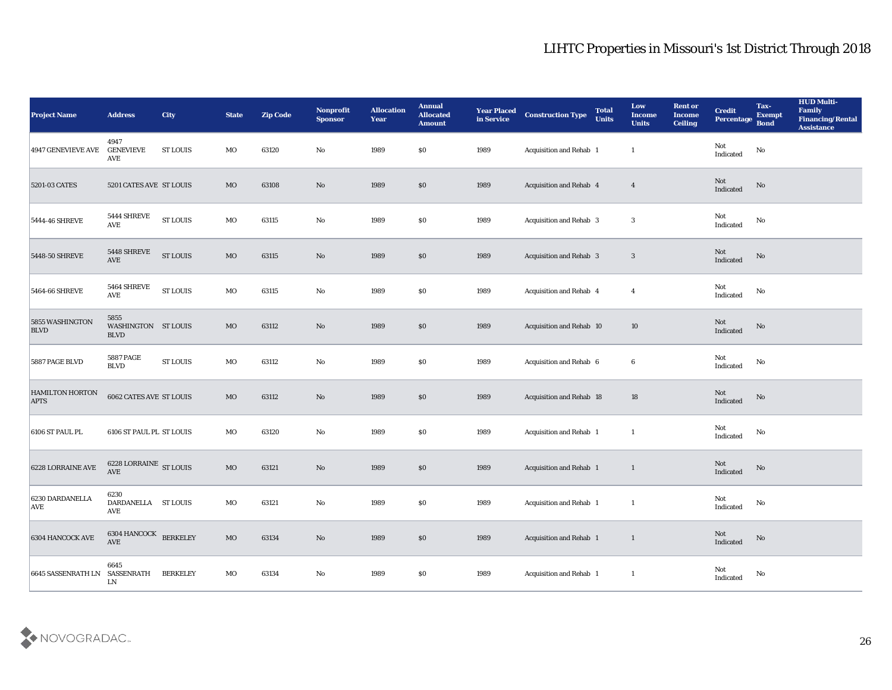| <b>Project Name</b>            | <b>Address</b>                                          | <b>City</b>     | <b>State</b> | <b>Zip Code</b> | Nonprofit<br><b>Sponsor</b> | <b>Allocation</b><br><b>Year</b> | <b>Annual</b><br><b>Allocated</b><br><b>Amount</b> | <b>Year Placed</b><br>in Service | <b>Construction Type</b>       | <b>Total</b><br><b>Units</b> | Low<br><b>Income</b><br><b>Units</b> | <b>Rent or</b><br><b>Income</b><br><b>Ceiling</b> | <b>Credit</b><br>Percentage                | Tax-<br><b>Exempt</b><br><b>Bond</b> | <b>HUD Multi-</b><br>Family<br><b>Financing/Rental</b><br><b>Assistance</b> |
|--------------------------------|---------------------------------------------------------|-----------------|--------------|-----------------|-----------------------------|----------------------------------|----------------------------------------------------|----------------------------------|--------------------------------|------------------------------|--------------------------------------|---------------------------------------------------|--------------------------------------------|--------------------------------------|-----------------------------------------------------------------------------|
| 4947 GENEVIEVE AVE             | 4947<br><b>GENEVIEVE</b><br>AVE                         | ST LOUIS        | MO           | 63120           | No                          | 1989                             | $\$0$                                              | 1989                             | Acquisition and Rehab 1        |                              | $\mathbf{1}$                         |                                                   | Not<br>Indicated                           | $\mathbf {No}$                       |                                                                             |
| 5201-03 CATES                  | 5201 CATES AVE ST LOUIS                                 |                 | MO           | 63108           | No                          | 1989                             | $\$0$                                              | 1989                             | Acquisition and Rehab 4        |                              | $\overline{4}$                       |                                                   | Not<br>Indicated                           | No                                   |                                                                             |
| 5444-46 SHREVE                 | 5444 SHREVE<br>$\operatorname{AVE}$                     | <b>ST LOUIS</b> | MO           | 63115           | No                          | 1989                             | \$0                                                | 1989                             | <b>Acquisition and Rehab 3</b> |                              | 3                                    |                                                   | Not<br>Indicated                           | No                                   |                                                                             |
| 5448-50 SHREVE                 | 5448 SHREVE<br>$\operatorname{AVE}$                     | <b>ST LOUIS</b> | $\rm MO$     | 63115           | No                          | 1989                             | $\$0$                                              | 1989                             | Acquisition and Rehab 3        |                              | 3                                    |                                                   | Not<br>Indicated                           | No                                   |                                                                             |
| 5464-66 SHREVE                 | 5464 SHREVE<br>$\operatorname{AVE}$                     | <b>ST LOUIS</b> | MO           | 63115           | $\mathbf {No}$              | 1989                             | \$0\$                                              | 1989                             | Acquisition and Rehab 4        |                              | $\overline{4}$                       |                                                   | Not<br>Indicated                           | No                                   |                                                                             |
| 5855 WASHINGTON<br><b>BLVD</b> | 5855<br>WASHINGTON ST LOUIS<br><b>BLVD</b>              |                 | MO           | 63112           | No                          | 1989                             | \$0                                                | 1989                             | Acquisition and Rehab 10       |                              | 10                                   |                                                   | Not<br>Indicated                           | No                                   |                                                                             |
| 5887 PAGE BLVD                 | <b>5887 PAGE</b><br><b>BLVD</b>                         | <b>ST LOUIS</b> | MO           | 63112           | $\mathbf{No}$               | 1989                             | $\$0$                                              | 1989                             | Acquisition and Rehab 6        |                              | 6                                    |                                                   | Not<br>Indicated                           | No                                   |                                                                             |
| HAMILTON HORTON<br><b>APTS</b> | <b>6062 CATES AVE ST LOUIS</b>                          |                 | MO           | 63112           | No                          | 1989                             | \$0                                                | 1989                             | Acquisition and Rehab 18       |                              | 18                                   |                                                   | <b>Not</b><br>Indicated                    | No                                   |                                                                             |
| 6106 ST PAUL PL                | 6106 ST PAUL PL ST LOUIS                                |                 | MO           | 63120           | No                          | 1989                             | \$0\$                                              | 1989                             | Acquisition and Rehab 1        |                              | $\mathbf{1}$                         |                                                   | Not<br>Indicated                           | No                                   |                                                                             |
| 6228 LORRAINE AVE              | 6228 LORRAINE ST LOUIS<br>AVE                           |                 | MO           | 63121           | $\rm\thinspace No$          | 1989                             | $\$0$                                              | 1989                             | Acquisition and Rehab 1        |                              | 1                                    |                                                   | Not<br>Indicated                           | No                                   |                                                                             |
| 6230 DARDANELLA<br> AVE        | 6230<br>DARDANELLA ST LOUIS<br>$\operatorname{AVE}$     |                 | MO           | 63121           | No                          | 1989                             | \$0                                                | 1989                             | Acquisition and Rehab 1        |                              | 1                                    |                                                   | Not<br>Indicated                           | No                                   |                                                                             |
| 6304 HANCOCK AVE               | $6304$ HANCOCK $\quad$ BERKELEY<br>$\operatorname{AVE}$ |                 | $\rm MO$     | 63134           | $\mathbf {No}$              | 1989                             | $\$0$                                              | 1989                             | Acquisition and Rehab 1        |                              | $\mathbf{1}$                         |                                                   | $\operatorname{\mathsf{Not}}$<br>Indicated | $\rm\thinspace No$                   |                                                                             |
| 6645 SASSENRATH LN SASSENRATH  | 6645<br>${\rm LN}$                                      | <b>BERKELEY</b> | $_{\rm MO}$  | 63134           | $\mathbf {No}$              | 1989                             | $\$0$                                              | 1989                             | Acquisition and Rehab 1        |                              | $\mathbf{1}$                         |                                                   | Not<br>Indicated                           | No                                   |                                                                             |

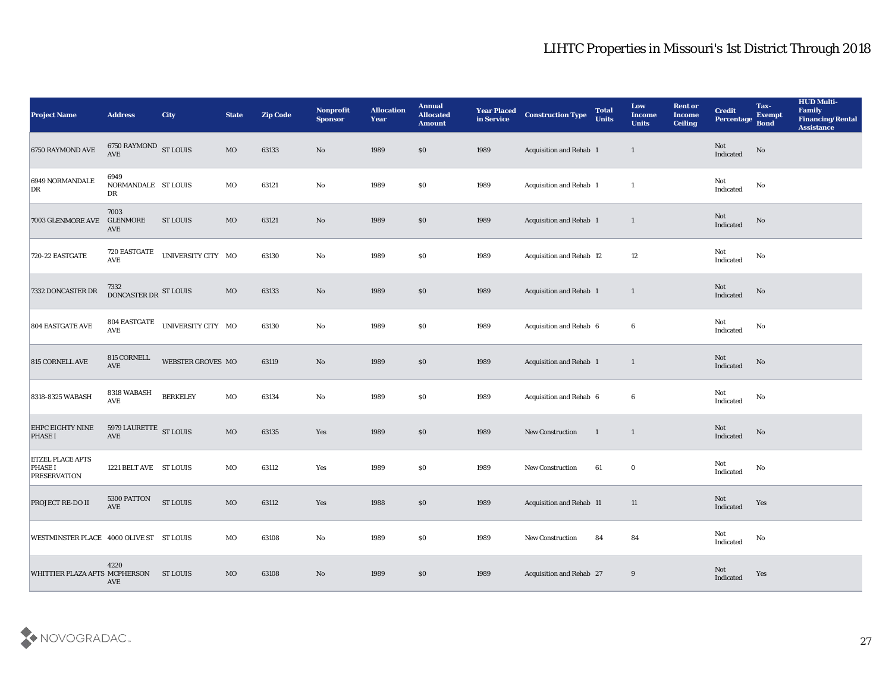| <b>Project Name</b>                                              | <b>Address</b>                    | <b>City</b>                     | <b>State</b> | <b>Zip Code</b> | Nonprofit<br><b>Sponsor</b> | <b>Allocation</b><br><b>Year</b> | <b>Annual</b><br><b>Allocated</b><br><b>Amount</b> | <b>Year Placed</b><br>in Service | <b>Construction Type</b> | <b>Total</b><br><b>Units</b> | Low<br><b>Income</b><br><b>Units</b> | <b>Rent or</b><br><b>Income</b><br><b>Ceiling</b> | <b>Credit</b><br>Percentage                       | Tax-<br><b>Exempt</b><br><b>Bond</b> | <b>HUD Multi-</b><br>Family<br><b>Financing/Rental</b><br><b>Assistance</b> |
|------------------------------------------------------------------|-----------------------------------|---------------------------------|--------------|-----------------|-----------------------------|----------------------------------|----------------------------------------------------|----------------------------------|--------------------------|------------------------------|--------------------------------------|---------------------------------------------------|---------------------------------------------------|--------------------------------------|-----------------------------------------------------------------------------|
| 6750 RAYMOND AVE                                                 | $6750$ RAYMOND $\,$ ST LOUIS AVE  |                                 | MO           | 63133           | No                          | 1989                             | $\$0$                                              | 1989                             | Acquisition and Rehab 1  |                              | $\mathbf{1}$                         |                                                   | Not<br>$\label{lem:indicated} \textbf{Indicated}$ | No                                   |                                                                             |
| 6949 NORMANDALE<br>DR                                            | 6949<br>NORMANDALE ST LOUIS<br>DR |                                 | MO           | 63121           | $\mathbf{N}\mathbf{o}$      | 1989                             | $\$0$                                              | 1989                             | Acquisition and Rehab 1  |                              | <sup>1</sup>                         |                                                   | Not<br>Indicated                                  | No                                   |                                                                             |
| 7003 GLENMORE AVE                                                | 7003<br><b>GLENMORE</b><br>AVE    | <b>ST LOUIS</b>                 | $_{\rm MO}$  | 63121           | No                          | 1989                             | \$0                                                | 1989                             | Acquisition and Rehab 1  |                              | $\mathbf{1}$                         |                                                   | Not<br>Indicated                                  | No                                   |                                                                             |
| 720-22 EASTGATE                                                  | 720 EASTGATE<br>AVE               | UNIVERSITY CITY MO              |              | 63130           | $\rm\thinspace No$          | 1989                             | \$0                                                | 1989                             | Acquisition and Rehab 12 |                              | 12                                   |                                                   | Not<br>Indicated                                  | No                                   |                                                                             |
| 7332 DONCASTER DR                                                | 7332<br>DONCASTER DR ST LOUIS     |                                 | $_{\rm MO}$  | 63133           | No                          | 1989                             | \$0\$                                              | 1989                             | Acquisition and Rehab 1  |                              | $\mathbf{1}$                         |                                                   | Not<br>Indicated                                  | No                                   |                                                                             |
| <b>804 EASTGATE AVE</b>                                          | AVE                               | 804 EASTGATE UNIVERSITY CITY MO |              | 63130           | $\rm\thinspace No$          | 1989                             | \$0\$                                              | 1989                             | Acquisition and Rehab 6  |                              | 6                                    |                                                   | Not<br>Indicated                                  | No                                   |                                                                             |
| 815 CORNELL AVE                                                  | 815 CORNELL<br><b>AVE</b>         | WEBSTER GROVES MO               |              | 63119           | $\rm No$                    | 1989                             | \$0                                                | 1989                             | Acquisition and Rehab 1  |                              | $\mathbf{1}$                         |                                                   | Not<br>Indicated                                  | No                                   |                                                                             |
| 8318-8325 WABASH                                                 | 8318 WABASH<br><b>AVE</b>         | <b>BERKELEY</b>                 | MO           | 63134           | $\mathbf {No}$              | 1989                             | \$0                                                | 1989                             | Acquisition and Rehab 6  |                              | 6                                    |                                                   | Not<br>Indicated                                  | No                                   |                                                                             |
| <b>EHPC EIGHTY NINE</b><br><b>PHASE I</b>                        | 5979 LAURETTE ST LOUIS<br>AVE     |                                 | $_{\rm MO}$  | 63135           | Yes                         | 1989                             | $\$0$                                              | 1989                             | New Construction         | $\overline{1}$               | $\mathbf{1}$                         |                                                   | Not<br>Indicated                                  | No                                   |                                                                             |
| <b>ETZEL PLACE APTS</b><br><b>PHASE I</b><br><b>PRESERVATION</b> | 1221 BELT AVE ST LOUIS            |                                 | MO           | 63112           | Yes                         | 1989                             | \$0\$                                              | 1989                             | <b>New Construction</b>  | 61                           | $\bf{0}$                             |                                                   | Not<br>Indicated                                  | No                                   |                                                                             |
| <b>PROJECT RE-DO II</b>                                          | 5300 PATTON<br>AVE                | <b>ST LOUIS</b>                 | MO           | 63112           | Yes                         | 1988                             | $\$0$                                              | 1989                             | Acquisition and Rehab 11 |                              | 11                                   |                                                   | Not<br>Indicated                                  | Yes                                  |                                                                             |
| WESTMINSTER PLACE 4000 OLIVE ST ST LOUIS                         |                                   |                                 | $_{\rm MO}$  | 63108           | ${\bf No}$                  | 1989                             | \$0\$                                              | 1989                             | New Construction         | 84                           | 84                                   |                                                   | Not<br>$\operatorname{Indicated}$                 | $\mathbf{N}\mathbf{o}$               |                                                                             |
| <b>WHITTIER PLAZA APTS MCPHERSON</b>                             | 4220<br><b>AVE</b>                | <b>ST LOUIS</b>                 | MO           | 63108           | $\mathbf{N}\mathbf{o}$      | 1989                             | \$0\$                                              | 1989                             | Acquisition and Rehab 27 |                              | 9                                    |                                                   | Not<br>Indicated                                  | Yes                                  |                                                                             |

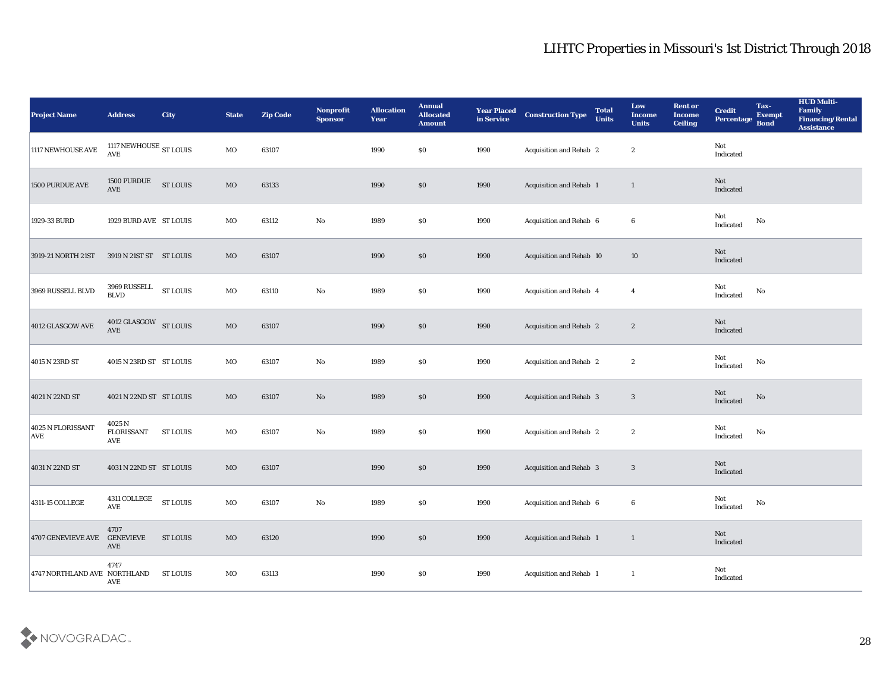| <b>Project Name</b>             | <b>Address</b>                     | City            | <b>State</b> | <b>Zip Code</b> | Nonprofit<br><b>Sponsor</b> | <b>Allocation</b><br><b>Year</b> | <b>Annual</b><br><b>Allocated</b><br><b>Amount</b> | <b>Year Placed</b><br>in Service | <b>Construction Type</b> | <b>Total</b><br><b>Units</b> | Low<br><b>Income</b><br><b>Units</b> | <b>Rent or</b><br><b>Income</b><br><b>Ceiling</b> | <b>Credit</b><br>Percentage | Tax-<br><b>Exempt</b><br><b>Bond</b> | <b>HUD Multi-</b><br>Family<br><b>Financing/Rental</b><br><b>Assistance</b> |
|---------------------------------|------------------------------------|-----------------|--------------|-----------------|-----------------------------|----------------------------------|----------------------------------------------------|----------------------------------|--------------------------|------------------------------|--------------------------------------|---------------------------------------------------|-----------------------------|--------------------------------------|-----------------------------------------------------------------------------|
| 1117 NEWHOUSE AVE               | 1117 NEWHOUSE $_{\rm ST~LOUIS}$    |                 | MO           | 63107           |                             | 1990                             | $\$0$                                              | 1990                             | Acquisition and Rehab 2  |                              | $\boldsymbol{2}$                     |                                                   | Not<br>Indicated            |                                      |                                                                             |
| 1500 PURDUE AVE                 | 1500 PURDUE<br><b>AVE</b>          | <b>ST LOUIS</b> | $_{\rm MO}$  | 63133           |                             | 1990                             | \$0                                                | 1990                             | Acquisition and Rehab 1  |                              | $\mathbf{1}$                         |                                                   | Not<br>Indicated            |                                      |                                                                             |
| 1929-33 BURD                    | 1929 BURD AVE ST LOUIS             |                 | MO           | 63112           | $\mathbf{No}$               | 1989                             | \$0                                                | 1990                             | Acquisition and Rehab 6  |                              | 6                                    |                                                   | Not<br>Indicated            | No                                   |                                                                             |
| 3919-21 NORTH 21ST              | 3919 N 21ST ST ST LOUIS            |                 | $_{\rm MO}$  | 63107           |                             | 1990                             | \$0                                                | 1990                             | Acquisition and Rehab 10 |                              | 10                                   |                                                   | Not<br>Indicated            |                                      |                                                                             |
| 3969 RUSSELL BLVD               | 3969 RUSSELL<br><b>BLVD</b>        | <b>ST LOUIS</b> | MO           | 63110           | $\mathbf{No}$               | 1989                             | \$0                                                | 1990                             | Acquisition and Rehab 4  |                              | $\overline{4}$                       |                                                   | Not<br>Indicated            | $\mathbf{N}\mathbf{o}$               |                                                                             |
| 4012 GLASGOW AVE                | 4012 GLASGOW ST LOUIS<br>AVE       |                 | $_{\rm MO}$  | 63107           |                             | 1990                             | $\$0$                                              | 1990                             | Acquisition and Rehab 2  |                              | $\boldsymbol{2}$                     |                                                   | Not<br>Indicated            |                                      |                                                                             |
| 4015 N 23RD ST                  | 4015 N 23RD ST ST LOUIS            |                 | MO           | 63107           | No                          | 1989                             | $\$0$                                              | 1990                             | Acquisition and Rehab 2  |                              | $\boldsymbol{2}$                     |                                                   | Not<br>Indicated            | No                                   |                                                                             |
| 4021 N 22ND ST                  | 4021 N 22ND ST ST LOUIS            |                 | MO           | 63107           | No                          | 1989                             | \$0                                                | 1990                             | Acquisition and Rehab 3  |                              | 3                                    |                                                   | Not<br>Indicated            | No                                   |                                                                             |
| 4025 N FLORISSANT<br><b>AVE</b> | 4025 N<br><b>FLORISSANT</b><br>AVE | <b>ST LOUIS</b> | MO           | 63107           | No                          | 1989                             | \$0                                                | 1990                             | Acquisition and Rehab 2  |                              | $\boldsymbol{2}$                     |                                                   | Not<br>Indicated            | No                                   |                                                                             |
| 4031 N 22ND ST                  | 4031 N 22ND ST ST LOUIS            |                 | MO           | 63107           |                             | 1990                             | \$0                                                | 1990                             | Acquisition and Rehab 3  |                              | 3                                    |                                                   | Not<br>Indicated            |                                      |                                                                             |
| 4311-15 COLLEGE                 | 4311 COLLEGE<br><b>AVE</b>         | <b>ST LOUIS</b> | MO           | 63107           | No                          | 1989                             | \$0                                                | 1990                             | Acquisition and Rehab 6  |                              | 6                                    |                                                   | Not<br>Indicated            | No                                   |                                                                             |
| <b>4707 GENEVIEVE AVE</b>       | 4707<br><b>GENEVIEVE</b><br>AVE    | <b>ST LOUIS</b> | $\rm MO$     | 63120           |                             | 1990                             | \$0                                                | 1990                             | Acquisition and Rehab 1  |                              | $\mathbf{1}$                         |                                                   | Not<br>Indicated            |                                      |                                                                             |
| 4747 NORTHLAND AVE NORTHLAND    | 4747<br>AVE                        | <b>ST LOUIS</b> | $_{\rm MO}$  | 63113           |                             | 1990                             | $\$0$                                              | 1990                             | Acquisition and Rehab 1  |                              | $\mathbf{1}$                         |                                                   | Not<br>Indicated            |                                      |                                                                             |

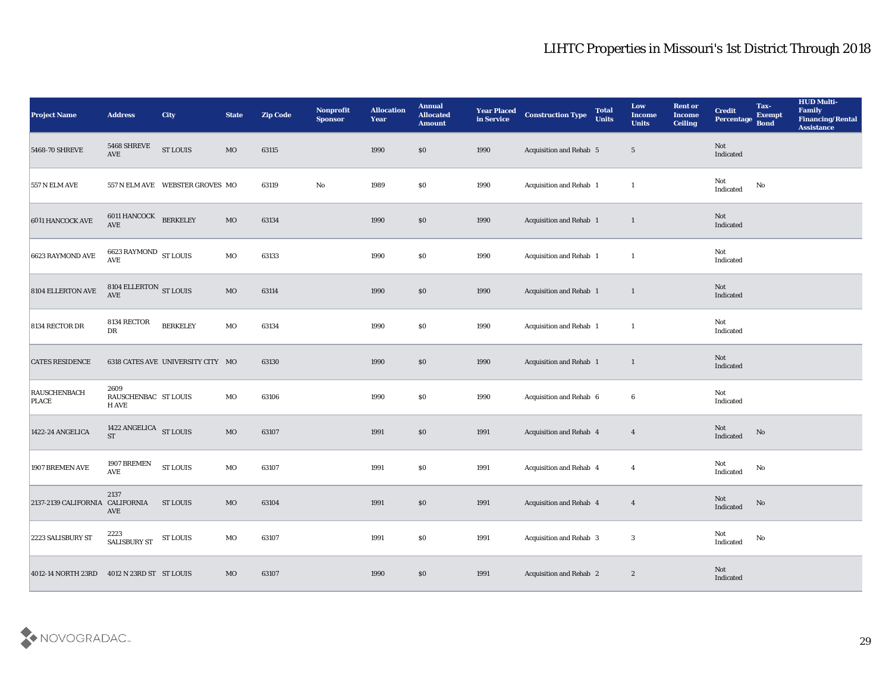| <b>Project Name</b>                              | <b>Address</b>                        | <b>City</b>                       | <b>State</b> | <b>Zip Code</b> | Nonprofit<br>Sponsor | <b>Allocation</b><br><b>Year</b> | <b>Annual</b><br><b>Allocated</b><br><b>Amount</b> | <b>Year Placed</b><br>in Service | <b>Construction Type</b>       | <b>Total</b><br><b>Units</b> | Low<br><b>Income</b><br><b>Units</b> | <b>Rent or</b><br><b>Income</b><br><b>Ceiling</b> | <b>Credit</b><br>Percentage       | Tax-<br><b>Exempt</b><br><b>Bond</b> | <b>HUD Multi-</b><br>Family<br><b>Financing/Rental</b><br><b>Assistance</b> |
|--------------------------------------------------|---------------------------------------|-----------------------------------|--------------|-----------------|----------------------|----------------------------------|----------------------------------------------------|----------------------------------|--------------------------------|------------------------------|--------------------------------------|---------------------------------------------------|-----------------------------------|--------------------------------------|-----------------------------------------------------------------------------|
| 5468-70 SHREVE                                   | 5468 SHREVE<br>AVE                    | <b>ST LOUIS</b>                   | MO           | 63115           |                      | 1990                             | $\$0$                                              | 1990                             | <b>Acquisition and Rehab 5</b> |                              | $5\phantom{.0}$                      |                                                   | Not<br>Indicated                  |                                      |                                                                             |
| <b>557 N ELM AVE</b>                             |                                       | 557 N ELM AVE WEBSTER GROVES MO   |              | 63119           | No                   | 1989                             | $\$0$                                              | 1990                             | Acquisition and Rehab 1        |                              | <sup>1</sup>                         |                                                   | Not<br>$\operatorname{Indicated}$ | No                                   |                                                                             |
| 6011 HANCOCK AVE                                 | 6011 HANCOCK BERKELEY<br><b>AVE</b>   |                                   | MO           | 63134           |                      | 1990                             | \$0                                                | 1990                             | Acquisition and Rehab 1        |                              | $\mathbf{1}$                         |                                                   | Not<br>Indicated                  |                                      |                                                                             |
| 6623 RAYMOND AVE                                 | 6623 RAYMOND ST LOUIS<br><b>AVE</b>   |                                   | MO           | 63133           |                      | 1990                             | \$0                                                | 1990                             | Acquisition and Rehab 1        |                              | $\mathbf{1}$                         |                                                   | Not<br>Indicated                  |                                      |                                                                             |
| 8104 ELLERTON AVE                                | $8104$ ELLERTON $\,$ ST LOUIS AVE     |                                   | MO           | 63114           |                      | 1990                             | \$0\$                                              | 1990                             | Acquisition and Rehab 1        |                              | $\mathbf{1}$                         |                                                   | Not<br>Indicated                  |                                      |                                                                             |
| 8134 RECTOR DR                                   | 8134 RECTOR<br>${\rm DR}$             | <b>BERKELEY</b>                   | MO           | 63134           |                      | 1990                             | \$0\$                                              | 1990                             | Acquisition and Rehab 1        |                              | $\mathbf{1}$                         |                                                   | Not<br>Indicated                  |                                      |                                                                             |
| <b>CATES RESIDENCE</b>                           |                                       | 6318 CATES AVE UNIVERSITY CITY MO |              | 63130           |                      | 1990                             | \$0                                                | 1990                             | Acquisition and Rehab 1        |                              | $\mathbf{1}$                         |                                                   | Not<br>Indicated                  |                                      |                                                                             |
| RAUSCHENBACH<br><b>PLACE</b>                     | 2609<br>RAUSCHENBAC ST LOUIS<br>H AVE |                                   | MO           | 63106           |                      | 1990                             | \$0                                                | 1990                             | Acquisition and Rehab 6        |                              | 6                                    |                                                   | Not<br>Indicated                  |                                      |                                                                             |
| 1422-24 ANGELICA                                 | 1422 ANGELICA ST LOUIS<br><b>ST</b>   |                                   | MO           | 63107           |                      | 1991                             | $\$0$                                              | 1991                             | Acquisition and Rehab 4        |                              | $\overline{4}$                       |                                                   | Not<br>Indicated                  | No                                   |                                                                             |
| 1907 BREMEN AVE                                  | 1907 BREMEN<br><b>AVE</b>             | <b>ST LOUIS</b>                   | MO           | 63107           |                      | 1991                             | \$0\$                                              | 1991                             | Acquisition and Rehab 4        |                              | $\overline{4}$                       |                                                   | Not<br>Indicated                  | No                                   |                                                                             |
| 2137-2139 CALIFORNIA CALIFORNIA                  | 2137<br>AVE                           | ST LOUIS                          | MO           | 63104           |                      | 1991                             | $\$0$                                              | 1991                             | Acquisition and Rehab 4        |                              | $\overline{4}$                       |                                                   | Not<br>Indicated                  | No                                   |                                                                             |
| 2223 SALISBURY ST                                | 2223<br>SALISBURY ST                  | <b>ST LOUIS</b>                   | $_{\rm MO}$  | 63107           |                      | 1991                             | $\$0$                                              | 1991                             | Acquisition and Rehab 3        |                              | $\bf 3$                              |                                                   | Not<br>Indicated                  | $\mathbf {No}$                       |                                                                             |
| 4012-14 NORTH 23RD   4012 N 23RD ST   ST   LOUIS |                                       |                                   | MO           | 63107           |                      | 1990                             | \$0                                                | 1991                             | Acquisition and Rehab 2        |                              | $\mathbf{2}$                         |                                                   | Not<br>Indicated                  |                                      |                                                                             |

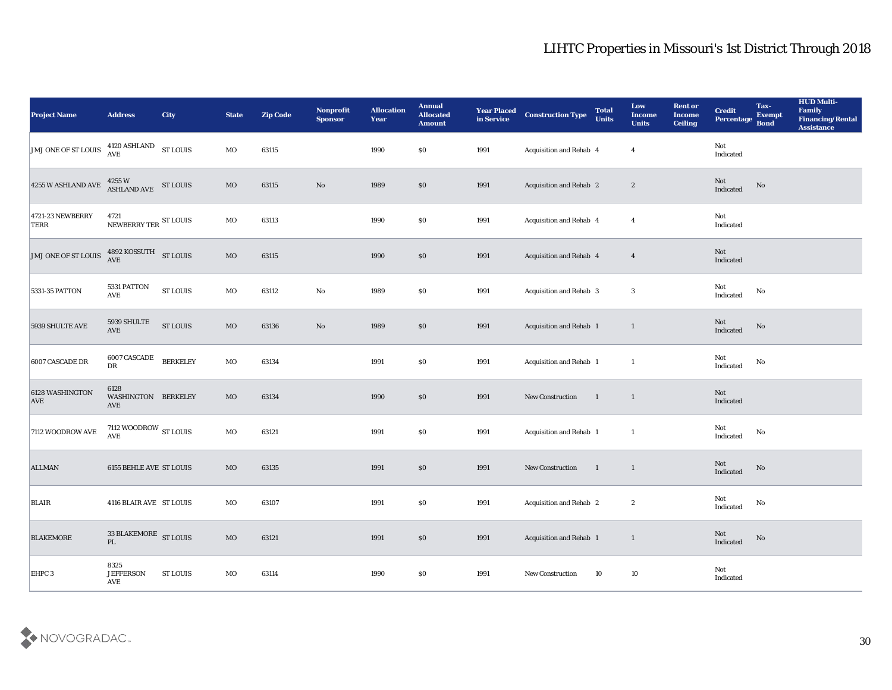| <b>Project Name</b>                                                    | <b>Address</b>                                         | <b>City</b>     | <b>State</b> | <b>Zip Code</b> | Nonprofit<br><b>Sponsor</b> | <b>Allocation</b><br><b>Year</b> | <b>Annual</b><br><b>Allocated</b><br><b>Amount</b> | <b>Year Placed</b><br>in Service | <b>Construction Type</b> | <b>Total</b><br><b>Units</b> | Low<br><b>Income</b><br><b>Units</b> | <b>Rent or</b><br><b>Income</b><br><b>Ceiling</b> | <b>Credit</b><br>Percentage | Tax-<br><b>Exempt</b><br><b>Bond</b> | <b>HUD Multi-</b><br>Family<br><b>Financing/Rental</b><br><b>Assistance</b> |
|------------------------------------------------------------------------|--------------------------------------------------------|-----------------|--------------|-----------------|-----------------------------|----------------------------------|----------------------------------------------------|----------------------------------|--------------------------|------------------------------|--------------------------------------|---------------------------------------------------|-----------------------------|--------------------------------------|-----------------------------------------------------------------------------|
| JMJ ONE OF ST LOUIS $\frac{4120 \text{ ASHLAND}}{\text{AVE}}$ ST LOUIS |                                                        |                 | MO           | 63115           |                             | 1990                             | $\$0$                                              | 1991                             | Acquisition and Rehab 4  |                              | $\overline{4}$                       |                                                   | Not<br>Indicated            |                                      |                                                                             |
| 4255 W ASHLAND AVE                                                     | $4255\,\mathrm{W}$ $$\rm{ST}\,LOUIS$$ ASHLAND AVE      |                 | $_{\rm MO}$  | 63115           | No                          | 1989                             | $\$0$                                              | 1991                             | Acquisition and Rehab 2  |                              | $\boldsymbol{2}$                     |                                                   | Not<br>Indicated            | No                                   |                                                                             |
| 4721-23 NEWBERRY<br>TERR                                               | 4721<br>NEWBERRY TER ST LOUIS                          |                 | MO           | 63113           |                             | 1990                             | \$0                                                | 1991                             | Acquisition and Rehab 4  |                              | $\overline{4}$                       |                                                   | Not<br>Indicated            |                                      |                                                                             |
| JMJ ONE OF ST LOUIS                                                    | $4892$ KOSSUTH $$\rm{ST}\,$ LOUIS AVE                  |                 | MO           | 63115           |                             | 1990                             | \$0\$                                              | 1991                             | Acquisition and Rehab 4  |                              | $\overline{4}$                       |                                                   | Not<br>Indicated            |                                      |                                                                             |
| 5331-35 PATTON                                                         | 5331 PATTON<br>$\operatorname{AVE}$                    | <b>ST LOUIS</b> | MO           | 63112           | $\rm\thinspace No$          | 1989                             | \$0\$                                              | 1991                             | Acquisition and Rehab 3  |                              | 3                                    |                                                   | Not<br>Indicated            | No                                   |                                                                             |
| 5939 SHULTE AVE                                                        | $5939\,$ SHULTE<br>$\operatorname{AVE}$                | <b>ST LOUIS</b> | $_{\rm MO}$  | 63136           | No                          | 1989                             | $\$0$                                              | 1991                             | Acquisition and Rehab 1  |                              | $\mathbf{1}$                         |                                                   | Not<br>Indicated            | $\rm No$                             |                                                                             |
| 6007 CASCADE DR                                                        | 6007 CASCADE<br>DR                                     | <b>BERKELEY</b> | MO           | 63134           |                             | 1991                             | \$0                                                | 1991                             | Acquisition and Rehab 1  |                              | $\mathbf{1}$                         |                                                   | Not<br>Indicated            | No                                   |                                                                             |
| 6128 WASHINGTON<br><b>AVE</b>                                          | 6128<br>WASHINGTON BERKELEY<br>AVE                     |                 | $_{\rm MO}$  | 63134           |                             | 1990                             | \$0\$                                              | 1991                             | New Construction         | $\overline{1}$               | $\mathbf{1}$                         |                                                   | Not<br>Indicated            |                                      |                                                                             |
| 7112 WOODROW AVE                                                       | 7112 WOODROW $_{\rm ST~LOUIS}$<br>$\operatorname{AVE}$ |                 | MO           | 63121           |                             | 1991                             | \$0                                                | 1991                             | Acquisition and Rehab 1  |                              | $\mathbf{1}$                         |                                                   | Not<br>Indicated            | $\mathbf{N}\mathbf{o}$               |                                                                             |
| <b>ALLMAN</b>                                                          | 6155 BEHLE AVE ST LOUIS                                |                 | MO           | 63135           |                             | 1991                             | $\$0$                                              | 1991                             | <b>New Construction</b>  | $\blacksquare$               | $\mathbf{1}$                         |                                                   | Not<br>Indicated            | No                                   |                                                                             |
| <b>BLAIR</b>                                                           | 4116 BLAIR AVE ST LOUIS                                |                 | MO           | 63107           |                             | 1991                             | \$0\$                                              | 1991                             | Acquisition and Rehab 2  |                              | $\boldsymbol{2}$                     |                                                   | Not<br>Indicated            | No                                   |                                                                             |
| <b>BLAKEMORE</b>                                                       | 33 BLAKEMORE ST LOUIS<br>PL                            |                 | $\rm MO$     | 63121           |                             | 1991                             | $\$0$                                              | 1991                             | Acquisition and Rehab 1  |                              | $\mathbf{1}$                         |                                                   | Not<br>Indicated            | $\rm\thinspace No$                   |                                                                             |
| EHPC 3                                                                 | 8325<br><b>JEFFERSON</b><br>AVE                        | ST LOUIS        | $_{\rm MO}$  | 63114           |                             | 1990                             | $\$0$                                              | 1991                             | New Construction         | 10                           | $10\,$                               |                                                   | Not<br>Indicated            |                                      |                                                                             |

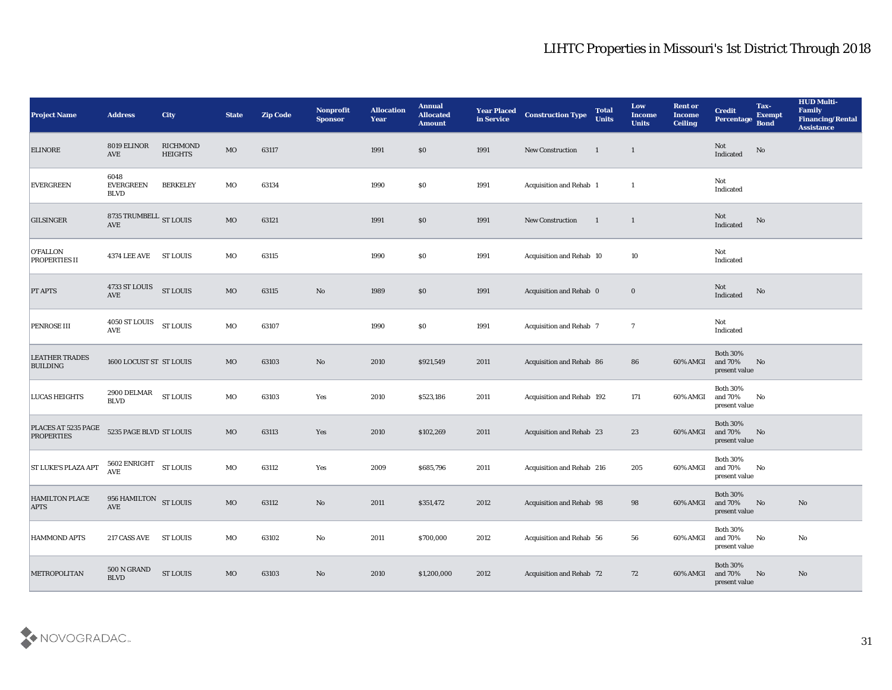| <b>Project Name</b>                      | <b>Address</b>                                             | City                              | <b>State</b> | <b>Zip Code</b> | Nonprofit<br><b>Sponsor</b> | <b>Allocation</b><br><b>Year</b> | <b>Annual</b><br><b>Allocated</b><br><b>Amount</b> | <b>Year Placed</b><br>in Service | <b>Construction Type</b>       | <b>Total</b><br><b>Units</b> | Low<br><b>Income</b><br><b>Units</b> | <b>Rent or</b><br><b>Income</b><br><b>Ceiling</b> | <b>Credit</b><br>Percentage Bond               | Tax-<br><b>Exempt</b>  | <b>HUD Multi-</b><br>Family<br><b>Financing/Rental</b><br><b>Assistance</b> |
|------------------------------------------|------------------------------------------------------------|-----------------------------------|--------------|-----------------|-----------------------------|----------------------------------|----------------------------------------------------|----------------------------------|--------------------------------|------------------------------|--------------------------------------|---------------------------------------------------|------------------------------------------------|------------------------|-----------------------------------------------------------------------------|
| <b>ELINORE</b>                           | 8019 ELINOR<br>AVE                                         | <b>RICHMOND</b><br><b>HEIGHTS</b> | $_{\rm MO}$  | 63117           |                             | 1991                             | \$0                                                | 1991                             | New Construction               | $\mathbf{1}$                 | $\mathbf{1}$                         |                                                   | Not<br>Indicated                               | $\rm \bf No$           |                                                                             |
| <b>EVERGREEN</b>                         | 6048<br><b>EVERGREEN</b><br><b>BLVD</b>                    | <b>BERKELEY</b>                   | МO           | 63134           |                             | 1990                             | \$0                                                | 1991                             | Acquisition and Rehab 1        |                              | $\mathbf{1}$                         |                                                   | Not<br>Indicated                               |                        |                                                                             |
| <b>GILSINGER</b>                         | 8735 TRUMBELL $_{\rm ST}$ LOUIS<br>AVE                     |                                   | $_{\rm MO}$  | 63121           |                             | 1991                             | \$0                                                | 1991                             | New Construction               | $\overline{\phantom{0}}$     | 1                                    |                                                   | Not<br>Indicated                               | No                     |                                                                             |
| <b>O'FALLON</b><br><b>PROPERTIES II</b>  | <b>4374 LEE AVE</b>                                        | <b>ST LOUIS</b>                   | MO           | 63115           |                             | 1990                             | \$0                                                | 1991                             | Acquisition and Rehab 10       |                              | 10                                   |                                                   | Not<br>Indicated                               |                        |                                                                             |
| <b>PT APTS</b>                           | 4733 ST LOUIS<br>AVE                                       | <b>ST LOUIS</b>                   | $_{\rm MO}$  | 63115           | $\mathbf{N}\mathbf{o}$      | 1989                             | \$0                                                | 1991                             | Acquisition and Rehab 0        |                              | $\bf{0}$                             |                                                   | Not<br>Indicated                               | No                     |                                                                             |
| <b>PENROSE III</b>                       | 4050 ST LOUIS<br>AVE                                       | <b>ST LOUIS</b>                   | MO           | 63107           |                             | 1990                             | $\$0$                                              | 1991                             | <b>Acquisition and Rehab 7</b> |                              | $\overline{7}$                       |                                                   | Not<br>Indicated                               |                        |                                                                             |
| <b>LEATHER TRADES</b><br><b>BUILDING</b> | 1600 LOCUST ST ST LOUIS                                    |                                   | MO           | 63103           | No                          | 2010                             | \$921,549                                          | 2011                             | Acquisition and Rehab 86       |                              | 86                                   | 60% AMGI                                          | Both $30\%$<br>and 70%<br>present value        | No                     |                                                                             |
| <b>LUCAS HEIGHTS</b>                     | 2900 DELMAR<br><b>BLVD</b>                                 | <b>ST LOUIS</b>                   | MO           | 63103           | Yes                         | 2010                             | \$523,186                                          | 2011                             | Acquisition and Rehab 192      |                              | 171                                  | 60% AMGI                                          | <b>Both 30%</b><br>and 70%<br>present value    | No                     |                                                                             |
| PLACES AT 5235 PAGE<br><b>PROPERTIES</b> | 5235 PAGE BLVD ST LOUIS                                    |                                   | $_{\rm MO}$  | 63113           | Yes                         | 2010                             | \$102,269                                          | 2011                             | Acquisition and Rehab 23       |                              | 23                                   | 60% AMGI                                          | <b>Both 30%</b><br>and 70%<br>present value    | No                     |                                                                             |
| <b>ST LUKE'S PLAZA APT</b>               | $5602$ ${\rm ENRIGHT}$<br>$\mathbf{A}\mathbf{V}\mathbf{E}$ | <b>ST LOUIS</b>                   | MO           | 63112           | Yes                         | 2009                             | \$685,796                                          | 2011                             | Acquisition and Rehab 216      |                              | 205                                  | 60% AMGI                                          | <b>Both 30%</b><br>and 70%<br>present value    | No                     |                                                                             |
| <b>HAMILTON PLACE</b><br><b>APTS</b>     | 956 HAMILTON ST LOUIS<br><b>AVE</b>                        |                                   | MO           | 63112           | No                          | 2011                             | \$351,472                                          | 2012                             | Acquisition and Rehab 98       |                              | 98                                   | 60% AMGI and 70%                                  | <b>Both 30%</b><br>present value               | No                     | No                                                                          |
| <b>HAMMOND APTS</b>                      | 217 CASS AVE ST LOUIS                                      |                                   | $_{\rm MO}$  | 63102           | $\rm No$                    | 2011                             | \$700,000                                          | 2012                             | Acquisition and Rehab 56       |                              | 56                                   | 60% AMGI                                          | <b>Both 30%</b><br>and $70\%$<br>present value | $\mathbf{N}\mathbf{o}$ | No                                                                          |
| <b>METROPOLITAN</b>                      | $500\,\mathrm{N}$ GRAND<br><b>BLVD</b>                     | <b>ST LOUIS</b>                   | $_{\rm MO}$  | 63103           | $\rm\thinspace No$          | 2010                             | \$1,200,000                                        | 2012                             | Acquisition and Rehab 72       |                              | 72                                   | 60% AMGI                                          | <b>Both 30%</b><br>and 70%<br>present value    | No                     | $\mathbf{N}\mathbf{o}$                                                      |

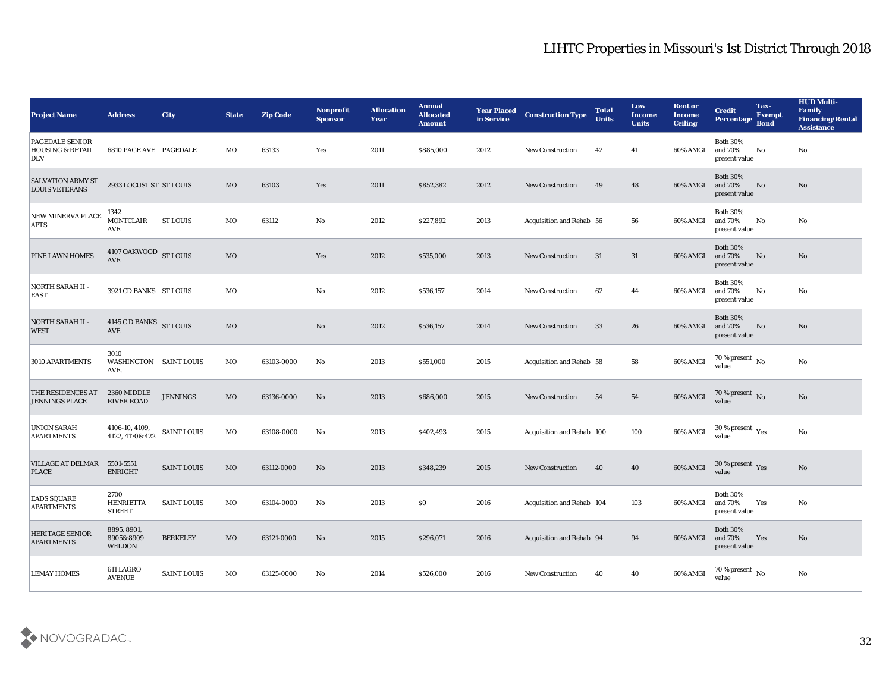| <b>Project Name</b>                                   | <b>Address</b>                            | City               | <b>State</b> | <b>Zip Code</b> | Nonprofit<br><b>Sponsor</b> | <b>Allocation</b><br><b>Year</b> | <b>Annual</b><br><b>Allocated</b><br><b>Amount</b> | <b>Year Placed</b><br>in Service | <b>Construction Type</b>  | <b>Total</b><br><b>Units</b> | Low<br><b>Income</b><br><b>Units</b> | <b>Rent or</b><br><b>Income</b><br><b>Ceiling</b> | <b>Credit</b><br>Percentage Bond                     | Tax-<br><b>Exempt</b> | <b>HUD Multi-</b><br>Family<br><b>Financing/Rental</b><br><b>Assistance</b> |
|-------------------------------------------------------|-------------------------------------------|--------------------|--------------|-----------------|-----------------------------|----------------------------------|----------------------------------------------------|----------------------------------|---------------------------|------------------------------|--------------------------------------|---------------------------------------------------|------------------------------------------------------|-----------------------|-----------------------------------------------------------------------------|
| PAGEDALE SENIOR<br><b>HOUSING &amp; RETAIL</b><br>DEV | <b>6810 PAGE AVE PAGEDALE</b>             |                    | MO           | 63133           | Yes                         | 2011                             | \$885,000                                          | 2012                             | <b>New Construction</b>   | 42                           | 41                                   | 60% AMGI                                          | <b>Both 30%</b><br>and 70%<br>present value          | No                    | No                                                                          |
| <b>SALVATION ARMY ST</b><br><b>LOUIS VETERANS</b>     | 2933 LOCUST ST ST LOUIS                   |                    | MO           | 63103           | Yes                         | 2011                             | \$852,382                                          | 2012                             | <b>New Construction</b>   | 49                           | 48                                   | 60% AMGI                                          | <b>Both 30%</b><br>and 70%<br>present value          | No                    | No                                                                          |
| NEW MINERVA PLACE<br><b>APTS</b>                      | 1342<br><b>MONTCLAIR</b><br><b>AVE</b>    | <b>ST LOUIS</b>    | MO           | 63112           | No                          | 2012                             | \$227,892                                          | 2013                             | Acquisition and Rehab 56  |                              | 56                                   | 60% AMGI                                          | <b>Both 30%</b><br>and 70%<br>present value          | No                    | No                                                                          |
| PINE LAWN HOMES                                       | 4107 OAKWOOD ST LOUIS<br><b>AVE</b>       |                    | <b>MO</b>    |                 | Yes                         | 2012                             | \$535,000                                          | 2013                             | <b>New Construction</b>   | 31                           | 31                                   | 60% AMGI                                          | <b>Both 30%</b><br>and 70%<br>present value          | No                    | No                                                                          |
| NORTH SARAH II -<br><b>EAST</b>                       | 3921 CD BANKS ST LOUIS                    |                    | MO           |                 | No                          | 2012                             | \$536,157                                          | 2014                             | <b>New Construction</b>   | 62                           | 44                                   | 60% AMGI                                          | <b>Both 30%</b><br>and 70%<br>present value          | No                    | No                                                                          |
| <b>NORTH SARAH II -</b><br><b>WEST</b>                | 4145 C D BANKS ST LOUIS<br><b>AVE</b>     |                    | MO           |                 | No                          | 2012                             | \$536,157                                          | 2014                             | <b>New Construction</b>   | 33                           | 26                                   | 60% AMGI                                          | <b>Both 30%</b><br>and 70%<br>present value          | No                    | No                                                                          |
| 3010 APARTMENTS                                       | 3010<br>WASHINGTON SAINT LOUIS<br>AVE.    |                    | MO           | 63103-0000      | No                          | 2013                             | \$551,000                                          | 2015                             | Acquisition and Rehab 58  |                              | 58                                   | 60% AMGI                                          | $70\,\%$ present $\,$ No value                       |                       | No                                                                          |
| THE RESIDENCES AT<br><b>JENNINGS PLACE</b>            | 2360 MIDDLE<br><b>RIVER ROAD</b>          | <b>JENNINGS</b>    | <b>MO</b>    | 63136-0000      | No                          | 2013                             | \$686,000                                          | 2015                             | <b>New Construction</b>   | 54                           | 54                                   | 60% AMGI                                          | 70 % present No<br>value                             |                       | No                                                                          |
| <b>UNION SARAH</b><br>APARTMENTS                      | 4106-10, 4109,<br>4122, 4170& 422         | <b>SAINT LOUIS</b> | MO           | 63108-0000      | No                          | 2013                             | \$402,493                                          | 2015                             | Acquisition and Rehab 100 |                              | 100                                  | 60% AMGI                                          | 30 % present $\rm\thinspace\gamma_{\rm es}$<br>value |                       | No                                                                          |
| <b>VILLAGE AT DELMAR</b><br><b>PLACE</b>              | 5501-5551<br><b>ENRIGHT</b>               | <b>SAINT LOUIS</b> | <b>MO</b>    | 63112-0000      | No                          | 2013                             | \$348,239                                          | 2015                             | <b>New Construction</b>   | 40                           | 40                                   | 60% AMGI                                          | $30\,\%$ present $\,$ Yes value                      |                       | $\mathbf{N}\mathbf{o}$                                                      |
| <b>EADS SQUARE</b><br><b>APARTMENTS</b>               | 2700<br><b>HENRIETTA</b><br><b>STREET</b> | <b>SAINT LOUIS</b> | MO           | 63104-0000      | No                          | 2013                             | $\$0$                                              | 2016                             | Acquisition and Rehab 104 |                              | 103                                  | 60% AMGI and 70%                                  | <b>Both 30%</b><br>present value                     | Yes                   | No                                                                          |
| <b>HERITAGE SENIOR</b><br><b>APARTMENTS</b>           | 8895, 8901,<br>8905&8909<br>WELDON        | <b>BERKELEY</b>    | MO           | 63121-0000      | No                          | 2015                             | \$296,071                                          | 2016                             | Acquisition and Rehab 94  |                              | 94                                   | 60% AMGI                                          | <b>Both 30%</b><br>and 70%<br>present value          | Yes                   | $\mathbf{N}\mathbf{o}$                                                      |
| <b>LEMAY HOMES</b>                                    | 611 LAGRO<br><b>AVENUE</b>                | <b>SAINT LOUIS</b> | MO           | 63125-0000      | $\rm\, No$                  | 2014                             | \$526,000                                          | 2016                             | <b>New Construction</b>   | 40                           | 40                                   | 60% AMGI                                          | 70 % present $\,$ No $\,$<br>value                   |                       | $\mathbf {No}$                                                              |

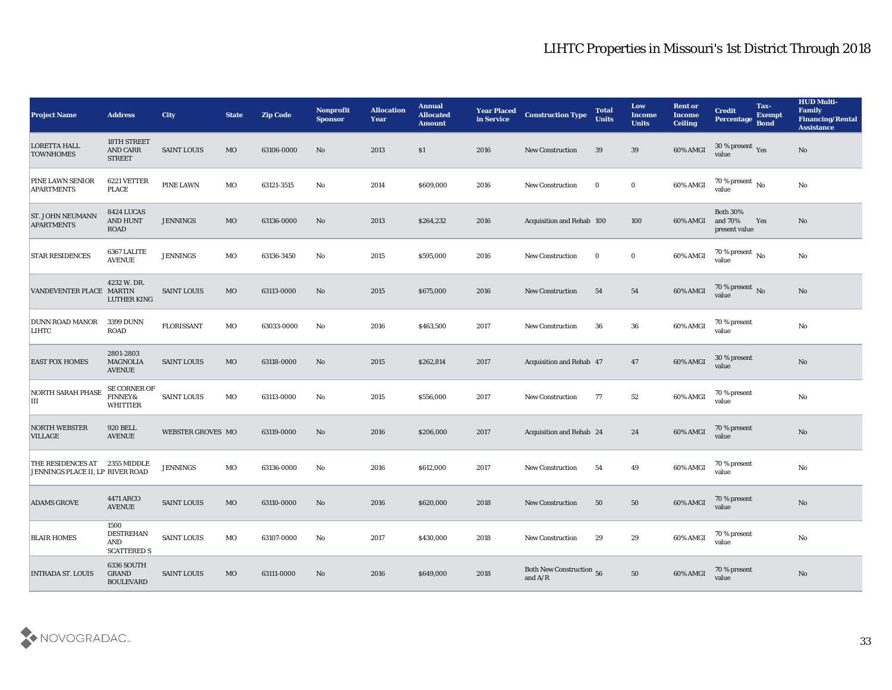| <b>Project Name</b>                                   | <b>Address</b>                                  | City                     | <b>State</b> | <b>Zip Code</b> | Nonprofit<br><b>Sponsor</b> | <b>Allocation</b><br><b>Year</b> | <b>Annual</b><br><b>Allocated</b><br><b>Amount</b> | <b>Year Placed</b><br>in Service | <b>Construction Type</b>                                                                        | <b>Total</b><br><b>Units</b> | Low<br><b>Income</b><br><b>Units</b> | <b>Rent or</b><br><b>Income</b><br><b>Ceiling</b> | <b>Credit</b><br>Percentage Bond            | Tax-<br><b>Exempt</b> | <b>HUD Multi-</b><br>Family<br><b>Financing/Rental</b><br><b>Assistance</b> |
|-------------------------------------------------------|-------------------------------------------------|--------------------------|--------------|-----------------|-----------------------------|----------------------------------|----------------------------------------------------|----------------------------------|-------------------------------------------------------------------------------------------------|------------------------------|--------------------------------------|---------------------------------------------------|---------------------------------------------|-----------------------|-----------------------------------------------------------------------------|
| <b>LORETTA HALL</b><br><b>TOWNHOMES</b>               | 18TH STREET<br><b>AND CARR</b><br><b>STREET</b> | <b>SAINT LOUIS</b>       | MO           | 63106-0000      | No                          | 2013                             | S <sub>1</sub>                                     | 2016                             | <b>New Construction</b>                                                                         | 39                           | 39                                   | 60% AMGI                                          | 30 % present Yes<br>value                   |                       | No                                                                          |
| PINE LAWN SENIOR<br><b>APARTMENTS</b>                 | 6221 VETTER<br><b>PLACE</b>                     | PINE LAWN                | МO           | 63121-3515      | No                          | 2014                             | \$609,000                                          | 2016                             | <b>New Construction</b>                                                                         | $\bf{0}$                     | $\bf{0}$                             | 60% AMGI                                          | 70 % present $\overline{N_0}$<br>value      |                       | No                                                                          |
| <b>ST. JOHN NEUMANN</b><br><b>APARTMENTS</b>          | 8424 LUCAS<br>AND HUNT<br>ROAD                  | <b>JENNINGS</b>          | MO           | 63136-0000      | No                          | 2013                             | \$264,232                                          | 2016                             | Acquisition and Rehab 100                                                                       |                              | 100                                  | 60% AMGI                                          | <b>Both 30%</b><br>and 70%<br>present value | Yes                   | No                                                                          |
| <b>STAR RESIDENCES</b>                                | 6367 LALITE<br><b>AVENUE</b>                    | <b>JENNINGS</b>          | MO           | 63136-3450      | No                          | 2015                             | \$595,000                                          | 2016                             | <b>New Construction</b>                                                                         | $\bf{0}$                     | $\bf{0}$                             | 60% AMGI                                          | $\frac{70\%}{value}$ No                     |                       | $\mathbf{N}\mathbf{o}$                                                      |
| VANDEVENTER PLACE MARTIN                              | 4232 W. DR.<br><b>LUTHER KING</b>               | <b>SAINT LOUIS</b>       | MO           | 63113-0000      | No                          | 2015                             | \$675,000                                          | 2016                             | <b>New Construction</b>                                                                         | 54                           | 54                                   | 60% AMGI                                          | 70 % present No<br>value                    |                       | No                                                                          |
| DUNN ROAD MANOR<br>LIHTC                              | 3399 DUNN<br>ROAD                               | <b>FLORISSANT</b>        | MO           | 63033-0000      | No                          | 2016                             | \$463,500                                          | 2017                             | <b>New Construction</b>                                                                         | 36                           | 36                                   | 60% AMGI                                          | 70 % present<br>value                       |                       | No                                                                          |
| <b>EAST FOX HOMES</b>                                 | 2801-2803<br><b>MAGNOLIA</b><br><b>AVENUE</b>   | <b>SAINT LOUIS</b>       | MO           | 63118-0000      | No                          | 2015                             | \$262,814                                          | 2017                             | Acquisition and Rehab 47                                                                        |                              | 47                                   | 60% AMGI                                          | 30 % present<br>value                       |                       | $\mathbf{N}\mathbf{o}$                                                      |
| <b>NORTH SARAH PHASE</b><br>Ш                         | SE CORNER OF<br>FINNEY&<br><b>WHITTIER</b>      | <b>SAINT LOUIS</b>       | MO           | 63113-0000      | No                          | 2015                             | \$556,000                                          | 2017                             | <b>New Construction</b>                                                                         | 77                           | 52                                   | 60% AMGI                                          | 70 % present<br>value                       |                       | No                                                                          |
| <b>NORTH WEBSTER</b><br><b>VILLAGE</b>                | <b>920 BELL</b><br><b>AVENUE</b>                | <b>WEBSTER GROVES MO</b> |              | 63119-0000      | No                          | 2016                             | \$206,000                                          | 2017                             | <b>Acquisition and Rehab 24</b>                                                                 |                              | 24                                   | 60% AMGI                                          | 70 % present<br>value                       |                       | No                                                                          |
| THE RESIDENCES AT<br>JENNINGS PLACE II, LP RIVER ROAD | 2355 MIDDLE                                     | <b>JENNINGS</b>          | MO           | 63136-0000      | No                          | 2016                             | \$612,000                                          | 2017                             | <b>New Construction</b>                                                                         | 54                           | 49                                   | 60% AMGI                                          | 70 % present<br>value                       |                       | $\rm\thinspace No$                                                          |
| <b>ADAMS GROVE</b>                                    | 4471 ARCO<br><b>AVENUE</b>                      | <b>SAINT LOUIS</b>       | MO           | 63110-0000      | No                          | 2016                             | \$620,000                                          | 2018                             | <b>New Construction</b>                                                                         | 50                           | 50                                   | 60% AMGI                                          | 70 % present<br>value                       |                       | No                                                                          |
| <b>BLAIR HOMES</b>                                    | 1500<br>DESTREHAN<br>AND<br><b>SCATTERED S</b>  | SAINT LOUIS              | MO           | 63107-0000      | $\mathbf{N}\mathbf{o}$      | 2017                             | \$430,000                                          | 2018                             | New Construction                                                                                | 29                           | 29                                   | 60% AMGI                                          | 70 % present<br>value                       |                       | $\mathbf {No}$                                                              |
| <b>INTRADA ST. LOUIS</b>                              | 6336 SOUTH<br>GRAND<br><b>BOULEVARD</b>         | <b>SAINT LOUIS</b>       | MO           | 63111-0000      | No                          | 2016                             | \$649,000                                          | 2018                             | Both New Construction 56<br>and $\ensuremath{\mathrm{A}}\xspace/\ensuremath{\mathrm{R}}\xspace$ |                              | 50                                   | 60% AMGI                                          | 70 % present<br>value                       |                       | $\rm \bf No$                                                                |